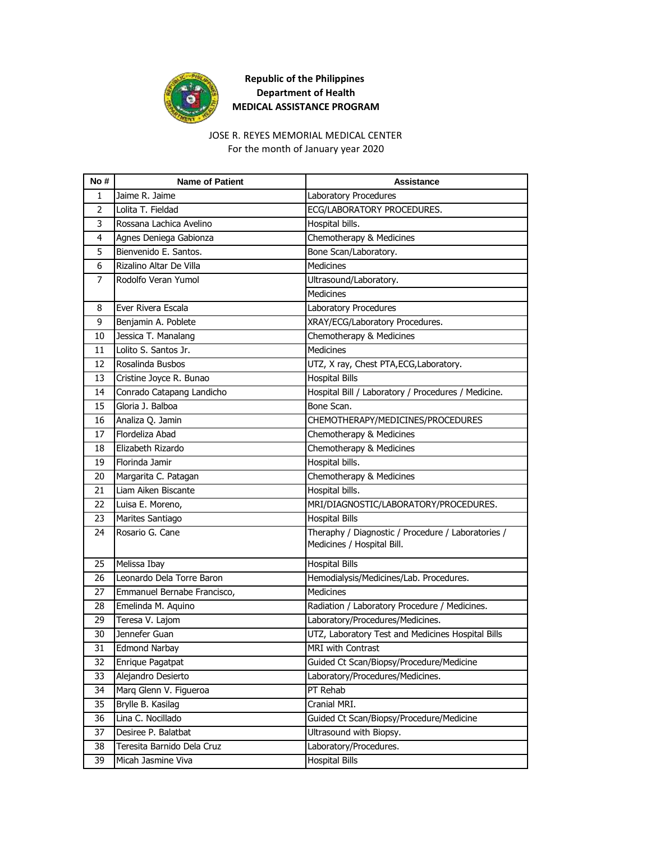

### JOSE R. REYES MEMORIAL MEDICAL CENTER

For the month of January year 2020

| No #           | <b>Name of Patient</b>      | <b>Assistance</b>                                                                |
|----------------|-----------------------------|----------------------------------------------------------------------------------|
| 1              | Jaime R. Jaime              | Laboratory Procedures                                                            |
| $\overline{2}$ | Lolita T. Fieldad           | ECG/LABORATORY PROCEDURES.                                                       |
| 3              | Rossana Lachica Avelino     | Hospital bills.                                                                  |
| 4              | Agnes Deniega Gabionza      | Chemotherapy & Medicines                                                         |
| 5              | Bienvenido E. Santos.       | Bone Scan/Laboratory.                                                            |
| 6              | Rizalino Altar De Villa     | <b>Medicines</b>                                                                 |
| 7              | Rodolfo Veran Yumol         | Ultrasound/Laboratory.                                                           |
|                |                             | Medicines                                                                        |
| 8              | Ever Rivera Escala          | Laboratory Procedures                                                            |
| 9              | Benjamin A. Poblete         | XRAY/ECG/Laboratory Procedures.                                                  |
| 10             | Jessica T. Manalang         | Chemotherapy & Medicines                                                         |
| 11             | Lolito S. Santos Jr.        | <b>Medicines</b>                                                                 |
| 12             | Rosalinda Busbos            | UTZ, X ray, Chest PTA, ECG, Laboratory.                                          |
| 13             | Cristine Joyce R. Bunao     | <b>Hospital Bills</b>                                                            |
| 14             | Conrado Catapang Landicho   | Hospital Bill / Laboratory / Procedures / Medicine.                              |
| 15             | Gloria J. Balboa            | Bone Scan.                                                                       |
| 16             | Analiza Q. Jamin            | CHEMOTHERAPY/MEDICINES/PROCEDURES                                                |
| 17             | Flordeliza Abad             | Chemotherapy & Medicines                                                         |
| 18             | Elizabeth Rizardo           | Chemotherapy & Medicines                                                         |
| 19             | Florinda Jamir              | Hospital bills.                                                                  |
| 20             | Margarita C. Patagan        | Chemotherapy & Medicines                                                         |
| 21             | Liam Aiken Biscante         | Hospital bills.                                                                  |
| 22             | Luisa E. Moreno,            | MRI/DIAGNOSTIC/LABORATORY/PROCEDURES.                                            |
| 23             | Marites Santiago            | <b>Hospital Bills</b>                                                            |
| 24             | Rosario G. Cane             | Theraphy / Diagnostic / Procedure / Laboratories /<br>Medicines / Hospital Bill. |
| 25             | Melissa Ibay                | <b>Hospital Bills</b>                                                            |
| 26             | Leonardo Dela Torre Baron   | Hemodialysis/Medicines/Lab. Procedures.                                          |
| 27             | Emmanuel Bernabe Francisco, | <b>Medicines</b>                                                                 |
| 28             | Emelinda M. Aquino          | Radiation / Laboratory Procedure / Medicines.                                    |
| 29             | Teresa V. Lajom             | Laboratory/Procedures/Medicines.                                                 |
| 30             | Jennefer Guan               | UTZ, Laboratory Test and Medicines Hospital Bills                                |
| 31             | Edmond Narbay               | <b>MRI with Contrast</b>                                                         |
| 32             | Enrique Pagatpat            | Guided Ct Scan/Biopsy/Procedure/Medicine                                         |
| 33             | Alejandro Desierto          | Laboratory/Procedures/Medicines.                                                 |
| 34             | Marq Glenn V. Figueroa      | PT Rehab                                                                         |
| 35             | Brylle B. Kasilag           | Cranial MRI.                                                                     |
| 36             | Lina C. Nocillado           | Guided Ct Scan/Biopsy/Procedure/Medicine                                         |
| 37             | Desiree P. Balatbat         | Ultrasound with Biopsy.                                                          |
| 38             | Teresita Barnido Dela Cruz  | Laboratory/Procedures.                                                           |
| 39             | Micah Jasmine Viva          | <b>Hospital Bills</b>                                                            |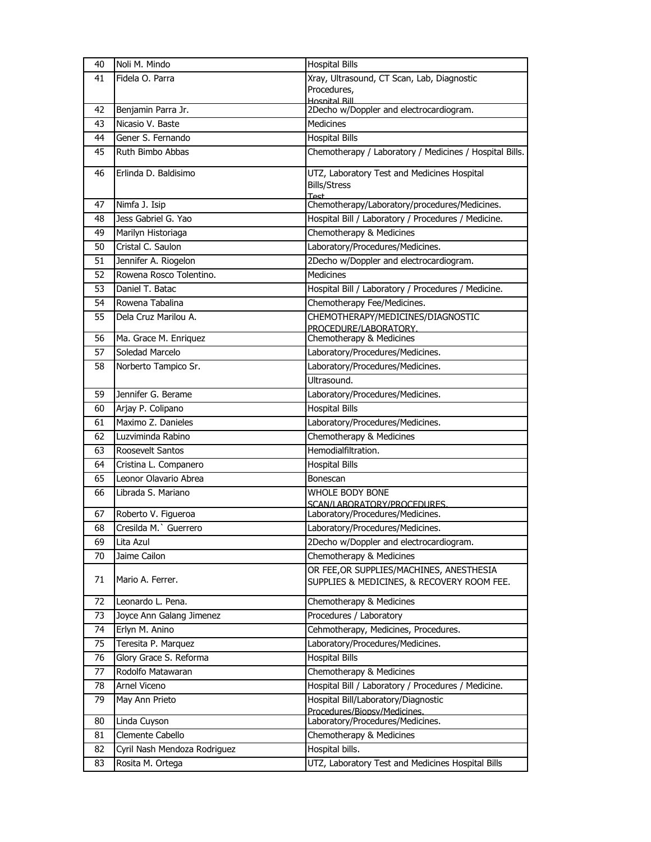| 40       | Noli M. Mindo                               | <b>Hospital Bills</b>                                                                  |
|----------|---------------------------------------------|----------------------------------------------------------------------------------------|
| 41       | Fidela O. Parra                             | Xray, Ultrasound, CT Scan, Lab, Diagnostic                                             |
|          |                                             | Procedures,                                                                            |
| 42       | Benjamin Parra Jr.                          | <b>Hosnital Rill</b><br>2Decho w/Doppler and electrocardiogram.                        |
| 43       | Nicasio V. Baste                            | <b>Medicines</b>                                                                       |
| 44       | Gener S. Fernando                           | <b>Hospital Bills</b>                                                                  |
| 45       | Ruth Bimbo Abbas                            | Chemotherapy / Laboratory / Medicines / Hospital Bills.                                |
|          |                                             |                                                                                        |
| 46       | Erlinda D. Baldisimo                        | UTZ, Laboratory Test and Medicines Hospital                                            |
|          |                                             | <b>Bills/Stress</b><br>Test                                                            |
| 47       | Nimfa J. Isip                               | Chemotherapy/Laboratory/procedures/Medicines.                                          |
| 48       | Jess Gabriel G. Yao                         | Hospital Bill / Laboratory / Procedures / Medicine.                                    |
| 49       | Marilyn Historiaga                          | Chemotherapy & Medicines                                                               |
| 50       | Cristal C. Saulon                           | Laboratory/Procedures/Medicines.                                                       |
| 51       | Jennifer A. Riogelon                        | 2Decho w/Doppler and electrocardiogram.                                                |
| 52       | Rowena Rosco Tolentino.                     | <b>Medicines</b>                                                                       |
| 53       | Daniel T. Batac                             | Hospital Bill / Laboratory / Procedures / Medicine.                                    |
| 54       | Rowena Tabalina                             | Chemotherapy Fee/Medicines.                                                            |
| 55       | Dela Cruz Marilou A.                        | CHEMOTHERAPY/MEDICINES/DIAGNOSTIC                                                      |
|          |                                             | PROCEDURE/LABORATORY.                                                                  |
| 56       | Ma. Grace M. Enriquez                       | Chemotherapy & Medicines                                                               |
| 57       | Soledad Marcelo                             | Laboratory/Procedures/Medicines.                                                       |
| 58       | Norberto Tampico Sr.                        | Laboratory/Procedures/Medicines.                                                       |
|          |                                             | Ultrasound.                                                                            |
| 59       | Jennifer G. Berame                          | Laboratory/Procedures/Medicines.                                                       |
| 60       | Arjay P. Colipano                           | <b>Hospital Bills</b>                                                                  |
| 61       | Maximo Z. Danieles                          | Laboratory/Procedures/Medicines.                                                       |
| 62       | Luzviminda Rabino                           | Chemotherapy & Medicines                                                               |
| 63       | Roosevelt Santos                            | Hemodialfiltration.                                                                    |
| 64       | Cristina L. Companero                       | <b>Hospital Bills</b>                                                                  |
| 65       | Leonor Olavario Abrea                       | Bonescan                                                                               |
| 66       | Librada S. Mariano                          | WHOLE BODY BONE                                                                        |
|          |                                             | SCAN/LABORATORY/PROCEDURES.                                                            |
| 67<br>68 | Roberto V. Figueroa<br>Cresilda M. Guerrero | Laboratory/Procedures/Medicines.<br>Laboratory/Procedures/Medicines.                   |
|          |                                             |                                                                                        |
| 69       | Lita Azul                                   | 2Decho w/Doppler and electrocardiogram.                                                |
| 70       | Jaime Cailon                                | Chemotherapy & Medicines                                                               |
| 71       | Mario A. Ferrer.                            | OR FEE, OR SUPPLIES/MACHINES, ANESTHESIA<br>SUPPLIES & MEDICINES, & RECOVERY ROOM FEE. |
| 72       | Leonardo L. Pena.                           | Chemotherapy & Medicines                                                               |
| 73       | Joyce Ann Galang Jimenez                    | Procedures / Laboratory                                                                |
| 74       | Erlyn M. Anino                              | Cehmotherapy, Medicines, Procedures.                                                   |
| 75       | Teresita P. Marquez                         | Laboratory/Procedures/Medicines.                                                       |
| 76       | Glory Grace S. Reforma                      | <b>Hospital Bills</b>                                                                  |
| 77       | Rodolfo Matawaran                           | Chemotherapy & Medicines                                                               |
| 78       | Arnel Viceno                                | Hospital Bill / Laboratory / Procedures / Medicine.                                    |
| 79       | May Ann Prieto                              | Hospital Bill/Laboratory/Diagnostic                                                    |
|          |                                             | Procedures/Bionsv/Medicines.                                                           |
| 80       | Linda Cuyson                                | Laboratory/Procedures/Medicines.                                                       |
| 81       | Clemente Cabello                            | Chemotherapy & Medicines                                                               |
| 82       | Cyril Nash Mendoza Rodriguez                | Hospital bills.                                                                        |
| 83       | Rosita M. Ortega                            | UTZ, Laboratory Test and Medicines Hospital Bills                                      |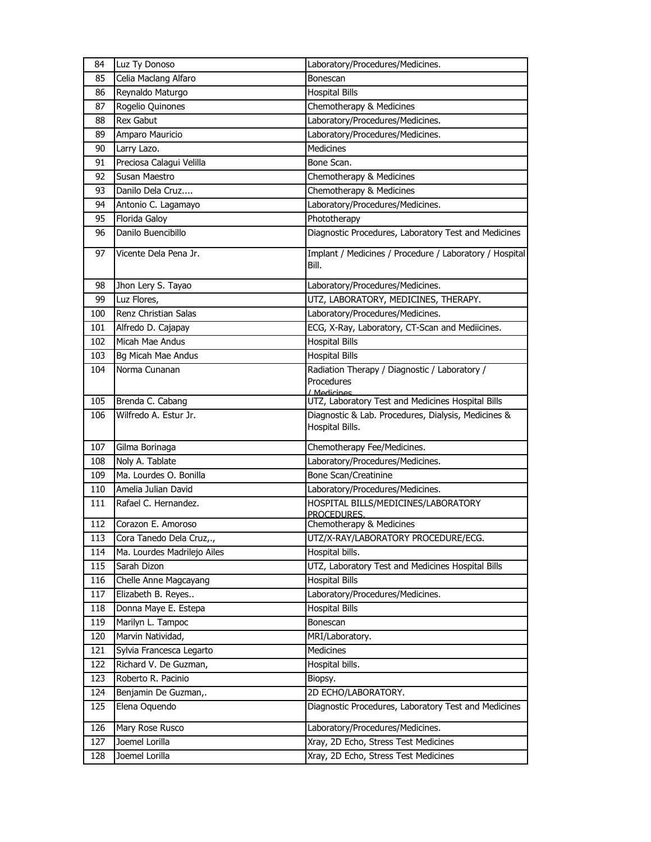| 84         | Luz Ty Donoso                             | Laboratory/Procedures/Medicines.                                     |
|------------|-------------------------------------------|----------------------------------------------------------------------|
| 85         | Celia Maclang Alfaro                      | Bonescan                                                             |
| 86         | Reynaldo Maturgo                          | <b>Hospital Bills</b>                                                |
| 87         | Rogelio Quinones                          | Chemotherapy & Medicines                                             |
| 88         | <b>Rex Gabut</b>                          | Laboratory/Procedures/Medicines.                                     |
| 89         | Amparo Mauricio                           | Laboratory/Procedures/Medicines.                                     |
| 90         | Larry Lazo.                               | <b>Medicines</b>                                                     |
| 91         | Preciosa Calagui Velilla                  | Bone Scan.                                                           |
| 92         | Susan Maestro                             | Chemotherapy & Medicines                                             |
| 93         | Danilo Dela Cruz                          | Chemotherapy & Medicines                                             |
| 94         | Antonio C. Lagamayo                       | Laboratory/Procedures/Medicines.                                     |
| 95         | Florida Galoy                             | Phototherapy                                                         |
| 96         | Danilo Buencibillo                        | Diagnostic Procedures, Laboratory Test and Medicines                 |
| 97         | Vicente Dela Pena Jr.                     | Implant / Medicines / Procedure / Laboratory / Hospital<br>Bill.     |
| 98         | Jhon Lery S. Tayao                        | Laboratory/Procedures/Medicines.                                     |
| 99         | Luz Flores,                               | UTZ, LABORATORY, MEDICINES, THERAPY.                                 |
| 100        | Renz Christian Salas                      | Laboratory/Procedures/Medicines.                                     |
| 101        | Alfredo D. Cajapay                        | ECG, X-Ray, Laboratory, CT-Scan and Mediicines.                      |
| 102        | Micah Mae Andus                           | <b>Hospital Bills</b>                                                |
| 103        | Bg Micah Mae Andus                        | <b>Hospital Bills</b>                                                |
| 104        | Norma Cunanan                             | Radiation Therapy / Diagnostic / Laboratory /                        |
|            |                                           | Procedures                                                           |
| 105        | Brenda C. Cabang                          | / Medicines<br>UTZ, Laboratory Test and Medicines Hospital Bills     |
| 106        | Wilfredo A. Estur Jr.                     | Diagnostic & Lab. Procedures, Dialysis, Medicines &                  |
|            |                                           | Hospital Bills.                                                      |
| 107        | Gilma Borinaga                            | Chemotherapy Fee/Medicines.                                          |
| 108        | Noly A. Tablate                           | Laboratory/Procedures/Medicines.                                     |
| 109        | Ma. Lourdes O. Bonilla                    | Bone Scan/Creatinine                                                 |
| 110        | Amelia Julian David                       | Laboratory/Procedures/Medicines.                                     |
| 111        | Rafael C. Hernandez.                      | HOSPITAL BILLS/MEDICINES/LABORATORY                                  |
| 112        | Corazon E. Amoroso                        | PROCEDURES.<br>Chemotherapy & Medicines                              |
|            |                                           |                                                                      |
| 113<br>114 | Cora Tanedo Dela Cruz,.,                  | UTZ/X-RAY/LABORATORY PROCEDURE/ECG.                                  |
| 115        | Ma. Lourdes Madrilejo Ailes               | Hospital bills.<br>UTZ, Laboratory Test and Medicines Hospital Bills |
| 116        | Sarah Dizon                               | <b>Hospital Bills</b>                                                |
| 117        | Chelle Anne Magcayang                     | Laboratory/Procedures/Medicines.                                     |
| 118        | Elizabeth B. Reyes                        | <b>Hospital Bills</b>                                                |
| 119        | Donna Maye E. Estepa<br>Marilyn L. Tampoc |                                                                      |
| 120        | Marvin Natividad,                         | Bonescan<br>MRI/Laboratory.                                          |
| 121        | Sylvia Francesca Legarto                  |                                                                      |
| 122        | Richard V. De Guzman,                     | Medicines<br>Hospital bills.                                         |
|            | Roberto R. Pacinio                        |                                                                      |
| 123<br>124 |                                           | Biopsy.<br>2D ECHO/LABORATORY.                                       |
| 125        | Benjamin De Guzman,.                      | Diagnostic Procedures, Laboratory Test and Medicines                 |
|            | Elena Oquendo                             |                                                                      |
| 126        | Mary Rose Rusco                           | Laboratory/Procedures/Medicines.                                     |
| 127        | Joemel Lorilla                            | Xray, 2D Echo, Stress Test Medicines                                 |
| 128        | Joemel Lorilla                            | Xray, 2D Echo, Stress Test Medicines                                 |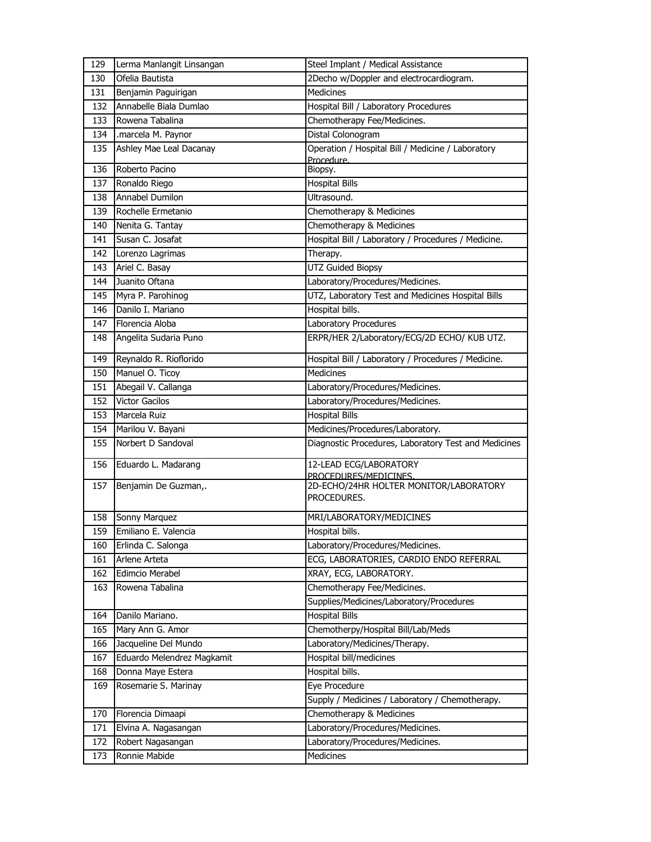| 129 | Lerma Manlangit Linsangan  | Steel Implant / Medical Assistance                              |
|-----|----------------------------|-----------------------------------------------------------------|
| 130 | Ofelia Bautista            | 2Decho w/Doppler and electrocardiogram.                         |
| 131 | Benjamin Paguirigan        | <b>Medicines</b>                                                |
| 132 | Annabelle Biala Dumlao     | Hospital Bill / Laboratory Procedures                           |
| 133 | Rowena Tabalina            | Chemotherapy Fee/Medicines.                                     |
| 134 | .marcela M. Paynor         | Distal Colonogram                                               |
| 135 | Ashley Mae Leal Dacanay    | Operation / Hospital Bill / Medicine / Laboratory<br>Procedure. |
| 136 | Roberto Pacino             | Biopsy.                                                         |
| 137 | Ronaldo Riego              | <b>Hospital Bills</b>                                           |
| 138 | <b>Annabel Dumilon</b>     | Ultrasound.                                                     |
| 139 | Rochelle Ermetanio         | Chemotherapy & Medicines                                        |
| 140 | Nenita G. Tantay           | Chemotherapy & Medicines                                        |
| 141 | Susan C. Josafat           | Hospital Bill / Laboratory / Procedures / Medicine.             |
| 142 | Lorenzo Lagrimas           | Therapy.                                                        |
| 143 | Ariel C. Basay             | <b>UTZ Guided Biopsy</b>                                        |
| 144 | Juanito Oftana             | Laboratory/Procedures/Medicines.                                |
| 145 | Myra P. Parohinog          | UTZ, Laboratory Test and Medicines Hospital Bills               |
| 146 | Danilo I. Mariano          | Hospital bills.                                                 |
| 147 | Florencia Aloba            | Laboratory Procedures                                           |
| 148 | Angelita Sudaria Puno      | ERPR/HER 2/Laboratory/ECG/2D ECHO/ KUB UTZ.                     |
| 149 | Reynaldo R. Rioflorido     | Hospital Bill / Laboratory / Procedures / Medicine.             |
| 150 | Manuel O. Ticoy            | Medicines                                                       |
| 151 | Abegail V. Callanga        | Laboratory/Procedures/Medicines.                                |
| 152 | <b>Victor Gacilos</b>      | Laboratory/Procedures/Medicines.                                |
| 153 | Marcela Ruiz               | <b>Hospital Bills</b>                                           |
| 154 | Marilou V. Bayani          | Medicines/Procedures/Laboratory.                                |
| 155 | Norbert D Sandoval         | Diagnostic Procedures, Laboratory Test and Medicines            |
| 156 | Eduardo L. Madarang        | 12-LEAD ECG/LABORATORY<br>PROCEDURES/MEDICINES.                 |
| 157 | Benjamin De Guzman,.       | 2D-ECHO/24HR HOLTER MONITOR/LABORATORY<br>PROCEDURES.           |
| 158 | Sonny Marquez              | MRI/LABORATORY/MEDICINES                                        |
| 159 | Emiliano E. Valencia       | Hospital bills.                                                 |
| 160 | Erlinda C. Salonga         | Laboratory/Procedures/Medicines.                                |
| 161 | Arlene Arteta              | ECG, LABORATORIES, CARDIO ENDO REFERRAL                         |
| 162 | Edimcio Merabel            | XRAY, ECG, LABORATORY.                                          |
| 163 | Rowena Tabalina            | Chemotherapy Fee/Medicines.                                     |
|     |                            | Supplies/Medicines/Laboratory/Procedures                        |
| 164 | Danilo Mariano.            | <b>Hospital Bills</b>                                           |
| 165 | Mary Ann G. Amor           | Chemotherpy/Hospital Bill/Lab/Meds                              |
| 166 | Jacqueline Del Mundo       | Laboratory/Medicines/Therapy.                                   |
| 167 | Eduardo Melendrez Magkamit | Hospital bill/medicines                                         |
| 168 | Donna Maye Estera          | Hospital bills.                                                 |
| 169 | Rosemarie S. Marinay       | Eye Procedure                                                   |
|     |                            | Supply / Medicines / Laboratory / Chemotherapy.                 |
| 170 | Florencia Dimaapi          | Chemotherapy & Medicines                                        |
| 171 | Elvina A. Nagasangan       | Laboratory/Procedures/Medicines.                                |
| 172 | Robert Nagasangan          | Laboratory/Procedures/Medicines.                                |
| 173 | Ronnie Mabide              | Medicines                                                       |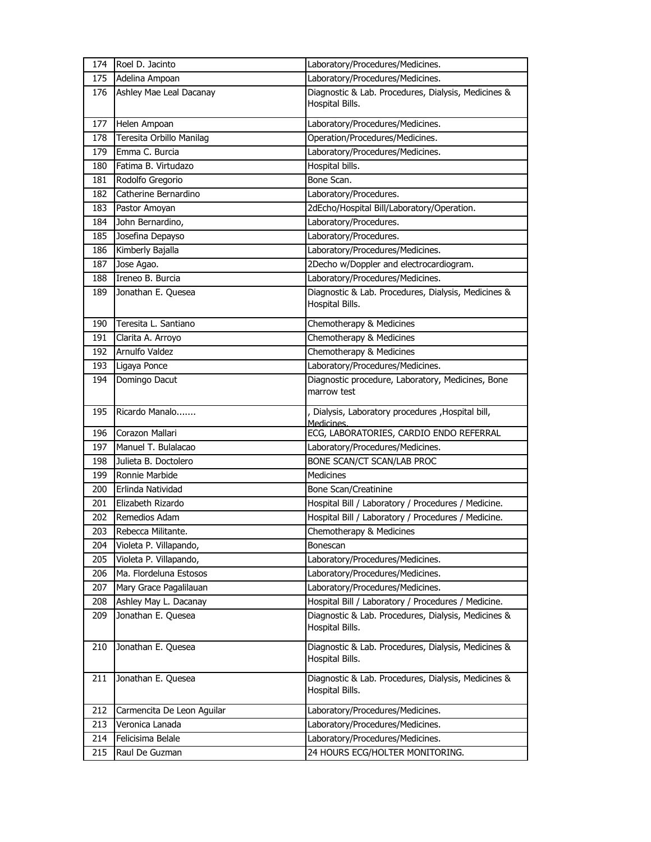| 174 | Roel D. Jacinto            | Laboratory/Procedures/Medicines.                                       |
|-----|----------------------------|------------------------------------------------------------------------|
| 175 | Adelina Ampoan             | Laboratory/Procedures/Medicines.                                       |
| 176 | Ashley Mae Leal Dacanay    | Diagnostic & Lab. Procedures, Dialysis, Medicines &<br>Hospital Bills. |
| 177 | Helen Ampoan               | Laboratory/Procedures/Medicines.                                       |
| 178 | Teresita Orbillo Manilag   | Operation/Procedures/Medicines.                                        |
| 179 | Emma C. Burcia             | Laboratory/Procedures/Medicines.                                       |
| 180 | Fatima B. Virtudazo        | Hospital bills.                                                        |
| 181 | Rodolfo Gregorio           | Bone Scan.                                                             |
| 182 | Catherine Bernardino       | Laboratory/Procedures.                                                 |
| 183 | Pastor Amoyan              | 2dEcho/Hospital Bill/Laboratory/Operation.                             |
| 184 | John Bernardino,           | Laboratory/Procedures.                                                 |
| 185 | Josefina Depayso           | Laboratory/Procedures.                                                 |
| 186 | Kimberly Bajalla           | Laboratory/Procedures/Medicines.                                       |
| 187 | Jose Agao.                 | 2Decho w/Doppler and electrocardiogram.                                |
| 188 | Ireneo B. Burcia           | Laboratory/Procedures/Medicines.                                       |
| 189 | Jonathan E. Quesea         | Diagnostic & Lab. Procedures, Dialysis, Medicines &<br>Hospital Bills. |
| 190 | Teresita L. Santiano       | Chemotherapy & Medicines                                               |
| 191 | Clarita A. Arroyo          | Chemotherapy & Medicines                                               |
| 192 | Arnulfo Valdez             | Chemotherapy & Medicines                                               |
| 193 | Ligaya Ponce               | Laboratory/Procedures/Medicines.                                       |
| 194 | Domingo Dacut              | Diagnostic procedure, Laboratory, Medicines, Bone<br>marrow test       |
| 195 | Ricardo Manalo             | , Dialysis, Laboratory procedures , Hospital bill,<br>Medicines.       |
| 196 | Corazon Mallari            | ECG, LABORATORIES, CARDIO ENDO REFERRAL                                |
| 197 | Manuel T. Bulalacao        | Laboratory/Procedures/Medicines.                                       |
| 198 | Julieta B. Doctolero       | BONE SCAN/CT SCAN/LAB PROC                                             |
| 199 | Ronnie Marbide             | <b>Medicines</b>                                                       |
| 200 | Erlinda Natividad          | Bone Scan/Creatinine                                                   |
| 201 | Elizabeth Rizardo          | Hospital Bill / Laboratory / Procedures / Medicine.                    |
| 202 | Remedios Adam              | Hospital Bill / Laboratory / Procedures / Medicine.                    |
| 203 | Rebecca Militante.         | Chemotherapy & Medicines                                               |
| 204 | Violeta P. Villapando,     | Bonescan                                                               |
| 205 | Violeta P. Villapando,     | Laboratory/Procedures/Medicines.                                       |
| 206 | Ma. Flordeluna Estosos     | Laboratory/Procedures/Medicines.                                       |
| 207 | Mary Grace Pagalilauan     | Laboratory/Procedures/Medicines.                                       |
| 208 | Ashley May L. Dacanay      | Hospital Bill / Laboratory / Procedures / Medicine.                    |
| 209 | Jonathan E. Quesea         | Diagnostic & Lab. Procedures, Dialysis, Medicines &<br>Hospital Bills. |
| 210 | Jonathan E. Quesea         | Diagnostic & Lab. Procedures, Dialysis, Medicines &<br>Hospital Bills. |
| 211 | Jonathan E. Quesea         | Diagnostic & Lab. Procedures, Dialysis, Medicines &<br>Hospital Bills. |
| 212 | Carmencita De Leon Aguilar | Laboratory/Procedures/Medicines.                                       |
| 213 | Veronica Lanada            | Laboratory/Procedures/Medicines.                                       |
| 214 | Felicisima Belale          | Laboratory/Procedures/Medicines.                                       |
| 215 | Raul De Guzman             | 24 HOURS ECG/HOLTER MONITORING.                                        |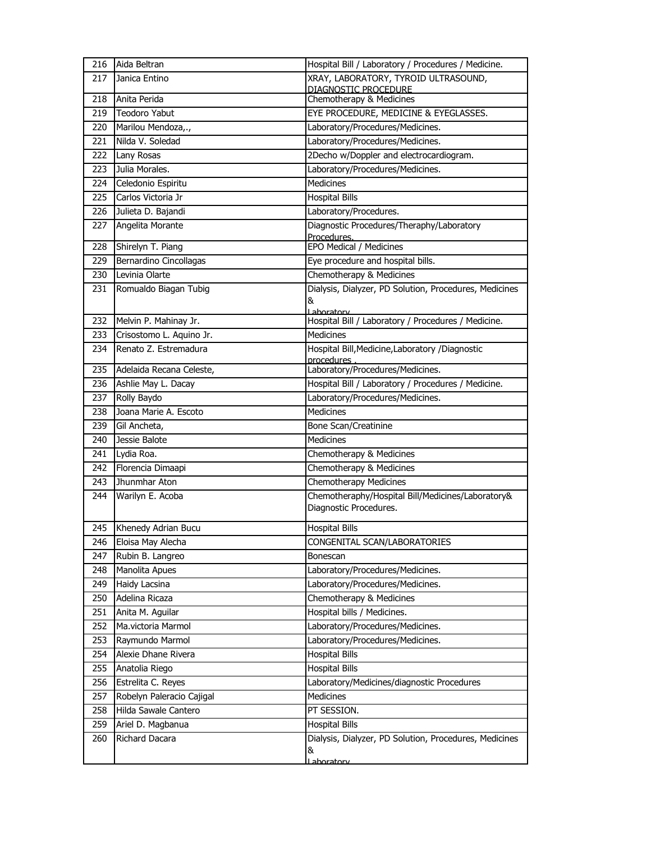| 216 | Aida Beltran              | Hospital Bill / Laboratory / Procedures / Medicine.            |
|-----|---------------------------|----------------------------------------------------------------|
| 217 | Janica Entino             | XRAY, LABORATORY, TYROID ULTRASOUND,                           |
| 218 | Anita Perida              | DIAGNOSTIC PROCEDURE<br>Chemotherapy & Medicines               |
| 219 | <b>Teodoro Yabut</b>      | EYE PROCEDURE, MEDICINE & EYEGLASSES.                          |
| 220 | Marilou Mendoza,.,        | Laboratory/Procedures/Medicines.                               |
| 221 | Nilda V. Soledad          | Laboratory/Procedures/Medicines.                               |
| 222 | Lany Rosas                | 2Decho w/Doppler and electrocardiogram.                        |
| 223 | Julia Morales.            | Laboratory/Procedures/Medicines.                               |
| 224 | Celedonio Espiritu        | <b>Medicines</b>                                               |
| 225 | Carlos Victoria Jr        | <b>Hospital Bills</b>                                          |
| 226 | Julieta D. Bajandi        | Laboratory/Procedures.                                         |
| 227 | Angelita Morante          | Diagnostic Procedures/Theraphy/Laboratory                      |
|     |                           | Procedures.                                                    |
| 228 | Shirelyn T. Piang         | EPO Medical / Medicines                                        |
| 229 | Bernardino Cincollagas    | Eye procedure and hospital bills.                              |
| 230 | Levinia Olarte            | Chemotherapy & Medicines                                       |
| 231 | Romualdo Biagan Tubig     | Dialysis, Dialyzer, PD Solution, Procedures, Medicines<br>&    |
|     |                           | Laboratory                                                     |
| 232 | Melvin P. Mahinay Jr.     | Hospital Bill / Laboratory / Procedures / Medicine.            |
| 233 | Crisostomo L. Aquino Jr.  | <b>Medicines</b>                                               |
| 234 | Renato Z. Estremadura     | Hospital Bill, Medicine, Laboratory / Diagnostic<br>procedures |
| 235 | Adelaida Recana Celeste,  | Laboratory/Procedures/Medicines.                               |
| 236 | Ashlie May L. Dacay       | Hospital Bill / Laboratory / Procedures / Medicine.            |
| 237 | Rolly Baydo               | Laboratory/Procedures/Medicines.                               |
| 238 | Joana Marie A. Escoto     | <b>Medicines</b>                                               |
| 239 | Gil Ancheta,              | Bone Scan/Creatinine                                           |
| 240 | Jessie Balote             | <b>Medicines</b>                                               |
| 241 | Lydia Roa.                | Chemotherapy & Medicines                                       |
| 242 | Florencia Dimaapi         | Chemotherapy & Medicines                                       |
| 243 | Jhunmhar Aton             | <b>Chemotherapy Medicines</b>                                  |
| 244 | Warilyn E. Acoba          | Chemotheraphy/Hospital Bill/Medicines/Laboratory&              |
|     |                           | Diagnostic Procedures.                                         |
| 245 | Khenedy Adrian Bucu       | <b>Hospital Bills</b>                                          |
| 246 | Eloisa May Alecha         | CONGENITAL SCAN/LABORATORIES                                   |
| 247 | Rubin B. Langreo          | Bonescan                                                       |
| 248 | Manolita Apues            | Laboratory/Procedures/Medicines.                               |
| 249 | Haidy Lacsina             | Laboratory/Procedures/Medicines.                               |
| 250 | Adelina Ricaza            | Chemotherapy & Medicines                                       |
| 251 | Anita M. Aguilar          | Hospital bills / Medicines.                                    |
| 252 | Ma.victoria Marmol        | Laboratory/Procedures/Medicines.                               |
| 253 | Raymundo Marmol           | Laboratory/Procedures/Medicines.                               |
| 254 | Alexie Dhane Rivera       | <b>Hospital Bills</b>                                          |
| 255 | Anatolia Riego            | <b>Hospital Bills</b>                                          |
| 256 | Estrelita C. Reyes        | Laboratory/Medicines/diagnostic Procedures                     |
| 257 | Robelyn Paleracio Cajigal | Medicines                                                      |
| 258 | Hilda Sawale Cantero      | PT SESSION.                                                    |
| 259 | Ariel D. Magbanua         | <b>Hospital Bills</b>                                          |
| 260 | Richard Dacara            | Dialysis, Dialyzer, PD Solution, Procedures, Medicines         |
|     |                           | &<br>Laboratory                                                |
|     |                           |                                                                |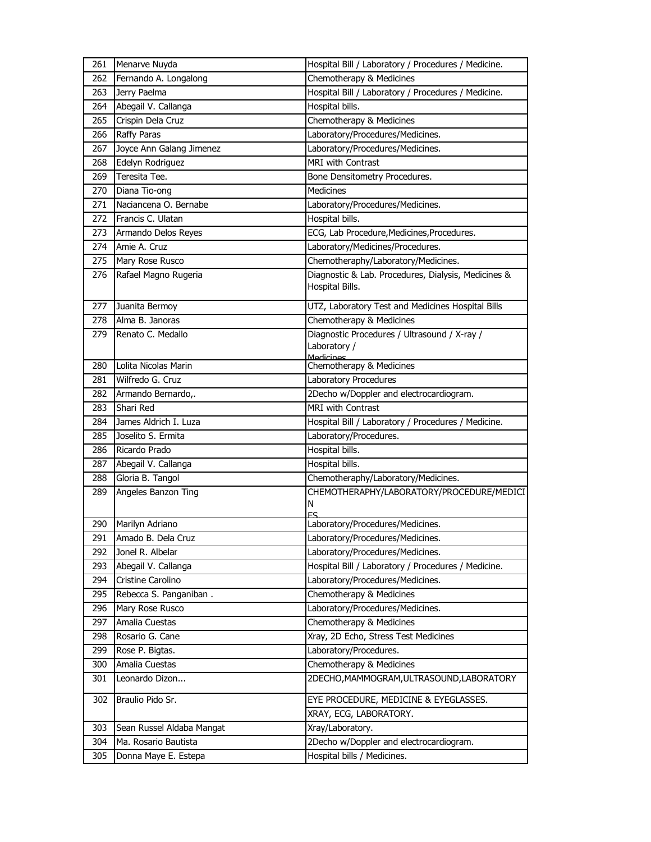| 261 | Menarve Nuyda             | Hospital Bill / Laboratory / Procedures / Medicine.                       |
|-----|---------------------------|---------------------------------------------------------------------------|
| 262 | Fernando A. Longalong     | Chemotherapy & Medicines                                                  |
| 263 | Jerry Paelma              | Hospital Bill / Laboratory / Procedures / Medicine.                       |
| 264 | Abegail V. Callanga       | Hospital bills.                                                           |
| 265 | Crispin Dela Cruz         | Chemotherapy & Medicines                                                  |
| 266 | <b>Raffy Paras</b>        | Laboratory/Procedures/Medicines.                                          |
| 267 | Joyce Ann Galang Jimenez  | Laboratory/Procedures/Medicines.                                          |
| 268 | Edelyn Rodriguez          | <b>MRI with Contrast</b>                                                  |
| 269 | Teresita Tee.             | Bone Densitometry Procedures.                                             |
| 270 | Diana Tio-ong             | <b>Medicines</b>                                                          |
| 271 | Naciancena O. Bernabe     | Laboratory/Procedures/Medicines.                                          |
| 272 | Francis C. Ulatan         | Hospital bills.                                                           |
| 273 | Armando Delos Reyes       | ECG, Lab Procedure, Medicines, Procedures.                                |
| 274 | Amie A. Cruz              | Laboratory/Medicines/Procedures.                                          |
| 275 | Mary Rose Rusco           | Chemotheraphy/Laboratory/Medicines.                                       |
| 276 | Rafael Magno Rugeria      | Diagnostic & Lab. Procedures, Dialysis, Medicines &<br>Hospital Bills.    |
| 277 | Juanita Bermoy            | UTZ, Laboratory Test and Medicines Hospital Bills                         |
| 278 | Alma B. Janoras           | Chemotherapy & Medicines                                                  |
| 279 | Renato C. Medallo         | Diagnostic Procedures / Ultrasound / X-ray /<br>Laboratory /<br>Medicines |
| 280 | Lolita Nicolas Marin      | Chemotherapy & Medicines                                                  |
| 281 | Wilfredo G. Cruz          | Laboratory Procedures                                                     |
| 282 | Armando Bernardo,.        | 2Decho w/Doppler and electrocardiogram.                                   |
| 283 | Shari Red                 | MRI with Contrast                                                         |
| 284 | James Aldrich I. Luza     | Hospital Bill / Laboratory / Procedures / Medicine.                       |
| 285 | Joselito S. Ermita        | Laboratory/Procedures.                                                    |
| 286 | Ricardo Prado             | Hospital bills.                                                           |
| 287 | Abegail V. Callanga       | Hospital bills.                                                           |
| 288 | Gloria B. Tangol          | Chemotheraphy/Laboratory/Medicines.                                       |
| 289 | Angeles Banzon Ting       | CHEMOTHERAPHY/LABORATORY/PROCEDURE/MEDICI<br>Ν                            |
| 290 | Marilyn Adriano           | Laboratory/Procedures/Medicines.                                          |
| 291 | Amado B. Dela Cruz        | Laboratory/Procedures/Medicines.                                          |
| 292 | Jonel R. Albelar          | Laboratory/Procedures/Medicines.                                          |
| 293 | Abegail V. Callanga       | Hospital Bill / Laboratory / Procedures / Medicine.                       |
| 294 | Cristine Carolino         | Laboratory/Procedures/Medicines.                                          |
| 295 | Rebecca S. Panganiban.    | Chemotherapy & Medicines                                                  |
| 296 | Mary Rose Rusco           | Laboratory/Procedures/Medicines.                                          |
| 297 | Amalia Cuestas            | Chemotherapy & Medicines                                                  |
| 298 | Rosario G. Cane           | Xray, 2D Echo, Stress Test Medicines                                      |
| 299 | Rose P. Bigtas.           | Laboratory/Procedures.                                                    |
| 300 | Amalia Cuestas            | Chemotherapy & Medicines                                                  |
| 301 | Leonardo Dizon            | 2DECHO, MAMMOGRAM, ULTRASOUND, LABORATORY                                 |
| 302 | Braulio Pido Sr.          | EYE PROCEDURE, MEDICINE & EYEGLASSES.                                     |
|     |                           | XRAY, ECG, LABORATORY.                                                    |
| 303 | Sean Russel Aldaba Mangat | Xray/Laboratory.                                                          |
| 304 | Ma. Rosario Bautista      | 2Decho w/Doppler and electrocardiogram.                                   |
| 305 | Donna Maye E. Estepa      | Hospital bills / Medicines.                                               |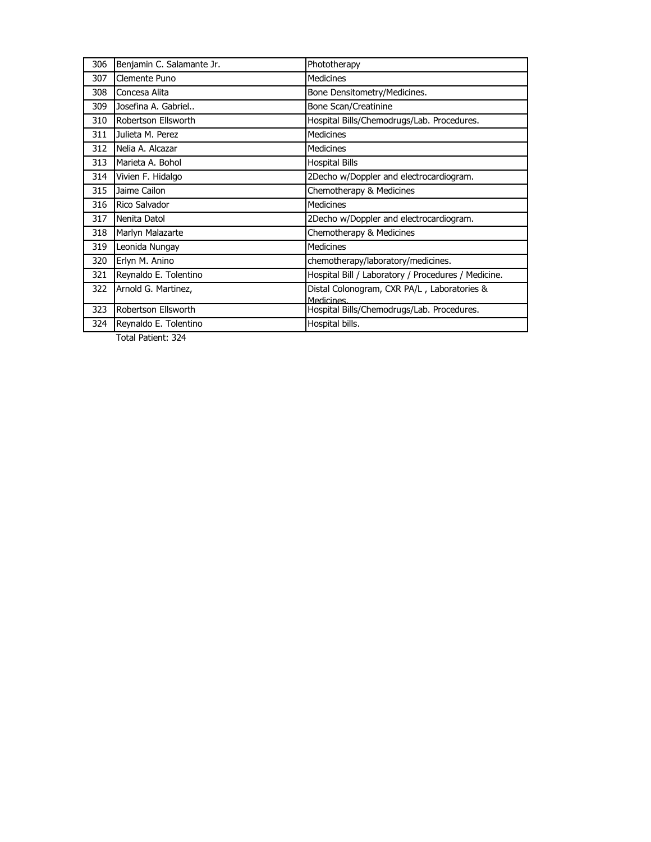| 306 | Benjamin C. Salamante Jr. | Phototherapy                                              |
|-----|---------------------------|-----------------------------------------------------------|
| 307 | Clemente Puno             | Medicines                                                 |
| 308 | Concesa Alita             | Bone Densitometry/Medicines.                              |
| 309 | Josefina A. Gabriel       | Bone Scan/Creatinine                                      |
| 310 | Robertson Ellsworth       | Hospital Bills/Chemodrugs/Lab. Procedures.                |
| 311 | Julieta M. Perez          | <b>Medicines</b>                                          |
| 312 | Nelia A. Alcazar          | <b>Medicines</b>                                          |
| 313 | Marieta A. Bohol          | <b>Hospital Bills</b>                                     |
| 314 | Vivien F. Hidalgo         | 2Decho w/Doppler and electrocardiogram.                   |
| 315 | Jaime Cailon              | Chemotherapy & Medicines                                  |
| 316 | Rico Salvador             | <b>Medicines</b>                                          |
| 317 | Nenita Datol              | 2Decho w/Doppler and electrocardiogram.                   |
| 318 | Marlyn Malazarte          | Chemotherapy & Medicines                                  |
| 319 | Leonida Nungay            | <b>Medicines</b>                                          |
| 320 | Erlyn M. Anino            | chemotherapy/laboratory/medicines.                        |
| 321 | Reynaldo E. Tolentino     | Hospital Bill / Laboratory / Procedures / Medicine.       |
| 322 | Arnold G. Martinez,       | Distal Colonogram, CXR PA/L, Laboratories &<br>Medicines. |
| 323 | Robertson Ellsworth       | Hospital Bills/Chemodrugs/Lab. Procedures.                |
| 324 | Reynaldo E. Tolentino     | Hospital bills.                                           |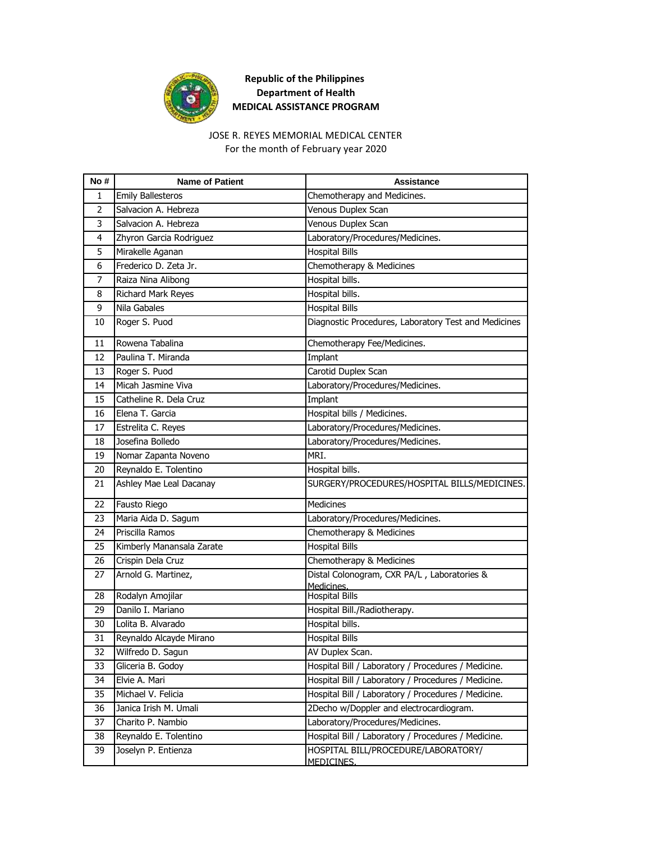

# JOSE R. REYES MEMORIAL MEDICAL CENTER

For the month of February year 2020

| No#            | <b>Name of Patient</b>    | Assistance                                                |
|----------------|---------------------------|-----------------------------------------------------------|
| 1              | <b>Emily Ballesteros</b>  | Chemotherapy and Medicines.                               |
| 2              | Salvacion A. Hebreza      | Venous Duplex Scan                                        |
| 3              | Salvacion A. Hebreza      | Venous Duplex Scan                                        |
| $\overline{4}$ | Zhyron Garcia Rodriguez   | Laboratory/Procedures/Medicines.                          |
| 5              | Mirakelle Aganan          | <b>Hospital Bills</b>                                     |
| 6              | Frederico D. Zeta Jr.     | Chemotherapy & Medicines                                  |
| 7              | Raiza Nina Alibong        | Hospital bills.                                           |
| 8              | Richard Mark Reyes        | Hospital bills.                                           |
| 9              | Nila Gabales              | <b>Hospital Bills</b>                                     |
| 10             | Roger S. Puod             | Diagnostic Procedures, Laboratory Test and Medicines      |
| 11             | Rowena Tabalina           | Chemotherapy Fee/Medicines.                               |
| 12             | Paulina T. Miranda        | Implant                                                   |
| 13             | Roger S. Puod             | Carotid Duplex Scan                                       |
| 14             | Micah Jasmine Viva        | Laboratory/Procedures/Medicines.                          |
| 15             | Catheline R. Dela Cruz    | Implant                                                   |
| 16             | Elena T. Garcia           | Hospital bills / Medicines.                               |
| 17             | Estrelita C. Reyes        | Laboratory/Procedures/Medicines.                          |
| 18             | Josefina Bolledo          | Laboratory/Procedures/Medicines.                          |
| 19             | Nomar Zapanta Noveno      | MRI.                                                      |
| 20             | Reynaldo E. Tolentino     | Hospital bills.                                           |
| 21             | Ashley Mae Leal Dacanay   | SURGERY/PROCEDURES/HOSPITAL BILLS/MEDICINES.              |
| 22             | Fausto Riego              | <b>Medicines</b>                                          |
| 23             | Maria Aida D. Sagum       | Laboratory/Procedures/Medicines.                          |
| 24             | Priscilla Ramos           | Chemotherapy & Medicines                                  |
| 25             | Kimberly Manansala Zarate | <b>Hospital Bills</b>                                     |
| 26             | Crispin Dela Cruz         | Chemotherapy & Medicines                                  |
| 27             | Arnold G. Martinez,       | Distal Colonogram, CXR PA/L, Laboratories &<br>Medicines. |
| 28             | Rodalyn Amojilar          | <b>Hospital Bills</b>                                     |
| 29             | Danilo I. Mariano         | Hospital Bill./Radiotherapy.                              |
| 30             | Lolita B. Alvarado        | Hospital bills.                                           |
| 31             | Reynaldo Alcayde Mirano   | <b>Hospital Bills</b>                                     |
| 32             | Wilfredo D. Sagun         | AV Duplex Scan.                                           |
| 33             | Gliceria B. Godoy         | Hospital Bill / Laboratory / Procedures / Medicine.       |
| 34             | Elvie A. Mari             | Hospital Bill / Laboratory / Procedures / Medicine.       |
| 35             | Michael V. Felicia        | Hospital Bill / Laboratory / Procedures / Medicine.       |
| 36             | Janica Irish M. Umali     | 2Decho w/Doppler and electrocardiogram.                   |
| 37             | Charito P. Nambio         | Laboratory/Procedures/Medicines.                          |
| 38             | Reynaldo E. Tolentino     | Hospital Bill / Laboratory / Procedures / Medicine.       |
| 39             | Joselyn P. Entienza       | HOSPITAL BILL/PROCEDURE/LABORATORY/<br>MEDICINES.         |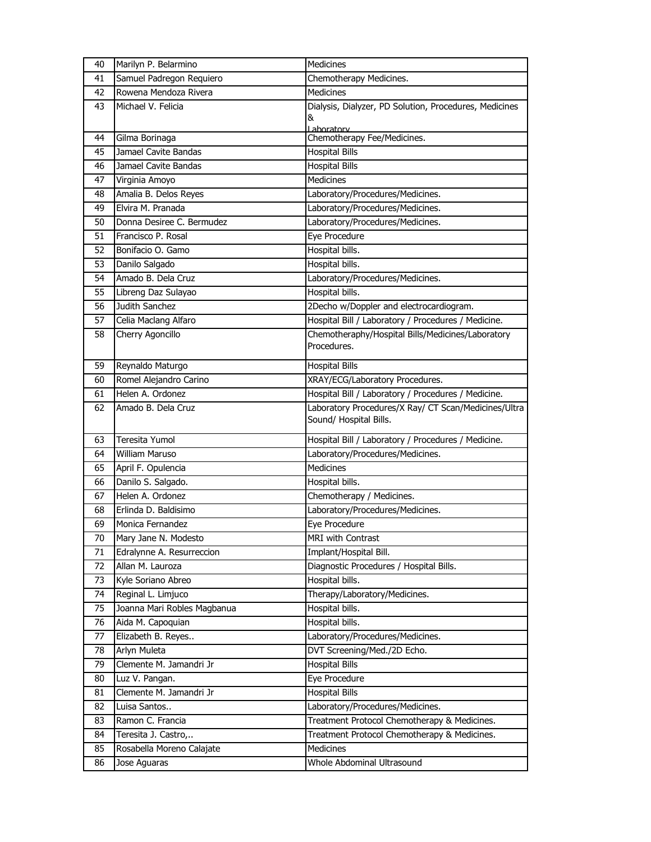| 40 | Marilyn P. Belarmino        | Medicines                                              |
|----|-----------------------------|--------------------------------------------------------|
| 41 | Samuel Padregon Requiero    | Chemotherapy Medicines.                                |
| 42 | Rowena Mendoza Rivera       | Medicines                                              |
| 43 | Michael V. Felicia          | Dialysis, Dialyzer, PD Solution, Procedures, Medicines |
|    |                             | &                                                      |
| 44 | Gilma Borinaga              | Laboratory<br>Chemotherapy Fee/Medicines.              |
| 45 | Jamael Cavite Bandas        | <b>Hospital Bills</b>                                  |
| 46 | Jamael Cavite Bandas        | <b>Hospital Bills</b>                                  |
| 47 | Virginia Amoyo              | Medicines                                              |
| 48 | Amalia B. Delos Reyes       | Laboratory/Procedures/Medicines.                       |
| 49 | Elvira M. Pranada           | Laboratory/Procedures/Medicines.                       |
| 50 | Donna Desiree C. Bermudez   | Laboratory/Procedures/Medicines.                       |
| 51 | Francisco P. Rosal          | Eye Procedure                                          |
| 52 | Bonifacio O. Gamo           | Hospital bills.                                        |
| 53 | Danilo Salgado              | Hospital bills.                                        |
| 54 | Amado B. Dela Cruz          | Laboratory/Procedures/Medicines.                       |
| 55 | Libreng Daz Sulayao         | Hospital bills.                                        |
| 56 | Judith Sanchez              | 2Decho w/Doppler and electrocardiogram.                |
| 57 | Celia Maclang Alfaro        | Hospital Bill / Laboratory / Procedures / Medicine.    |
| 58 | Cherry Agoncillo            | Chemotheraphy/Hospital Bills/Medicines/Laboratory      |
|    |                             | Procedures.                                            |
| 59 | Reynaldo Maturgo            | <b>Hospital Bills</b>                                  |
| 60 | Romel Alejandro Carino      | XRAY/ECG/Laboratory Procedures.                        |
| 61 | Helen A. Ordonez            | Hospital Bill / Laboratory / Procedures / Medicine.    |
| 62 | Amado B. Dela Cruz          | Laboratory Procedures/X Ray/ CT Scan/Medicines/Ultra   |
|    |                             | Sound/ Hospital Bills.                                 |
| 63 | Teresita Yumol              | Hospital Bill / Laboratory / Procedures / Medicine.    |
| 64 | <b>William Maruso</b>       | Laboratory/Procedures/Medicines.                       |
| 65 | April F. Opulencia          | <b>Medicines</b>                                       |
| 66 | Danilo S. Salgado.          | Hospital bills.                                        |
| 67 | Helen A. Ordonez            | Chemotherapy / Medicines.                              |
| 68 | Erlinda D. Baldisimo        | Laboratory/Procedures/Medicines.                       |
| 69 | Monica Fernandez            | Eye Procedure                                          |
| 70 | Mary Jane N. Modesto        | MRI with Contrast                                      |
| 71 | Edralynne A. Resurreccion   | Implant/Hospital Bill.                                 |
| 72 | Allan M. Lauroza            | Diagnostic Procedures / Hospital Bills.                |
| 73 | Kyle Soriano Abreo          | Hospital bills.                                        |
| 74 | Reginal L. Limjuco          | Therapy/Laboratory/Medicines.                          |
| 75 | Joanna Mari Robles Magbanua | Hospital bills.                                        |
| 76 | Aida M. Capoquian           | Hospital bills.                                        |
| 77 | Elizabeth B. Reyes          | Laboratory/Procedures/Medicines.                       |
| 78 | Arlyn Muleta                | DVT Screening/Med./2D Echo.                            |
| 79 | Clemente M. Jamandri Jr     | <b>Hospital Bills</b>                                  |
| 80 | Luz V. Pangan.              | Eye Procedure                                          |
| 81 | Clemente M. Jamandri Jr     | <b>Hospital Bills</b>                                  |
| 82 | Luisa Santos                | Laboratory/Procedures/Medicines.                       |
| 83 | Ramon C. Francia            | Treatment Protocol Chemotherapy & Medicines.           |
| 84 | Teresita J. Castro,         | Treatment Protocol Chemotherapy & Medicines.           |
| 85 | Rosabella Moreno Calajate   | Medicines                                              |
| 86 | Jose Aguaras                | Whole Abdominal Ultrasound                             |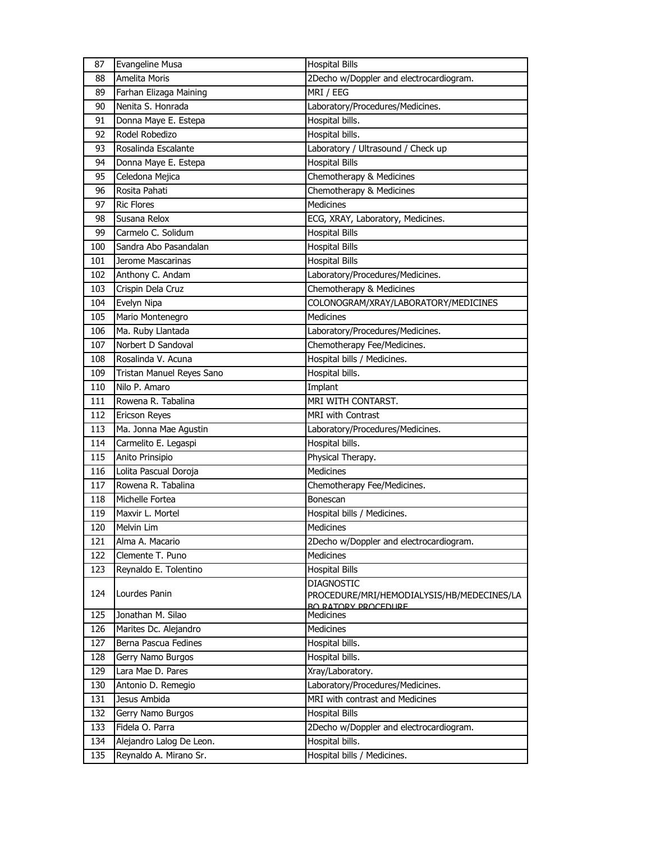| 87  | Evangeline Musa           | <b>Hospital Bills</b>                      |
|-----|---------------------------|--------------------------------------------|
| 88  | Amelita Moris             | 2Decho w/Doppler and electrocardiogram.    |
| 89  | Farhan Elizaga Maining    | MRI / EEG                                  |
| 90  | Nenita S. Honrada         | Laboratory/Procedures/Medicines.           |
| 91  | Donna Maye E. Estepa      | Hospital bills.                            |
| 92  | Rodel Robedizo            | Hospital bills.                            |
| 93  | Rosalinda Escalante       | Laboratory / Ultrasound / Check up         |
| 94  | Donna Maye E. Estepa      | <b>Hospital Bills</b>                      |
| 95  | Celedona Mejica           | Chemotherapy & Medicines                   |
| 96  | Rosita Pahati             | Chemotherapy & Medicines                   |
| 97  | <b>Ric Flores</b>         | Medicines                                  |
| 98  | Susana Relox              | ECG, XRAY, Laboratory, Medicines.          |
| 99  | Carmelo C. Solidum        | <b>Hospital Bills</b>                      |
| 100 | Sandra Abo Pasandalan     | <b>Hospital Bills</b>                      |
| 101 | Jerome Mascarinas         | <b>Hospital Bills</b>                      |
| 102 | Anthony C. Andam          | Laboratory/Procedures/Medicines.           |
| 103 | Crispin Dela Cruz         | Chemotherapy & Medicines                   |
| 104 | Evelyn Nipa               | COLONOGRAM/XRAY/LABORATORY/MEDICINES       |
| 105 | Mario Montenegro          | <b>Medicines</b>                           |
| 106 | Ma. Ruby Llantada         | Laboratory/Procedures/Medicines.           |
| 107 | Norbert D Sandoval        | Chemotherapy Fee/Medicines.                |
| 108 | Rosalinda V. Acuna        | Hospital bills / Medicines.                |
| 109 | Tristan Manuel Reyes Sano | Hospital bills.                            |
| 110 | Nilo P. Amaro             | Implant                                    |
| 111 | Rowena R. Tabalina        | MRI WITH CONTARST.                         |
| 112 | <b>Ericson Reyes</b>      | <b>MRI</b> with Contrast                   |
| 113 | Ma. Jonna Mae Agustin     | Laboratory/Procedures/Medicines.           |
| 114 | Carmelito E. Legaspi      | Hospital bills.                            |
| 115 | Anito Prinsipio           | Physical Therapy.                          |
| 116 | Lolita Pascual Doroja     | <b>Medicines</b>                           |
| 117 | Rowena R. Tabalina        | Chemotherapy Fee/Medicines.                |
| 118 | Michelle Fortea           | <b>Bonescan</b>                            |
| 119 | Maxvir L. Mortel          | Hospital bills / Medicines.                |
| 120 | Melvin Lim                | Medicines                                  |
| 121 | Alma A. Macario           | 2Decho w/Doppler and electrocardiogram.    |
| 122 | Clemente T. Puno          | Medicines                                  |
| 123 | Reynaldo E. Tolentino     | <b>Hospital Bills</b>                      |
|     |                           | <b>DIAGNOSTIC</b>                          |
| 124 | Lourdes Panin             | PROCEDURE/MRI/HEMODIALYSIS/HB/MEDECINES/LA |
| 125 | Jonathan M. Silao         | <b>BO RATORY PROCEDURE</b><br>Medicines    |
| 126 | Marites Dc. Alejandro     | Medicines                                  |
| 127 | Berna Pascua Fedines      | Hospital bills.                            |
| 128 | Gerry Namo Burgos         | Hospital bills.                            |
| 129 | Lara Mae D. Pares         | Xray/Laboratory.                           |
| 130 | Antonio D. Remegio        | Laboratory/Procedures/Medicines.           |
| 131 | Jesus Ambida              | MRI with contrast and Medicines            |
| 132 | Gerry Namo Burgos         | <b>Hospital Bills</b>                      |
| 133 | Fidela O. Parra           | 2Decho w/Doppler and electrocardiogram.    |
| 134 | Alejandro Lalog De Leon.  | Hospital bills.                            |
| 135 | Reynaldo A. Mirano Sr.    | Hospital bills / Medicines.                |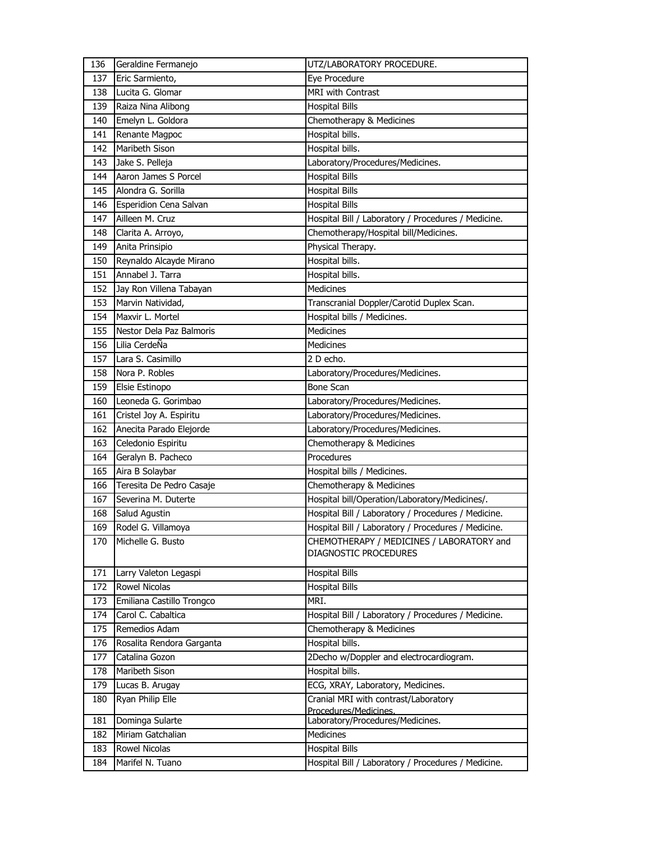| 136 | Geraldine Fermanejo       | UTZ/LABORATORY PROCEDURE.                                          |
|-----|---------------------------|--------------------------------------------------------------------|
| 137 | Eric Sarmiento,           | Eye Procedure                                                      |
| 138 | Lucita G. Glomar          | MRI with Contrast                                                  |
| 139 | Raiza Nina Alibong        | <b>Hospital Bills</b>                                              |
| 140 | Emelyn L. Goldora         | Chemotherapy & Medicines                                           |
| 141 | Renante Magpoc            | Hospital bills.                                                    |
| 142 | Maribeth Sison            | Hospital bills.                                                    |
| 143 | Jake S. Pelleja           | Laboratory/Procedures/Medicines.                                   |
| 144 | Aaron James S Porcel      | <b>Hospital Bills</b>                                              |
| 145 | Alondra G. Sorilla        | <b>Hospital Bills</b>                                              |
| 146 | Esperidion Cena Salvan    | <b>Hospital Bills</b>                                              |
| 147 | Ailleen M. Cruz           | Hospital Bill / Laboratory / Procedures / Medicine.                |
| 148 | Clarita A. Arroyo,        | Chemotherapy/Hospital bill/Medicines.                              |
| 149 | Anita Prinsipio           | Physical Therapy.                                                  |
| 150 | Reynaldo Alcayde Mirano   | Hospital bills.                                                    |
| 151 | Annabel J. Tarra          | Hospital bills.                                                    |
| 152 | Jay Ron Villena Tabayan   | <b>Medicines</b>                                                   |
| 153 | Marvin Natividad,         | Transcranial Doppler/Carotid Duplex Scan.                          |
| 154 | Maxvir L. Mortel          | Hospital bills / Medicines.                                        |
| 155 | Nestor Dela Paz Balmoris  | <b>Medicines</b>                                                   |
| 156 | Lilia CerdeÑa             | <b>Medicines</b>                                                   |
| 157 | Lara S. Casimillo         | 2 D echo.                                                          |
| 158 | Nora P. Robles            | Laboratory/Procedures/Medicines.                                   |
| 159 | Elsie Estinopo            | <b>Bone Scan</b>                                                   |
| 160 | Leoneda G. Gorimbao       | Laboratory/Procedures/Medicines.                                   |
| 161 | Cristel Joy A. Espiritu   | Laboratory/Procedures/Medicines.                                   |
| 162 | Anecita Parado Elejorde   | Laboratory/Procedures/Medicines.                                   |
| 163 | Celedonio Espiritu        | Chemotherapy & Medicines                                           |
| 164 | Geralyn B. Pacheco        | Procedures                                                         |
| 165 | Aira B Solaybar           | Hospital bills / Medicines.                                        |
| 166 | Teresita De Pedro Casaje  | Chemotherapy & Medicines                                           |
| 167 | Severina M. Duterte       | Hospital bill/Operation/Laboratory/Medicines/.                     |
| 168 | Salud Agustin             | Hospital Bill / Laboratory / Procedures / Medicine.                |
| 169 | Rodel G. Villamoya        | Hospital Bill / Laboratory / Procedures / Medicine.                |
| 170 | Michelle G. Busto         | CHEMOTHERAPY / MEDICINES / LABORATORY and<br>DIAGNOSTIC PROCEDURES |
| 171 | Larry Valeton Legaspi     | <b>Hospital Bills</b>                                              |
| 172 | Rowel Nicolas             | <b>Hospital Bills</b>                                              |
| 173 | Emiliana Castillo Trongco | MRI.                                                               |
| 174 | Carol C. Cabaltica        | Hospital Bill / Laboratory / Procedures / Medicine.                |
| 175 | Remedios Adam             | Chemotherapy & Medicines                                           |
| 176 | Rosalita Rendora Garganta | Hospital bills.                                                    |
| 177 | Catalina Gozon            | 2Decho w/Doppler and electrocardiogram.                            |
| 178 | Maribeth Sison            | Hospital bills.                                                    |
| 179 | Lucas B. Arugay           | ECG, XRAY, Laboratory, Medicines.                                  |
| 180 | Ryan Philip Elle          | Cranial MRI with contrast/Laboratory<br>Procedures/Medicines.      |
| 181 | Dominga Sularte           | Laboratory/Procedures/Medicines.                                   |
| 182 | Miriam Gatchalian         | Medicines                                                          |
| 183 | Rowel Nicolas             | <b>Hospital Bills</b>                                              |
| 184 | Marifel N. Tuano          | Hospital Bill / Laboratory / Procedures / Medicine.                |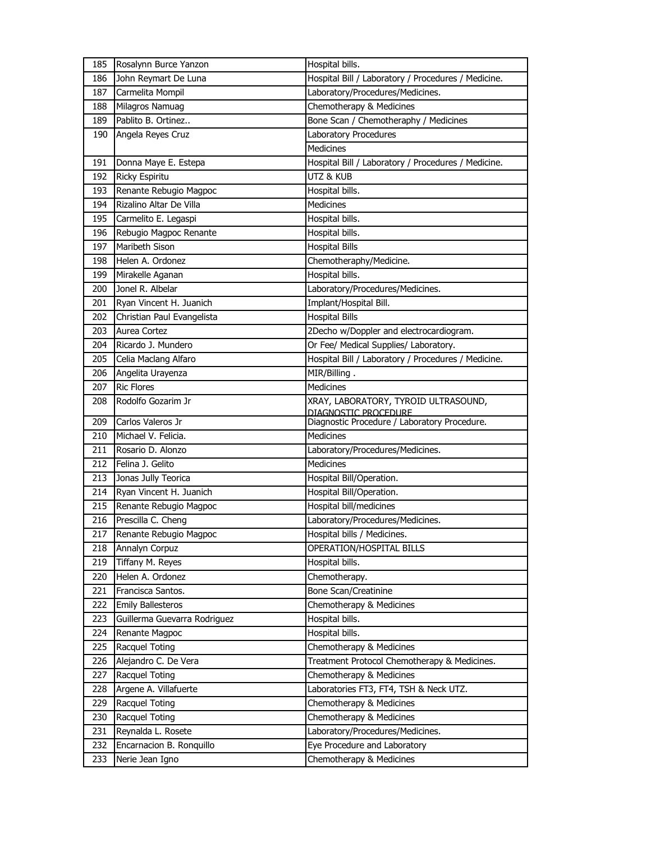| 185 | Rosalynn Burce Yanzon        | Hospital bills.                                                      |
|-----|------------------------------|----------------------------------------------------------------------|
| 186 | John Reymart De Luna         | Hospital Bill / Laboratory / Procedures / Medicine.                  |
| 187 | Carmelita Mompil             | Laboratory/Procedures/Medicines.                                     |
| 188 | Milagros Namuag              | Chemotherapy & Medicines                                             |
| 189 | Pablito B. Ortinez           | Bone Scan / Chemotheraphy / Medicines                                |
| 190 | Angela Reyes Cruz            | Laboratory Procedures                                                |
|     |                              | Medicines                                                            |
| 191 | Donna Maye E. Estepa         | Hospital Bill / Laboratory / Procedures / Medicine.                  |
| 192 | <b>Ricky Espiritu</b>        | UTZ & KUB                                                            |
| 193 | Renante Rebugio Magpoc       | Hospital bills.                                                      |
| 194 | Rizalino Altar De Villa      | Medicines                                                            |
| 195 | Carmelito E. Legaspi         | Hospital bills.                                                      |
| 196 | Rebugio Magpoc Renante       | Hospital bills.                                                      |
| 197 | Maribeth Sison               | <b>Hospital Bills</b>                                                |
| 198 | Helen A. Ordonez             | Chemotheraphy/Medicine.                                              |
| 199 | Mirakelle Aganan             | Hospital bills.                                                      |
| 200 | Jonel R. Albelar             | Laboratory/Procedures/Medicines.                                     |
| 201 | Ryan Vincent H. Juanich      | Implant/Hospital Bill.                                               |
| 202 | Christian Paul Evangelista   | <b>Hospital Bills</b>                                                |
| 203 | Aurea Cortez                 | 2Decho w/Doppler and electrocardiogram.                              |
| 204 | Ricardo J. Mundero           | Or Fee/ Medical Supplies/ Laboratory.                                |
| 205 | Celia Maclang Alfaro         | Hospital Bill / Laboratory / Procedures / Medicine.                  |
| 206 | Angelita Urayenza            | MIR/Billing.                                                         |
| 207 | <b>Ric Flores</b>            | Medicines                                                            |
| 208 | Rodolfo Gozarim Jr           | XRAY, LABORATORY, TYROID ULTRASOUND,                                 |
| 209 | Carlos Valeros Jr            | DIAGNOSTIC PROCEDURE<br>Diagnostic Procedure / Laboratory Procedure. |
| 210 | Michael V. Felicia.          | <b>Medicines</b>                                                     |
| 211 | Rosario D. Alonzo            | Laboratory/Procedures/Medicines.                                     |
| 212 | Felina J. Gelito             | <b>Medicines</b>                                                     |
| 213 | Jonas Jully Teorica          | Hospital Bill/Operation.                                             |
| 214 | Ryan Vincent H. Juanich      | Hospital Bill/Operation.                                             |
| 215 | Renante Rebugio Magpoc       | Hospital bill/medicines                                              |
| 216 | Prescilla C. Cheng           | Laboratory/Procedures/Medicines.                                     |
| 217 | Renante Rebugio Magpoc       | Hospital bills / Medicines.                                          |
| 218 | Annalyn Corpuz               | OPERATION/HOSPITAL BILLS                                             |
| 219 | Tiffany M. Reyes             | Hospital bills.                                                      |
| 220 | Helen A. Ordonez             | Chemotherapy.                                                        |
| 221 | Francisca Santos.            | <b>Bone Scan/Creatinine</b>                                          |
| 222 | <b>Emily Ballesteros</b>     | Chemotherapy & Medicines                                             |
| 223 | Guillerma Guevarra Rodriguez | Hospital bills.                                                      |
| 224 | Renante Magpoc               | Hospital bills.                                                      |
| 225 | Racquel Toting               | Chemotherapy & Medicines                                             |
| 226 | Alejandro C. De Vera         | Treatment Protocol Chemotherapy & Medicines.                         |
| 227 | Racquel Toting               | Chemotherapy & Medicines                                             |
| 228 | Argene A. Villafuerte        | Laboratories FT3, FT4, TSH & Neck UTZ.                               |
| 229 | Racquel Toting               | Chemotherapy & Medicines                                             |
| 230 | Racquel Toting               | Chemotherapy & Medicines                                             |
| 231 | Reynalda L. Rosete           | Laboratory/Procedures/Medicines.                                     |
| 232 | Encarnacion B. Ronquillo     | Eye Procedure and Laboratory                                         |
| 233 | Nerie Jean Igno              | Chemotherapy & Medicines                                             |
|     |                              |                                                                      |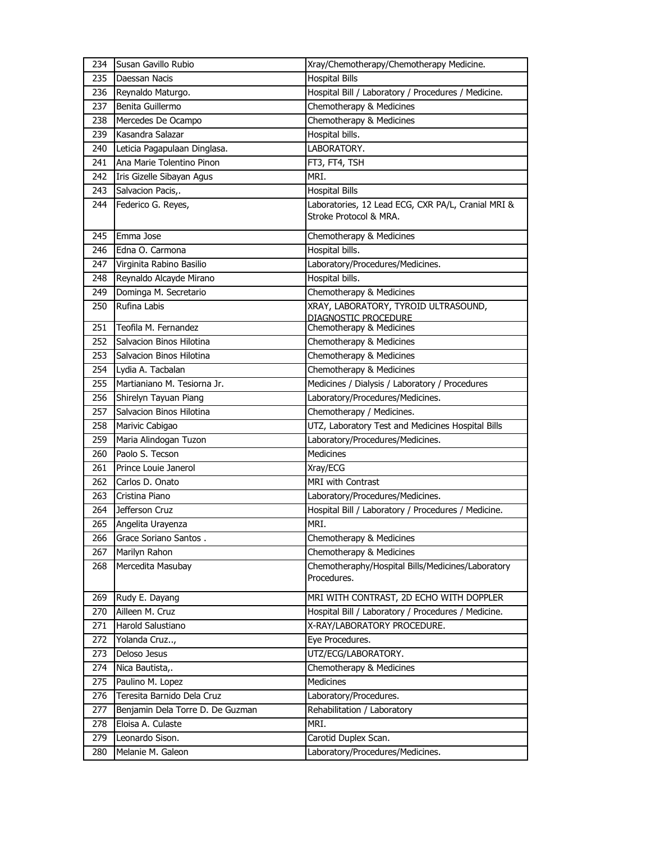| 234 | Susan Gavillo Rubio              | Xray/Chemotherapy/Chemotherapy Medicine.                                     |
|-----|----------------------------------|------------------------------------------------------------------------------|
| 235 | Daessan Nacis                    | <b>Hospital Bills</b>                                                        |
| 236 | Reynaldo Maturgo.                | Hospital Bill / Laboratory / Procedures / Medicine.                          |
| 237 | Benita Guillermo                 | Chemotherapy & Medicines                                                     |
| 238 | Mercedes De Ocampo               | Chemotherapy & Medicines                                                     |
| 239 | Kasandra Salazar                 | Hospital bills.                                                              |
| 240 | Leticia Pagapulaan Dinglasa.     | LABORATORY.                                                                  |
| 241 | Ana Marie Tolentino Pinon        | FT3, FT4, TSH                                                                |
| 242 | Iris Gizelle Sibayan Agus        | MRI.                                                                         |
| 243 | Salvacion Pacis,.                | <b>Hospital Bills</b>                                                        |
| 244 | Federico G. Reyes,               | Laboratories, 12 Lead ECG, CXR PA/L, Cranial MRI &<br>Stroke Protocol & MRA. |
| 245 | Emma Jose                        | Chemotherapy & Medicines                                                     |
| 246 | Edna O. Carmona                  | Hospital bills.                                                              |
| 247 | Virginita Rabino Basilio         | Laboratory/Procedures/Medicines.                                             |
| 248 | Reynaldo Alcayde Mirano          | Hospital bills.                                                              |
| 249 | Dominga M. Secretario            | Chemotherapy & Medicines                                                     |
| 250 | Rufina Labis                     | XRAY, LABORATORY, TYROID ULTRASOUND,<br>DIAGNOSTIC PROCEDURE                 |
| 251 | Teofila M. Fernandez             | Chemotherapy & Medicines                                                     |
| 252 | Salvacion Binos Hilotina         | Chemotherapy & Medicines                                                     |
| 253 | Salvacion Binos Hilotina         | Chemotherapy & Medicines                                                     |
| 254 | Lydia A. Tacbalan                | Chemotherapy & Medicines                                                     |
| 255 | Martianiano M. Tesiorna Jr.      | Medicines / Dialysis / Laboratory / Procedures                               |
| 256 | Shirelyn Tayuan Piang            | Laboratory/Procedures/Medicines.                                             |
| 257 | Salvacion Binos Hilotina         | Chemotherapy / Medicines.                                                    |
| 258 | Marivic Cabigao                  | UTZ, Laboratory Test and Medicines Hospital Bills                            |
| 259 | Maria Alindogan Tuzon            | Laboratory/Procedures/Medicines.                                             |
| 260 | Paolo S. Tecson                  | <b>Medicines</b>                                                             |
| 261 | Prince Louie Janerol             | Xray/ECG                                                                     |
| 262 | Carlos D. Onato                  | MRI with Contrast                                                            |
| 263 | Cristina Piano                   | Laboratory/Procedures/Medicines.                                             |
| 264 | Jefferson Cruz                   | Hospital Bill / Laboratory / Procedures / Medicine.                          |
| 265 | Angelita Urayenza                | MRI.                                                                         |
| 266 | Grace Soriano Santos.            | Chemotherapy & Medicines                                                     |
| 267 | Marilyn Rahon                    | Chemotherapy & Medicines                                                     |
| 268 | Mercedita Masubay                | Chemotheraphy/Hospital Bills/Medicines/Laboratory<br>Procedures.             |
| 269 | Rudy E. Dayang                   | MRI WITH CONTRAST, 2D ECHO WITH DOPPLER                                      |
| 270 | Ailleen M. Cruz                  | Hospital Bill / Laboratory / Procedures / Medicine.                          |
| 271 | Harold Salustiano                | X-RAY/LABORATORY PROCEDURE.                                                  |
| 272 | Yolanda Cruz,                    | Eye Procedures.                                                              |
| 273 | Deloso Jesus                     | UTZ/ECG/LABORATORY.                                                          |
| 274 | Nica Bautista,.                  | Chemotherapy & Medicines                                                     |
| 275 | Paulino M. Lopez                 | Medicines                                                                    |
| 276 | Teresita Barnido Dela Cruz       | Laboratory/Procedures.                                                       |
| 277 | Benjamin Dela Torre D. De Guzman | Rehabilitation / Laboratory                                                  |
| 278 | Eloisa A. Culaste                | MRI.                                                                         |
| 279 | Leonardo Sison.                  | Carotid Duplex Scan.                                                         |
| 280 | Melanie M. Galeon                | Laboratory/Procedures/Medicines.                                             |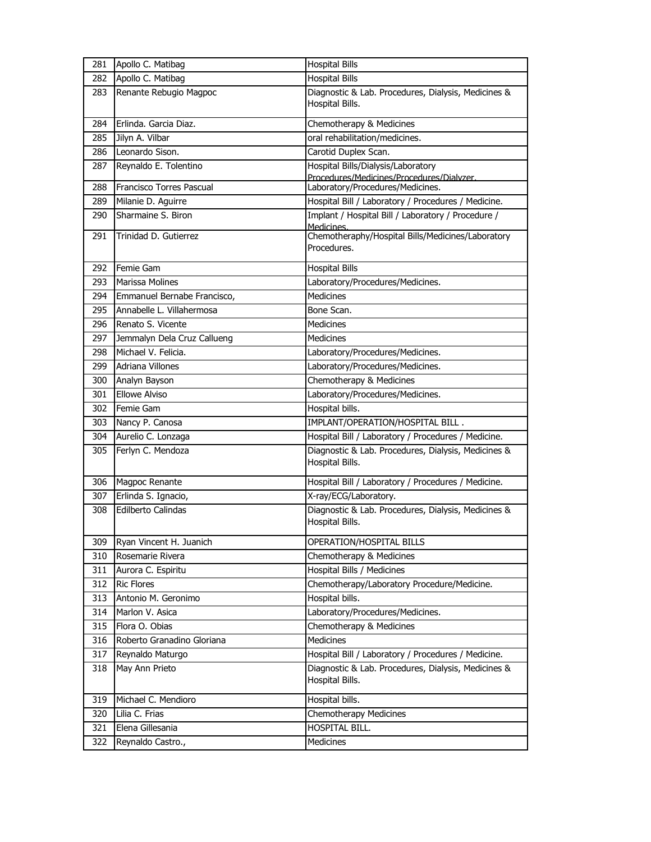| 281 | Apollo C. Matibag               | <b>Hospital Bills</b>                                                  |
|-----|---------------------------------|------------------------------------------------------------------------|
| 282 | Apollo C. Matibag               | <b>Hospital Bills</b>                                                  |
| 283 | Renante Rebugio Magpoc          | Diagnostic & Lab. Procedures, Dialysis, Medicines &<br>Hospital Bills. |
| 284 | Erlinda. Garcia Diaz.           | Chemotherapy & Medicines                                               |
| 285 | Jilyn A. Vilbar                 | oral rehabilitation/medicines.                                         |
| 286 | Leonardo Sison.                 | Carotid Duplex Scan.                                                   |
| 287 | Reynaldo E. Tolentino           | Hospital Bills/Dialysis/Laboratory                                     |
|     |                                 | Procedures/Medicines/Procedures/Dialyzer.                              |
| 288 | <b>Francisco Torres Pascual</b> | Laboratory/Procedures/Medicines.                                       |
| 289 | Milanie D. Aguirre              | Hospital Bill / Laboratory / Procedures / Medicine.                    |
| 290 | Sharmaine S. Biron              | Implant / Hospital Bill / Laboratory / Procedure /<br>Medicines.       |
| 291 | Trinidad D. Gutierrez           | Chemotheraphy/Hospital Bills/Medicines/Laboratory<br>Procedures.       |
| 292 | Femie Gam                       | <b>Hospital Bills</b>                                                  |
| 293 | Marissa Molines                 | Laboratory/Procedures/Medicines.                                       |
| 294 | Emmanuel Bernabe Francisco,     | <b>Medicines</b>                                                       |
| 295 | Annabelle L. Villahermosa       | Bone Scan.                                                             |
| 296 | Renato S. Vicente               | <b>Medicines</b>                                                       |
| 297 | Jemmalyn Dela Cruz Callueng     | Medicines                                                              |
| 298 | Michael V. Felicia.             | Laboratory/Procedures/Medicines.                                       |
| 299 | <b>Adriana Villones</b>         | Laboratory/Procedures/Medicines.                                       |
| 300 | Analyn Bayson                   | Chemotherapy & Medicines                                               |
| 301 | <b>Ellowe Alviso</b>            | Laboratory/Procedures/Medicines.                                       |
| 302 | Femie Gam                       | Hospital bills.                                                        |
| 303 | Nancy P. Canosa                 | IMPLANT/OPERATION/HOSPITAL BILL.                                       |
| 304 | Aurelio C. Lonzaga              | Hospital Bill / Laboratory / Procedures / Medicine.                    |
| 305 | Ferlyn C. Mendoza               | Diagnostic & Lab. Procedures, Dialysis, Medicines &<br>Hospital Bills. |
| 306 | Magpoc Renante                  | Hospital Bill / Laboratory / Procedures / Medicine.                    |
| 307 | Erlinda S. Ignacio,             | X-ray/ECG/Laboratory.                                                  |
| 308 | <b>Edilberto Calindas</b>       | Diagnostic & Lab. Procedures, Dialysis, Medicines &<br>Hospital Bills. |
| 309 | Ryan Vincent H. Juanich         | OPERATION/HOSPITAL BILLS                                               |
| 310 | Rosemarie Rivera                | Chemotherapy & Medicines                                               |
| 311 | Aurora C. Espiritu              | Hospital Bills / Medicines                                             |
| 312 | <b>Ric Flores</b>               | Chemotherapy/Laboratory Procedure/Medicine.                            |
| 313 | Antonio M. Geronimo             | Hospital bills.                                                        |
| 314 | Marlon V. Asica                 | Laboratory/Procedures/Medicines.                                       |
| 315 | Flora O. Obias                  | Chemotherapy & Medicines                                               |
| 316 | Roberto Granadino Gloriana      | Medicines                                                              |
| 317 | Reynaldo Maturgo                | Hospital Bill / Laboratory / Procedures / Medicine.                    |
| 318 | May Ann Prieto                  | Diagnostic & Lab. Procedures, Dialysis, Medicines &<br>Hospital Bills. |
| 319 | Michael C. Mendioro             | Hospital bills.                                                        |
| 320 | Lilia C. Frias                  | Chemotherapy Medicines                                                 |
| 321 | Elena Gillesania                | HOSPITAL BILL.                                                         |
| 322 | Reynaldo Castro.,               | Medicines                                                              |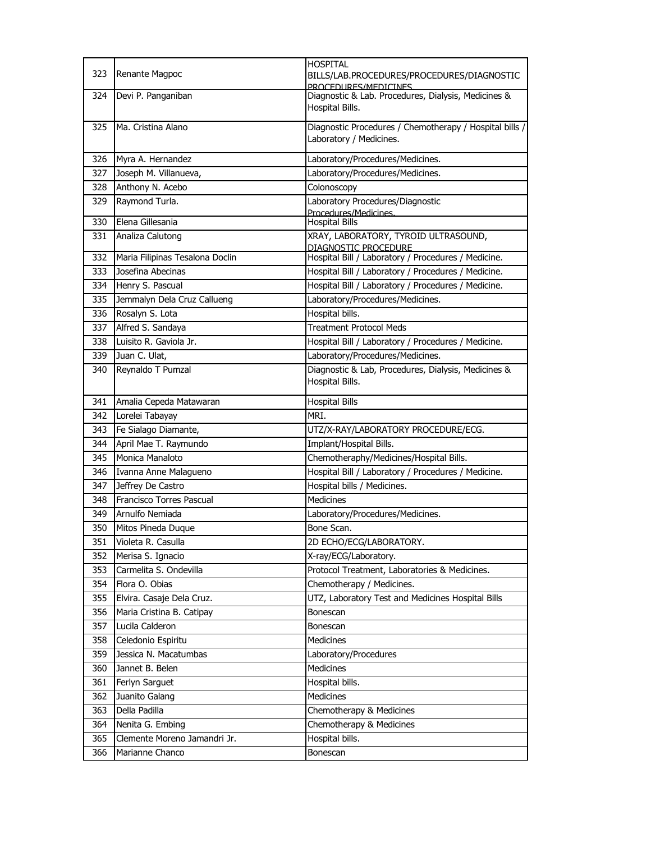| 323        | Renante Magpoc                                  | <b>HOSPITAL</b><br>BILLS/LAB.PROCEDURES/PROCEDURES/DIAGNOSTIC<br>PROCEDURES/MEDICINES |
|------------|-------------------------------------------------|---------------------------------------------------------------------------------------|
| 324        | Devi P. Panganiban                              | Diagnostic & Lab. Procedures, Dialysis, Medicines &<br>Hospital Bills.                |
| 325        | Ma. Cristina Alano                              | Diagnostic Procedures / Chemotherapy / Hospital bills /<br>Laboratory / Medicines.    |
| 326        | Myra A. Hernandez                               | Laboratory/Procedures/Medicines.                                                      |
| 327        | Joseph M. Villanueva,                           | Laboratory/Procedures/Medicines.                                                      |
| 328        | Anthony N. Acebo                                | Colonoscopy                                                                           |
| 329        | Raymond Turla.                                  | Laboratory Procedures/Diagnostic<br>Procedures/Medicines.                             |
| 330        | Elena Gillesania                                | <b>Hospital Bills</b>                                                                 |
| 331        | Analiza Calutong                                | XRAY, LABORATORY, TYROID ULTRASOUND,<br>DIAGNOSTIC PROCEDURE                          |
| 332        | Maria Filipinas Tesalona Doclin                 | Hospital Bill / Laboratory / Procedures / Medicine.                                   |
| 333        | Josefina Abecinas                               | Hospital Bill / Laboratory / Procedures / Medicine.                                   |
| 334        | Henry S. Pascual                                | Hospital Bill / Laboratory / Procedures / Medicine.                                   |
| 335        | Jemmalyn Dela Cruz Callueng                     | Laboratory/Procedures/Medicines.                                                      |
| 336        | Rosalyn S. Lota                                 | Hospital bills.                                                                       |
| 337        | Alfred S. Sandaya                               | <b>Treatment Protocol Meds</b>                                                        |
| 338        | Luisito R. Gaviola Jr.                          | Hospital Bill / Laboratory / Procedures / Medicine.                                   |
| 339        | Juan C. Ulat,                                   | Laboratory/Procedures/Medicines.                                                      |
| 340        | Reynaldo T Pumzal                               | Diagnostic & Lab, Procedures, Dialysis, Medicines &<br>Hospital Bills.                |
| 341        | Amalia Cepeda Matawaran                         | <b>Hospital Bills</b>                                                                 |
| 342        | Lorelei Tabayay                                 | MRI.                                                                                  |
| 343        |                                                 | UTZ/X-RAY/LABORATORY PROCEDURE/ECG.                                                   |
|            | Fe Sialago Diamante,                            |                                                                                       |
| 344        | April Mae T. Raymundo                           | Implant/Hospital Bills.                                                               |
| 345        | Monica Manaloto                                 | Chemotheraphy/Medicines/Hospital Bills.                                               |
| 346        | Ivanna Anne Malagueno                           | Hospital Bill / Laboratory / Procedures / Medicine.                                   |
| 347        | Jeffrey De Castro                               | Hospital bills / Medicines.                                                           |
| 348        | Francisco Torres Pascual                        | <b>Medicines</b>                                                                      |
| 349        | Arnulfo Nemiada                                 | Laboratory/Procedures/Medicines.                                                      |
| 350        | Mitos Pineda Duque                              | Bone Scan.                                                                            |
| 351        | Violeta R. Casulla                              | 2D ECHO/ECG/LABORATORY.                                                               |
| 352        | Merisa S. Ignacio                               | X-ray/ECG/Laboratory.                                                                 |
| 353        | Carmelita S. Ondevilla                          | Protocol Treatment, Laboratories & Medicines.                                         |
| 354        | Flora O. Obias                                  | Chemotherapy / Medicines.                                                             |
| 355        | Elvira. Casaje Dela Cruz.                       | UTZ, Laboratory Test and Medicines Hospital Bills                                     |
| 356        | Maria Cristina B. Catipay                       | Bonescan                                                                              |
| 357        | Lucila Calderon                                 | Bonescan                                                                              |
| 358        | Celedonio Espiritu                              | Medicines                                                                             |
| 359        | Jessica N. Macatumbas                           | Laboratory/Procedures                                                                 |
| 360        | Jannet B. Belen                                 | Medicines                                                                             |
| 361        | Ferlyn Sarguet                                  | Hospital bills.                                                                       |
| 362        | Juanito Galang                                  | Medicines                                                                             |
| 363        | Della Padilla                                   | Chemotherapy & Medicines                                                              |
| 364        | Nenita G. Embing                                | Chemotherapy & Medicines                                                              |
| 365<br>366 | Clemente Moreno Jamandri Jr.<br>Marianne Chanco | Hospital bills.<br>Bonescan                                                           |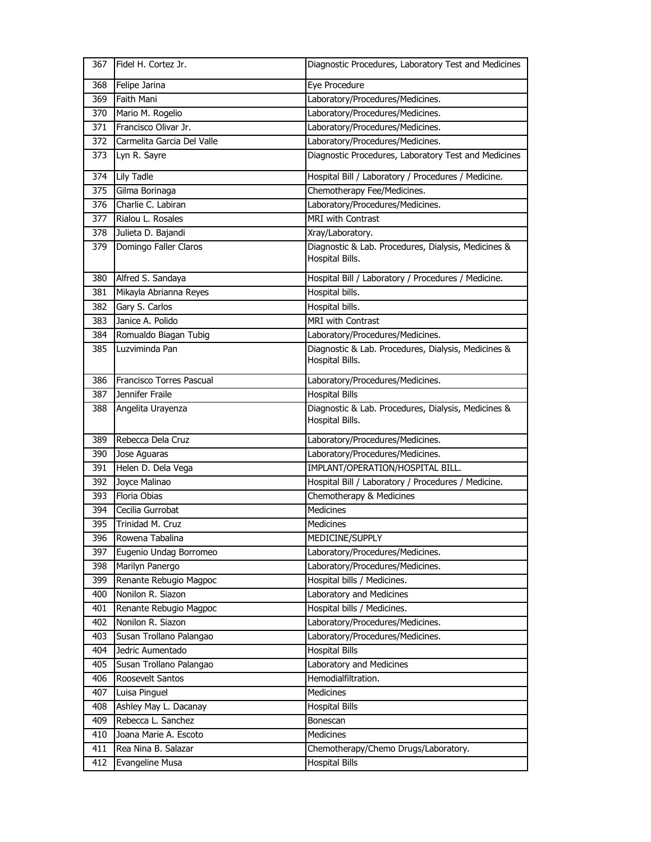| 367 | Fidel H. Cortez Jr.        | Diagnostic Procedures, Laboratory Test and Medicines                   |
|-----|----------------------------|------------------------------------------------------------------------|
| 368 | Felipe Jarina              | Eye Procedure                                                          |
| 369 | Faith Mani                 | Laboratory/Procedures/Medicines.                                       |
| 370 | Mario M. Rogelio           | Laboratory/Procedures/Medicines.                                       |
| 371 | Francisco Olivar Jr.       | Laboratory/Procedures/Medicines.                                       |
| 372 | Carmelita Garcia Del Valle | Laboratory/Procedures/Medicines.                                       |
| 373 | Lyn R. Sayre               | Diagnostic Procedures, Laboratory Test and Medicines                   |
|     |                            |                                                                        |
| 374 | <b>Lily Tadle</b>          | Hospital Bill / Laboratory / Procedures / Medicine.                    |
| 375 | Gilma Borinaga             | Chemotherapy Fee/Medicines.                                            |
| 376 | Charlie C. Labiran         | Laboratory/Procedures/Medicines.<br><b>MRI</b> with Contrast           |
| 377 | Rialou L. Rosales          |                                                                        |
| 378 | Julieta D. Bajandi         | Xray/Laboratory.                                                       |
| 379 | Domingo Faller Claros      | Diagnostic & Lab. Procedures, Dialysis, Medicines &<br>Hospital Bills. |
| 380 | Alfred S. Sandaya          | Hospital Bill / Laboratory / Procedures / Medicine.                    |
| 381 | Mikayla Abrianna Reyes     | Hospital bills.                                                        |
| 382 | Gary S. Carlos             | Hospital bills.                                                        |
| 383 | Janice A. Polido           | MRI with Contrast                                                      |
| 384 | Romualdo Biagan Tubig      | Laboratory/Procedures/Medicines.                                       |
| 385 | Luzviminda Pan             | Diagnostic & Lab. Procedures, Dialysis, Medicines &<br>Hospital Bills. |
| 386 | Francisco Torres Pascual   | Laboratory/Procedures/Medicines.                                       |
| 387 | Jennifer Fraile            | <b>Hospital Bills</b>                                                  |
|     |                            |                                                                        |
| 388 | Angelita Urayenza          | Diagnostic & Lab. Procedures, Dialysis, Medicines &<br>Hospital Bills. |
| 389 | Rebecca Dela Cruz          | Laboratory/Procedures/Medicines.                                       |
| 390 | Jose Aguaras               | Laboratory/Procedures/Medicines.                                       |
| 391 | Helen D. Dela Vega         | IMPLANT/OPERATION/HOSPITAL BILL.                                       |
| 392 | Joyce Malinao              | Hospital Bill / Laboratory / Procedures / Medicine.                    |
| 393 | Floria Obias               | Chemotherapy & Medicines                                               |
| 394 | Cecilia Gurrobat           | <b>Medicines</b>                                                       |
| 395 | Trinidad M. Cruz           | Medicines                                                              |
| 396 | Rowena Tabalina            | MEDICINE/SUPPLY                                                        |
| 397 | Eugenio Undag Borromeo     | Laboratory/Procedures/Medicines.                                       |
| 398 | Marilyn Panergo            | Laboratory/Procedures/Medicines.                                       |
| 399 | Renante Rebugio Magpoc     | Hospital bills / Medicines.                                            |
| 400 | Nonilon R. Siazon          | Laboratory and Medicines                                               |
| 401 | Renante Rebugio Magpoc     | Hospital bills / Medicines.                                            |
| 402 | Nonilon R. Siazon          | Laboratory/Procedures/Medicines.                                       |
| 403 | Susan Trollano Palangao    | Laboratory/Procedures/Medicines.                                       |
| 404 | Jedric Aumentado           | <b>Hospital Bills</b>                                                  |
| 405 | Susan Trollano Palangao    | Laboratory and Medicines                                               |
| 406 | Roosevelt Santos           | Hemodialfiltration.                                                    |
| 407 | Luisa Pinguel              | Medicines                                                              |
| 408 | Ashley May L. Dacanay      | <b>Hospital Bills</b>                                                  |
| 409 | Rebecca L. Sanchez         | Bonescan                                                               |
| 410 | Joana Marie A. Escoto      | <b>Medicines</b>                                                       |
| 411 | Rea Nina B. Salazar        | Chemotherapy/Chemo Drugs/Laboratory.                                   |
| 412 | Evangeline Musa            | Hospital Bills                                                         |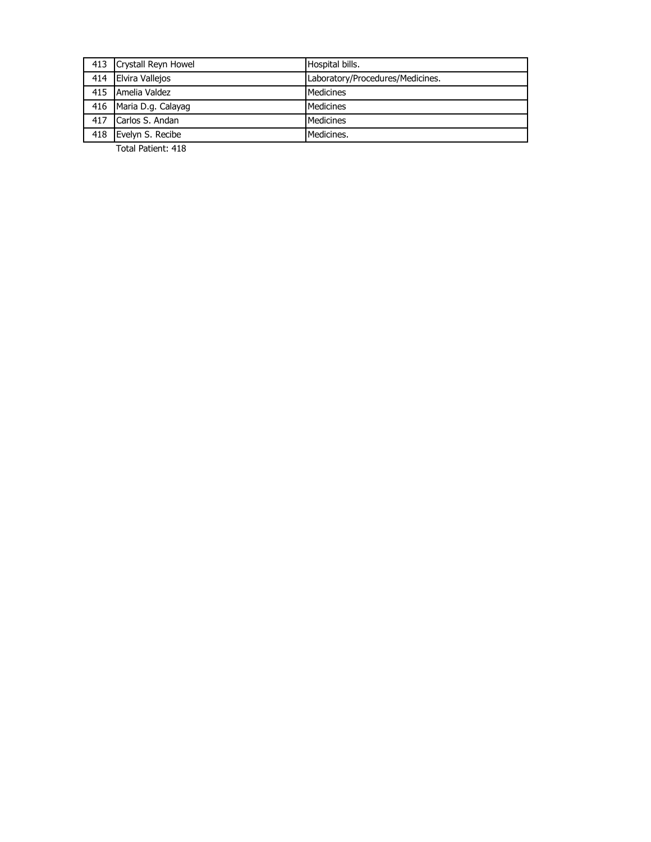|     | 413 Crystall Reyn Howel | Hospital bills.                  |
|-----|-------------------------|----------------------------------|
| 414 | <b>Elvira Vallejos</b>  | Laboratory/Procedures/Medicines. |
|     | 415 Amelia Valdez       | Medicines                        |
|     | 416 Maria D.g. Calayag  | Medicines                        |
| 417 | Carlos S. Andan         | Medicines                        |
| 418 | Evelyn S. Recibe        | Medicines.                       |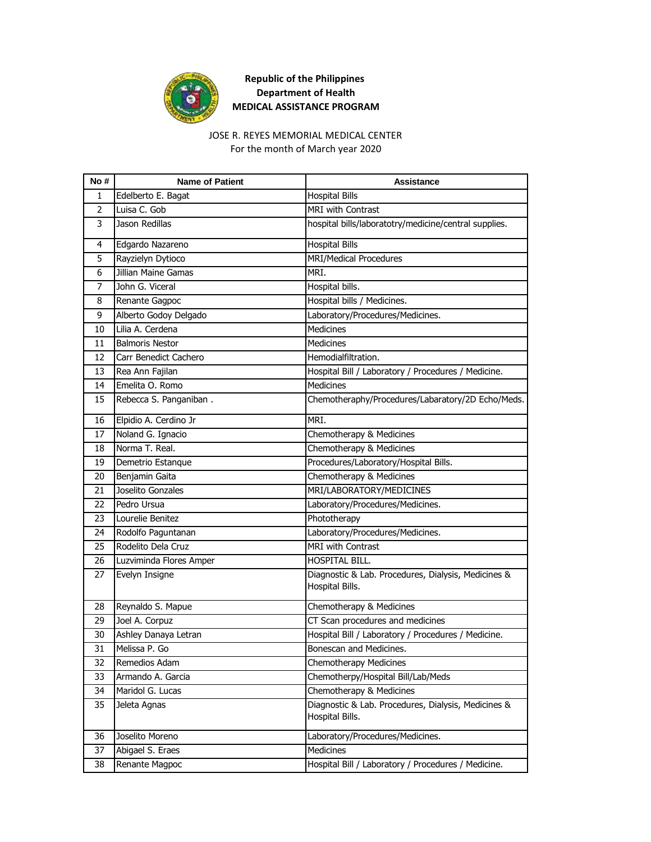

# JOSE R. REYES MEMORIAL MEDICAL CENTER

For the month of March year 2020

| No #           | <b>Name of Patient</b>     | <b>Assistance</b>                                                      |
|----------------|----------------------------|------------------------------------------------------------------------|
| 1              | Edelberto E. Bagat         | <b>Hospital Bills</b>                                                  |
| $\overline{2}$ | Luisa C. Gob               | <b>MRI with Contrast</b>                                               |
| 3              | Jason Redillas             | hospital bills/laboratotry/medicine/central supplies.                  |
| 4              | Edgardo Nazareno           | <b>Hospital Bills</b>                                                  |
| 5              | Rayzielyn Dytioco          | <b>MRI/Medical Procedures</b>                                          |
| 6              | <b>Jillian Maine Gamas</b> | MRI.                                                                   |
| 7              | John G. Viceral            | Hospital bills.                                                        |
| 8              | Renante Gagpoc             | Hospital bills / Medicines.                                            |
| 9              | Alberto Godoy Delgado      | Laboratory/Procedures/Medicines.                                       |
| 10             | Lilia A. Cerdena           | <b>Medicines</b>                                                       |
| 11             | <b>Balmoris Nestor</b>     | Medicines                                                              |
| 12             | Carr Benedict Cachero      | Hemodialfiltration.                                                    |
| 13             | Rea Ann Fajilan            | Hospital Bill / Laboratory / Procedures / Medicine.                    |
| 14             | Emelita O. Romo            | Medicines                                                              |
| 15             | Rebecca S. Panganiban.     | Chemotheraphy/Procedures/Labaratory/2D Echo/Meds.                      |
| 16             | Elpidio A. Cerdino Jr      | MRI.                                                                   |
| 17             | Noland G. Ignacio          | Chemotherapy & Medicines                                               |
| 18             | Norma T. Real.             | Chemotherapy & Medicines                                               |
| 19             | Demetrio Estanque          | Procedures/Laboratory/Hospital Bills.                                  |
| 20             | Benjamin Gaita             | Chemotherapy & Medicines                                               |
| 21             | Joselito Gonzales          | MRI/LABORATORY/MEDICINES                                               |
| 22             | Pedro Ursua                | Laboratory/Procedures/Medicines.                                       |
| 23             | Lourelie Benitez           | Phototherapy                                                           |
| 24             | Rodolfo Paguntanan         | Laboratory/Procedures/Medicines.                                       |
| 25             | Rodelito Dela Cruz         | <b>MRI</b> with Contrast                                               |
| 26             | Luzviminda Flores Amper    | HOSPITAL BILL.                                                         |
| 27             | Evelyn Insigne             | Diagnostic & Lab. Procedures, Dialysis, Medicines &<br>Hospital Bills. |
| 28             | Reynaldo S. Mapue          | Chemotherapy & Medicines                                               |
| 29             | Joel A. Corpuz             | CT Scan procedures and medicines                                       |
| 30             | Ashley Danaya Letran       | Hospital Bill / Laboratory / Procedures / Medicine.                    |
| 31             | Melissa P. Go              | Bonescan and Medicines.                                                |
| 32             | Remedios Adam              | Chemotherapy Medicines                                                 |
| 33             | Armando A. Garcia          | Chemotherpy/Hospital Bill/Lab/Meds                                     |
| 34             | Maridol G. Lucas           | Chemotherapy & Medicines                                               |
| 35             | Jeleta Agnas               | Diagnostic & Lab. Procedures, Dialysis, Medicines &<br>Hospital Bills. |
| 36             | Joselito Moreno            | Laboratory/Procedures/Medicines.                                       |
| 37             | Abigael S. Eraes           | Medicines                                                              |
| 38             | Renante Magpoc             | Hospital Bill / Laboratory / Procedures / Medicine.                    |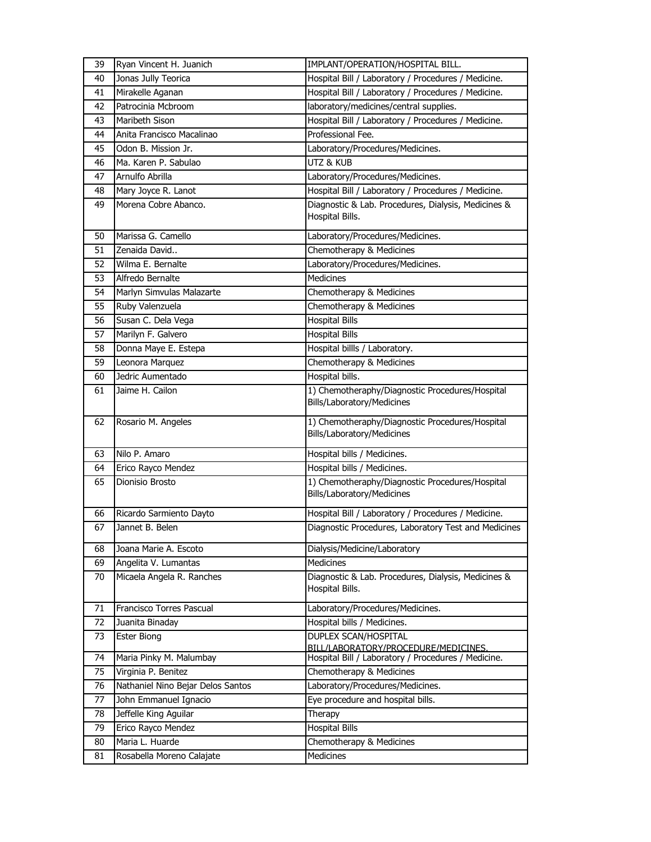| Jonas Jully Teorica<br>Hospital Bill / Laboratory / Procedures / Medicine.<br>40<br>Hospital Bill / Laboratory / Procedures / Medicine.<br>41<br>Mirakelle Aganan<br>Patrocinia Mcbroom<br>laboratory/medicines/central supplies.<br>42<br>Hospital Bill / Laboratory / Procedures / Medicine.<br>Maribeth Sison<br>43<br>Professional Fee.<br>44<br>Anita Francisco Macalinao<br>Odon B. Mission Jr.<br>45<br>Laboratory/Procedures/Medicines.<br>Ma. Karen P. Sabulao<br>UTZ & KUB<br>46<br>Arnulfo Abrilla<br>47<br>Laboratory/Procedures/Medicines.<br>Hospital Bill / Laboratory / Procedures / Medicine.<br>Mary Joyce R. Lanot<br>48<br>Morena Cobre Abanco.<br>Diagnostic & Lab. Procedures, Dialysis, Medicines &<br>49<br>Hospital Bills.<br>Marissa G. Camello<br>Laboratory/Procedures/Medicines.<br>50<br>Zenaida David<br>Chemotherapy & Medicines<br>51<br>Wilma E. Bernalte<br>Laboratory/Procedures/Medicines.<br>52<br><b>Medicines</b><br>Alfredo Bernalte<br>53<br>Marlyn Simvulas Malazarte<br>Chemotherapy & Medicines<br>54<br>Chemotherapy & Medicines<br>Ruby Valenzuela<br>55<br>Susan C. Dela Vega<br><b>Hospital Bills</b><br>56<br>Marilyn F. Galvero<br><b>Hospital Bills</b><br>57<br>Donna Maye E. Estepa<br>Hospital billls / Laboratory.<br>58<br>Leonora Marquez<br>Chemotherapy & Medicines<br>59<br>Hospital bills.<br>Jedric Aumentado<br>60<br>1) Chemotheraphy/Diagnostic Procedures/Hospital<br>Jaime H. Cailon<br>61<br>Bills/Laboratory/Medicines<br>Rosario M. Angeles<br>1) Chemotheraphy/Diagnostic Procedures/Hospital<br>62<br>Bills/Laboratory/Medicines<br>Hospital bills / Medicines.<br>Nilo P. Amaro<br>63<br>Hospital bills / Medicines.<br>Erico Rayco Mendez<br>64<br>1) Chemotheraphy/Diagnostic Procedures/Hospital<br>Dionisio Brosto<br>65<br>Bills/Laboratory/Medicines |
|--------------------------------------------------------------------------------------------------------------------------------------------------------------------------------------------------------------------------------------------------------------------------------------------------------------------------------------------------------------------------------------------------------------------------------------------------------------------------------------------------------------------------------------------------------------------------------------------------------------------------------------------------------------------------------------------------------------------------------------------------------------------------------------------------------------------------------------------------------------------------------------------------------------------------------------------------------------------------------------------------------------------------------------------------------------------------------------------------------------------------------------------------------------------------------------------------------------------------------------------------------------------------------------------------------------------------------------------------------------------------------------------------------------------------------------------------------------------------------------------------------------------------------------------------------------------------------------------------------------------------------------------------------------------------------------------------------------------------------------------------------------------------------------------------------------------------------------|
|                                                                                                                                                                                                                                                                                                                                                                                                                                                                                                                                                                                                                                                                                                                                                                                                                                                                                                                                                                                                                                                                                                                                                                                                                                                                                                                                                                                                                                                                                                                                                                                                                                                                                                                                                                                                                                      |
|                                                                                                                                                                                                                                                                                                                                                                                                                                                                                                                                                                                                                                                                                                                                                                                                                                                                                                                                                                                                                                                                                                                                                                                                                                                                                                                                                                                                                                                                                                                                                                                                                                                                                                                                                                                                                                      |
|                                                                                                                                                                                                                                                                                                                                                                                                                                                                                                                                                                                                                                                                                                                                                                                                                                                                                                                                                                                                                                                                                                                                                                                                                                                                                                                                                                                                                                                                                                                                                                                                                                                                                                                                                                                                                                      |
|                                                                                                                                                                                                                                                                                                                                                                                                                                                                                                                                                                                                                                                                                                                                                                                                                                                                                                                                                                                                                                                                                                                                                                                                                                                                                                                                                                                                                                                                                                                                                                                                                                                                                                                                                                                                                                      |
|                                                                                                                                                                                                                                                                                                                                                                                                                                                                                                                                                                                                                                                                                                                                                                                                                                                                                                                                                                                                                                                                                                                                                                                                                                                                                                                                                                                                                                                                                                                                                                                                                                                                                                                                                                                                                                      |
|                                                                                                                                                                                                                                                                                                                                                                                                                                                                                                                                                                                                                                                                                                                                                                                                                                                                                                                                                                                                                                                                                                                                                                                                                                                                                                                                                                                                                                                                                                                                                                                                                                                                                                                                                                                                                                      |
|                                                                                                                                                                                                                                                                                                                                                                                                                                                                                                                                                                                                                                                                                                                                                                                                                                                                                                                                                                                                                                                                                                                                                                                                                                                                                                                                                                                                                                                                                                                                                                                                                                                                                                                                                                                                                                      |
|                                                                                                                                                                                                                                                                                                                                                                                                                                                                                                                                                                                                                                                                                                                                                                                                                                                                                                                                                                                                                                                                                                                                                                                                                                                                                                                                                                                                                                                                                                                                                                                                                                                                                                                                                                                                                                      |
|                                                                                                                                                                                                                                                                                                                                                                                                                                                                                                                                                                                                                                                                                                                                                                                                                                                                                                                                                                                                                                                                                                                                                                                                                                                                                                                                                                                                                                                                                                                                                                                                                                                                                                                                                                                                                                      |
|                                                                                                                                                                                                                                                                                                                                                                                                                                                                                                                                                                                                                                                                                                                                                                                                                                                                                                                                                                                                                                                                                                                                                                                                                                                                                                                                                                                                                                                                                                                                                                                                                                                                                                                                                                                                                                      |
|                                                                                                                                                                                                                                                                                                                                                                                                                                                                                                                                                                                                                                                                                                                                                                                                                                                                                                                                                                                                                                                                                                                                                                                                                                                                                                                                                                                                                                                                                                                                                                                                                                                                                                                                                                                                                                      |
|                                                                                                                                                                                                                                                                                                                                                                                                                                                                                                                                                                                                                                                                                                                                                                                                                                                                                                                                                                                                                                                                                                                                                                                                                                                                                                                                                                                                                                                                                                                                                                                                                                                                                                                                                                                                                                      |
|                                                                                                                                                                                                                                                                                                                                                                                                                                                                                                                                                                                                                                                                                                                                                                                                                                                                                                                                                                                                                                                                                                                                                                                                                                                                                                                                                                                                                                                                                                                                                                                                                                                                                                                                                                                                                                      |
|                                                                                                                                                                                                                                                                                                                                                                                                                                                                                                                                                                                                                                                                                                                                                                                                                                                                                                                                                                                                                                                                                                                                                                                                                                                                                                                                                                                                                                                                                                                                                                                                                                                                                                                                                                                                                                      |
|                                                                                                                                                                                                                                                                                                                                                                                                                                                                                                                                                                                                                                                                                                                                                                                                                                                                                                                                                                                                                                                                                                                                                                                                                                                                                                                                                                                                                                                                                                                                                                                                                                                                                                                                                                                                                                      |
|                                                                                                                                                                                                                                                                                                                                                                                                                                                                                                                                                                                                                                                                                                                                                                                                                                                                                                                                                                                                                                                                                                                                                                                                                                                                                                                                                                                                                                                                                                                                                                                                                                                                                                                                                                                                                                      |
|                                                                                                                                                                                                                                                                                                                                                                                                                                                                                                                                                                                                                                                                                                                                                                                                                                                                                                                                                                                                                                                                                                                                                                                                                                                                                                                                                                                                                                                                                                                                                                                                                                                                                                                                                                                                                                      |
|                                                                                                                                                                                                                                                                                                                                                                                                                                                                                                                                                                                                                                                                                                                                                                                                                                                                                                                                                                                                                                                                                                                                                                                                                                                                                                                                                                                                                                                                                                                                                                                                                                                                                                                                                                                                                                      |
|                                                                                                                                                                                                                                                                                                                                                                                                                                                                                                                                                                                                                                                                                                                                                                                                                                                                                                                                                                                                                                                                                                                                                                                                                                                                                                                                                                                                                                                                                                                                                                                                                                                                                                                                                                                                                                      |
|                                                                                                                                                                                                                                                                                                                                                                                                                                                                                                                                                                                                                                                                                                                                                                                                                                                                                                                                                                                                                                                                                                                                                                                                                                                                                                                                                                                                                                                                                                                                                                                                                                                                                                                                                                                                                                      |
|                                                                                                                                                                                                                                                                                                                                                                                                                                                                                                                                                                                                                                                                                                                                                                                                                                                                                                                                                                                                                                                                                                                                                                                                                                                                                                                                                                                                                                                                                                                                                                                                                                                                                                                                                                                                                                      |
|                                                                                                                                                                                                                                                                                                                                                                                                                                                                                                                                                                                                                                                                                                                                                                                                                                                                                                                                                                                                                                                                                                                                                                                                                                                                                                                                                                                                                                                                                                                                                                                                                                                                                                                                                                                                                                      |
|                                                                                                                                                                                                                                                                                                                                                                                                                                                                                                                                                                                                                                                                                                                                                                                                                                                                                                                                                                                                                                                                                                                                                                                                                                                                                                                                                                                                                                                                                                                                                                                                                                                                                                                                                                                                                                      |
|                                                                                                                                                                                                                                                                                                                                                                                                                                                                                                                                                                                                                                                                                                                                                                                                                                                                                                                                                                                                                                                                                                                                                                                                                                                                                                                                                                                                                                                                                                                                                                                                                                                                                                                                                                                                                                      |
|                                                                                                                                                                                                                                                                                                                                                                                                                                                                                                                                                                                                                                                                                                                                                                                                                                                                                                                                                                                                                                                                                                                                                                                                                                                                                                                                                                                                                                                                                                                                                                                                                                                                                                                                                                                                                                      |
|                                                                                                                                                                                                                                                                                                                                                                                                                                                                                                                                                                                                                                                                                                                                                                                                                                                                                                                                                                                                                                                                                                                                                                                                                                                                                                                                                                                                                                                                                                                                                                                                                                                                                                                                                                                                                                      |
| Ricardo Sarmiento Dayto<br>Hospital Bill / Laboratory / Procedures / Medicine.<br>66                                                                                                                                                                                                                                                                                                                                                                                                                                                                                                                                                                                                                                                                                                                                                                                                                                                                                                                                                                                                                                                                                                                                                                                                                                                                                                                                                                                                                                                                                                                                                                                                                                                                                                                                                 |
| 67<br>Diagnostic Procedures, Laboratory Test and Medicines<br>Jannet B. Belen                                                                                                                                                                                                                                                                                                                                                                                                                                                                                                                                                                                                                                                                                                                                                                                                                                                                                                                                                                                                                                                                                                                                                                                                                                                                                                                                                                                                                                                                                                                                                                                                                                                                                                                                                        |
| Dialysis/Medicine/Laboratory<br>Joana Marie A. Escoto<br>68                                                                                                                                                                                                                                                                                                                                                                                                                                                                                                                                                                                                                                                                                                                                                                                                                                                                                                                                                                                                                                                                                                                                                                                                                                                                                                                                                                                                                                                                                                                                                                                                                                                                                                                                                                          |
| Angelita V. Lumantas<br><b>Medicines</b><br>69                                                                                                                                                                                                                                                                                                                                                                                                                                                                                                                                                                                                                                                                                                                                                                                                                                                                                                                                                                                                                                                                                                                                                                                                                                                                                                                                                                                                                                                                                                                                                                                                                                                                                                                                                                                       |
| Micaela Angela R. Ranches<br>70<br>Diagnostic & Lab. Procedures, Dialysis, Medicines &<br>Hospital Bills.                                                                                                                                                                                                                                                                                                                                                                                                                                                                                                                                                                                                                                                                                                                                                                                                                                                                                                                                                                                                                                                                                                                                                                                                                                                                                                                                                                                                                                                                                                                                                                                                                                                                                                                            |
| Francisco Torres Pascual<br>Laboratory/Procedures/Medicines.<br>71                                                                                                                                                                                                                                                                                                                                                                                                                                                                                                                                                                                                                                                                                                                                                                                                                                                                                                                                                                                                                                                                                                                                                                                                                                                                                                                                                                                                                                                                                                                                                                                                                                                                                                                                                                   |
| Juanita Binaday<br>Hospital bills / Medicines.<br>72                                                                                                                                                                                                                                                                                                                                                                                                                                                                                                                                                                                                                                                                                                                                                                                                                                                                                                                                                                                                                                                                                                                                                                                                                                                                                                                                                                                                                                                                                                                                                                                                                                                                                                                                                                                 |
| DUPLEX SCAN/HOSPITAL<br><b>Ester Biong</b><br>73                                                                                                                                                                                                                                                                                                                                                                                                                                                                                                                                                                                                                                                                                                                                                                                                                                                                                                                                                                                                                                                                                                                                                                                                                                                                                                                                                                                                                                                                                                                                                                                                                                                                                                                                                                                     |
| BILL/LABORATORY/PROCEDURE/MEDICINES.<br>Hospital Bill / Laboratory / Procedures / Medicine.<br>74<br>Maria Pinky M. Malumbay                                                                                                                                                                                                                                                                                                                                                                                                                                                                                                                                                                                                                                                                                                                                                                                                                                                                                                                                                                                                                                                                                                                                                                                                                                                                                                                                                                                                                                                                                                                                                                                                                                                                                                         |
| 75<br>Virginia P. Benitez<br>Chemotherapy & Medicines                                                                                                                                                                                                                                                                                                                                                                                                                                                                                                                                                                                                                                                                                                                                                                                                                                                                                                                                                                                                                                                                                                                                                                                                                                                                                                                                                                                                                                                                                                                                                                                                                                                                                                                                                                                |
| Nathaniel Nino Bejar Delos Santos<br>Laboratory/Procedures/Medicines.<br>76                                                                                                                                                                                                                                                                                                                                                                                                                                                                                                                                                                                                                                                                                                                                                                                                                                                                                                                                                                                                                                                                                                                                                                                                                                                                                                                                                                                                                                                                                                                                                                                                                                                                                                                                                          |
| John Emmanuel Ignacio<br>Eye procedure and hospital bills.<br>77                                                                                                                                                                                                                                                                                                                                                                                                                                                                                                                                                                                                                                                                                                                                                                                                                                                                                                                                                                                                                                                                                                                                                                                                                                                                                                                                                                                                                                                                                                                                                                                                                                                                                                                                                                     |
| Jeffelle King Aguilar<br>78<br>Therapy                                                                                                                                                                                                                                                                                                                                                                                                                                                                                                                                                                                                                                                                                                                                                                                                                                                                                                                                                                                                                                                                                                                                                                                                                                                                                                                                                                                                                                                                                                                                                                                                                                                                                                                                                                                               |
| <b>Hospital Bills</b><br>79<br>Erico Rayco Mendez                                                                                                                                                                                                                                                                                                                                                                                                                                                                                                                                                                                                                                                                                                                                                                                                                                                                                                                                                                                                                                                                                                                                                                                                                                                                                                                                                                                                                                                                                                                                                                                                                                                                                                                                                                                    |
| Maria L. Huarde<br>Chemotherapy & Medicines<br>80                                                                                                                                                                                                                                                                                                                                                                                                                                                                                                                                                                                                                                                                                                                                                                                                                                                                                                                                                                                                                                                                                                                                                                                                                                                                                                                                                                                                                                                                                                                                                                                                                                                                                                                                                                                    |
| Medicines<br>Rosabella Moreno Calajate<br>81                                                                                                                                                                                                                                                                                                                                                                                                                                                                                                                                                                                                                                                                                                                                                                                                                                                                                                                                                                                                                                                                                                                                                                                                                                                                                                                                                                                                                                                                                                                                                                                                                                                                                                                                                                                         |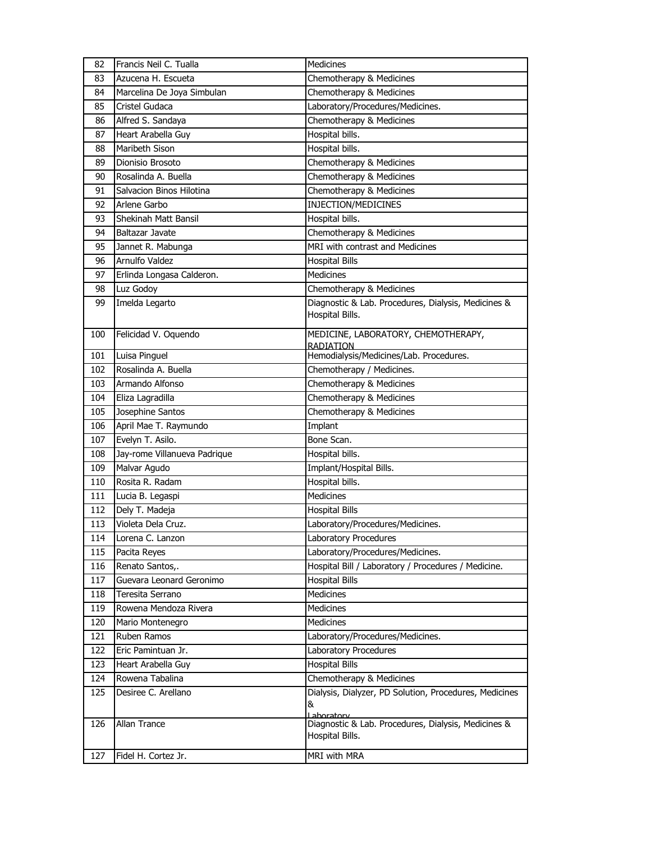| 82  | Francis Neil C. Tualla       | Medicines                                                                 |
|-----|------------------------------|---------------------------------------------------------------------------|
| 83  | Azucena H. Escueta           | Chemotherapy & Medicines                                                  |
| 84  | Marcelina De Joya Simbulan   | Chemotherapy & Medicines                                                  |
| 85  | Cristel Gudaca               | Laboratory/Procedures/Medicines.                                          |
| 86  | Alfred S. Sandaya            | Chemotherapy & Medicines                                                  |
| 87  | Heart Arabella Guy           | Hospital bills.                                                           |
| 88  | Maribeth Sison               | Hospital bills.                                                           |
| 89  | Dionisio Brosoto             | Chemotherapy & Medicines                                                  |
| 90  | Rosalinda A. Buella          | Chemotherapy & Medicines                                                  |
| 91  | Salvacion Binos Hilotina     | Chemotherapy & Medicines                                                  |
| 92  | Arlene Garbo                 | INJECTION/MEDICINES                                                       |
| 93  | Shekinah Matt Bansil         | Hospital bills.                                                           |
| 94  | Baltazar Javate              | Chemotherapy & Medicines                                                  |
| 95  | Jannet R. Mabunga            | MRI with contrast and Medicines                                           |
| 96  | Arnulfo Valdez               | <b>Hospital Bills</b>                                                     |
| 97  | Erlinda Longasa Calderon.    | Medicines                                                                 |
| 98  | Luz Godoy                    | Chemotherapy & Medicines                                                  |
| 99  | Imelda Legarto               | Diagnostic & Lab. Procedures, Dialysis, Medicines &<br>Hospital Bills.    |
| 100 | Felicidad V. Oquendo         | MEDICINE, LABORATORY, CHEMOTHERAPY,<br><b>RADIATION</b>                   |
| 101 | Luisa Pinguel                | Hemodialysis/Medicines/Lab. Procedures.                                   |
| 102 | Rosalinda A. Buella          | Chemotherapy / Medicines.                                                 |
| 103 | Armando Alfonso              | Chemotherapy & Medicines                                                  |
| 104 | Eliza Lagradilla             | Chemotherapy & Medicines                                                  |
| 105 | Josephine Santos             | Chemotherapy & Medicines                                                  |
| 106 | April Mae T. Raymundo        | Implant                                                                   |
| 107 | Evelyn T. Asilo.             | Bone Scan.                                                                |
| 108 | Jay-rome Villanueva Padrique | Hospital bills.                                                           |
| 109 | Malvar Agudo                 | Implant/Hospital Bills.                                                   |
| 110 | Rosita R. Radam              | Hospital bills.                                                           |
| 111 | Lucia B. Legaspi             | Medicines                                                                 |
| 112 | Dely T. Madeja               | <b>Hospital Bills</b>                                                     |
| 113 | Violeta Dela Cruz.           | Laboratory/Procedures/Medicines.                                          |
| 114 | Lorena C. Lanzon             | Laboratory Procedures                                                     |
| 115 | Pacita Reyes                 | Laboratory/Procedures/Medicines.                                          |
| 116 | Renato Santos,.              | Hospital Bill / Laboratory / Procedures / Medicine.                       |
| 117 | Guevara Leonard Geronimo     | <b>Hospital Bills</b>                                                     |
| 118 | Teresita Serrano             | Medicines                                                                 |
| 119 | Rowena Mendoza Rivera        | <b>Medicines</b>                                                          |
| 120 | Mario Montenegro             | <b>Medicines</b>                                                          |
| 121 | Ruben Ramos                  | Laboratory/Procedures/Medicines.                                          |
| 122 | Eric Pamintuan Jr.           | Laboratory Procedures                                                     |
| 123 | Heart Arabella Guy           | <b>Hospital Bills</b>                                                     |
| 124 | Rowena Tabalina              | Chemotherapy & Medicines                                                  |
| 125 | Desiree C. Arellano          | Dialysis, Dialyzer, PD Solution, Procedures, Medicines<br>&<br>Lahoratory |
| 126 | Allan Trance                 | Diagnostic & Lab. Procedures, Dialysis, Medicines &<br>Hospital Bills.    |
| 127 | Fidel H. Cortez Jr.          | MRI with MRA                                                              |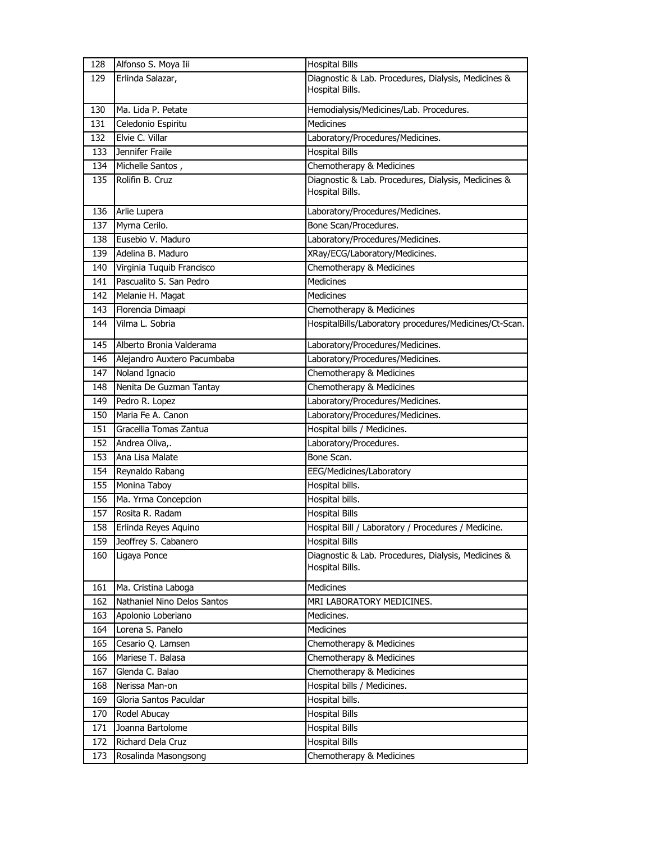| 128 | Alfonso S. Moya Iii         | <b>Hospital Bills</b>                                                  |
|-----|-----------------------------|------------------------------------------------------------------------|
| 129 | Erlinda Salazar,            | Diagnostic & Lab. Procedures, Dialysis, Medicines &                    |
|     |                             | Hospital Bills.                                                        |
| 130 | Ma. Lida P. Petate          | Hemodialysis/Medicines/Lab. Procedures.                                |
| 131 | Celedonio Espiritu          | Medicines                                                              |
| 132 | Elvie C. Villar             | Laboratory/Procedures/Medicines.                                       |
| 133 | Jennifer Fraile             | <b>Hospital Bills</b>                                                  |
| 134 | Michelle Santos,            | Chemotherapy & Medicines                                               |
| 135 | Rolifin B. Cruz             | Diagnostic & Lab. Procedures, Dialysis, Medicines &                    |
|     |                             | Hospital Bills.                                                        |
| 136 | Arlie Lupera                | Laboratory/Procedures/Medicines.                                       |
| 137 | Myrna Cerilo.               | Bone Scan/Procedures.                                                  |
| 138 | Eusebio V. Maduro           | Laboratory/Procedures/Medicines.                                       |
| 139 | Adelina B. Maduro           | XRay/ECG/Laboratory/Medicines.                                         |
| 140 | Virginia Tuquib Francisco   | Chemotherapy & Medicines                                               |
| 141 | Pascualito S. San Pedro     | <b>Medicines</b>                                                       |
| 142 | Melanie H. Magat            | <b>Medicines</b>                                                       |
| 143 | Florencia Dimaapi           | Chemotherapy & Medicines                                               |
| 144 | Vilma L. Sobria             | HospitalBills/Laboratory procedures/Medicines/Ct-Scan.                 |
| 145 | Alberto Bronia Valderama    | Laboratory/Procedures/Medicines.                                       |
| 146 | Alejandro Auxtero Pacumbaba | Laboratory/Procedures/Medicines.                                       |
| 147 | Noland Ignacio              | Chemotherapy & Medicines                                               |
| 148 | Nenita De Guzman Tantay     | Chemotherapy & Medicines                                               |
| 149 | Pedro R. Lopez              | Laboratory/Procedures/Medicines.                                       |
| 150 | Maria Fe A. Canon           | Laboratory/Procedures/Medicines.                                       |
| 151 | Gracellia Tomas Zantua      | Hospital bills / Medicines.                                            |
| 152 | Andrea Oliva,.              | Laboratory/Procedures.                                                 |
| 153 | Ana Lisa Malate             | Bone Scan.                                                             |
| 154 | Reynaldo Rabang             | EEG/Medicines/Laboratory                                               |
| 155 | Monina Taboy                | Hospital bills.                                                        |
| 156 | Ma. Yrma Concepcion         | Hospital bills.                                                        |
| 157 | Rosita R. Radam             | <b>Hospital Bills</b>                                                  |
| 158 | Erlinda Reyes Aquino        | Hospital Bill / Laboratory / Procedures / Medicine.                    |
| 159 | Jeoffrey S. Cabanero        | <b>Hospital Bills</b>                                                  |
| 160 | Ligaya Ponce                | Diagnostic & Lab. Procedures, Dialysis, Medicines &<br>Hospital Bills. |
| 161 | Ma. Cristina Laboga         | Medicines                                                              |
| 162 | Nathaniel Nino Delos Santos | MRI LABORATORY MEDICINES.                                              |
| 163 | Apolonio Loberiano          | Medicines.                                                             |
| 164 | Lorena S. Panelo            | Medicines                                                              |
| 165 | Cesario Q. Lamsen           | Chemotherapy & Medicines                                               |
| 166 | Mariese T. Balasa           | Chemotherapy & Medicines                                               |
| 167 | Glenda C. Balao             | Chemotherapy & Medicines                                               |
| 168 | Nerissa Man-on              | Hospital bills / Medicines.                                            |
| 169 | Gloria Santos Paculdar      | Hospital bills.                                                        |
| 170 | Rodel Abucay                | <b>Hospital Bills</b>                                                  |
| 171 | Joanna Bartolome            | <b>Hospital Bills</b>                                                  |
| 172 | Richard Dela Cruz           | <b>Hospital Bills</b>                                                  |
| 173 | Rosalinda Masongsong        | Chemotherapy & Medicines                                               |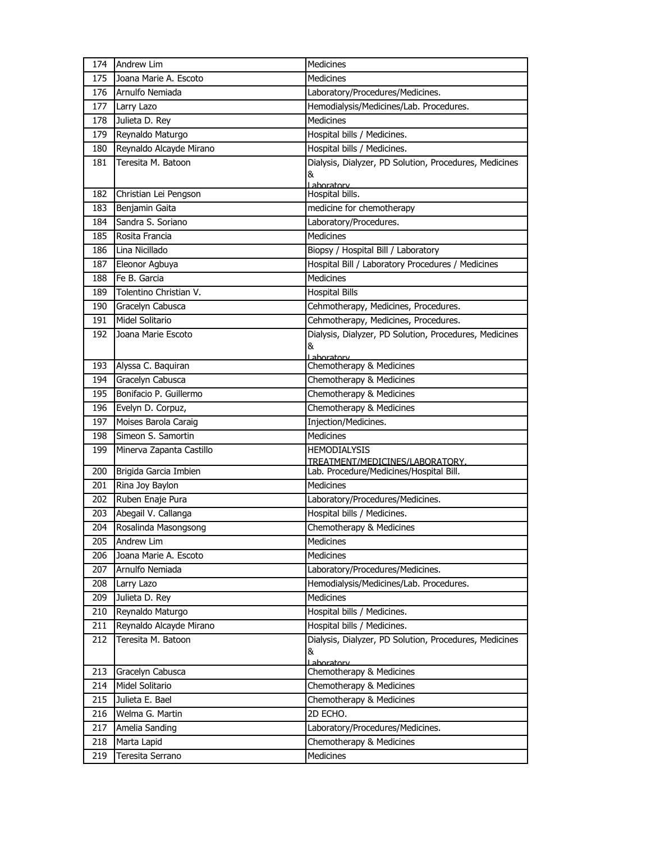| 174 | <b>Andrew Lim</b>        | Medicines                                                   |
|-----|--------------------------|-------------------------------------------------------------|
| 175 | Joana Marie A. Escoto    | Medicines                                                   |
| 176 | Arnulfo Nemiada          | Laboratory/Procedures/Medicines.                            |
| 177 | Larry Lazo               | Hemodialysis/Medicines/Lab. Procedures.                     |
| 178 | Julieta D. Rey           | <b>Medicines</b>                                            |
| 179 | Reynaldo Maturgo         | Hospital bills / Medicines.                                 |
| 180 | Reynaldo Alcayde Mirano  | Hospital bills / Medicines.                                 |
| 181 | Teresita M. Batoon       | Dialysis, Dialyzer, PD Solution, Procedures, Medicines      |
|     |                          | &                                                           |
| 182 | Christian Lei Pengson    | Lahoratory<br>Hospital bills.                               |
| 183 | Benjamin Gaita           | medicine for chemotherapy                                   |
| 184 | Sandra S. Soriano        | Laboratory/Procedures.                                      |
| 185 | Rosita Francia           | <b>Medicines</b>                                            |
| 186 | Lina Nicillado           | Biopsy / Hospital Bill / Laboratory                         |
| 187 | Eleonor Agbuya           | Hospital Bill / Laboratory Procedures / Medicines           |
| 188 | Fe B. Garcia             | Medicines                                                   |
| 189 | Tolentino Christian V.   | <b>Hospital Bills</b>                                       |
| 190 | Gracelyn Cabusca         | Cehmotherapy, Medicines, Procedures.                        |
| 191 | Midel Solitario          | Cehmotherapy, Medicines, Procedures.                        |
| 192 | Joana Marie Escoto       | Dialysis, Dialyzer, PD Solution, Procedures, Medicines      |
|     |                          | &                                                           |
| 193 | Alyssa C. Baquiran       | Laboratory<br>Chemotherapy & Medicines                      |
| 194 | Gracelyn Cabusca         | Chemotherapy & Medicines                                    |
| 195 | Bonifacio P. Guillermo   | Chemotherapy & Medicines                                    |
| 196 | Evelyn D. Corpuz,        | Chemotherapy & Medicines                                    |
| 197 | Moises Barola Caraig     | Injection/Medicines.                                        |
| 198 | Simeon S. Samortin       | <b>Medicines</b>                                            |
| 199 | Minerva Zapanta Castillo | <b>HEMODIALYSIS</b>                                         |
|     |                          | TREATMENT/MEDICINES/LABORATORY.                             |
| 200 | Brigida Garcia Imbien    | Lab. Procedure/Medicines/Hospital Bill.                     |
| 201 | Rina Joy Baylon          | <b>Medicines</b>                                            |
| 202 | Ruben Enaje Pura         | Laboratory/Procedures/Medicines.                            |
| 203 | Abegail V. Callanga      | Hospital bills / Medicines.                                 |
| 204 | Rosalinda Masongsong     | Chemotherapy & Medicines                                    |
| 205 | Andrew Lim               | Medicines                                                   |
| 206 | Joana Marie A. Escoto    | <b>Medicines</b>                                            |
| 207 | Arnulfo Nemiada          | Laboratory/Procedures/Medicines.                            |
| 208 | Larry Lazo               | Hemodialysis/Medicines/Lab. Procedures.                     |
| 209 | Julieta D. Rey           | Medicines                                                   |
| 210 | Reynaldo Maturgo         | Hospital bills / Medicines.                                 |
| 211 | Reynaldo Alcayde Mirano  | Hospital bills / Medicines.                                 |
| 212 | Teresita M. Batoon       | Dialysis, Dialyzer, PD Solution, Procedures, Medicines<br>& |
|     |                          | Laboratory                                                  |
| 213 | Gracelyn Cabusca         | Chemotherapy & Medicines                                    |
| 214 | Midel Solitario          | Chemotherapy & Medicines                                    |
| 215 | Julieta E. Bael          | Chemotherapy & Medicines                                    |
| 216 | Welma G. Martin          | 2D ECHO.                                                    |
| 217 | Amelia Sanding           | Laboratory/Procedures/Medicines.                            |
| 218 | Marta Lapid              | Chemotherapy & Medicines                                    |
| 219 | Teresita Serrano         | Medicines                                                   |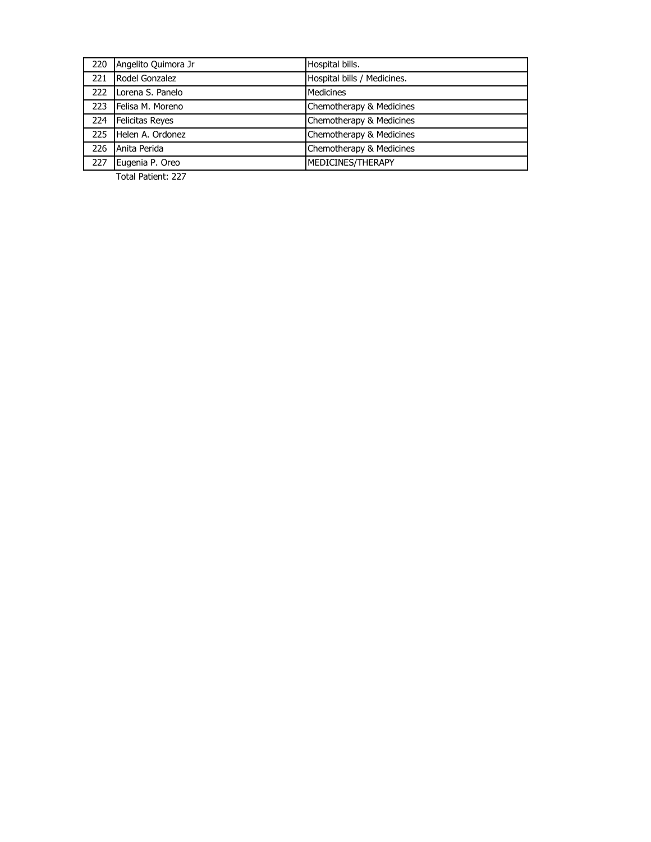| 220 | Angelito Quimora Jr    | Hospital bills.             |
|-----|------------------------|-----------------------------|
| 221 | Rodel Gonzalez         | Hospital bills / Medicines. |
| 222 | Lorena S. Panelo       | <b>Medicines</b>            |
| 223 | Felisa M. Moreno       | Chemotherapy & Medicines    |
| 224 | <b>Felicitas Reves</b> | Chemotherapy & Medicines    |
| 225 | Helen A. Ordonez       | Chemotherapy & Medicines    |
| 226 | Anita Perida           | Chemotherapy & Medicines    |
| 227 | Eugenia P. Oreo        | MEDICINES/THERAPY           |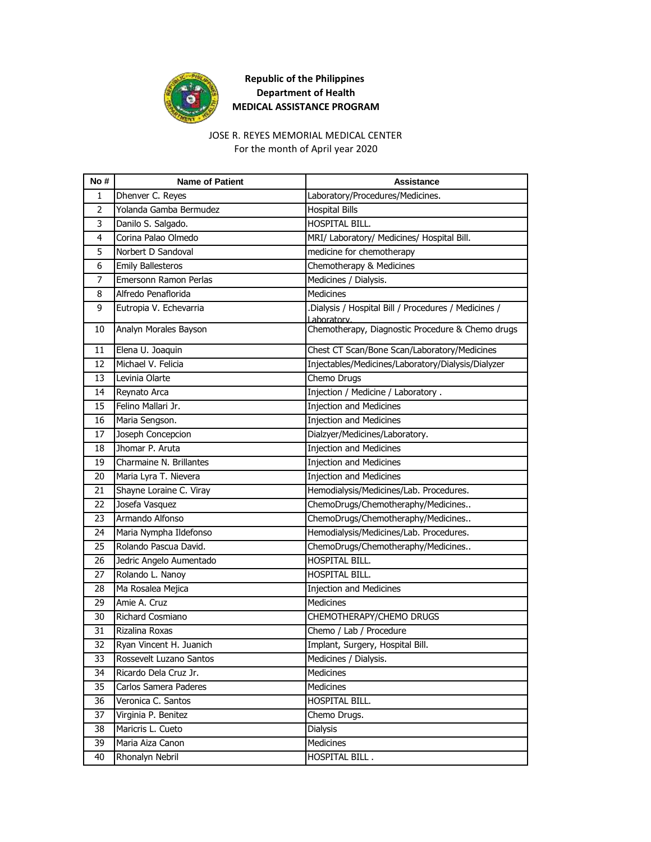

#### For the month of April year 2020 JOSE R. REYES MEMORIAL MEDICAL CENTER

| No#            | <b>Name of Patient</b>   | Assistance                                                          |
|----------------|--------------------------|---------------------------------------------------------------------|
| 1              | Dhenver C. Reyes         | Laboratory/Procedures/Medicines.                                    |
| $\overline{2}$ | Yolanda Gamba Bermudez   | <b>Hospital Bills</b>                                               |
| 3              | Danilo S. Salgado.       | HOSPITAL BILL.                                                      |
| 4              | Corina Palao Olmedo      | MRI/ Laboratory/ Medicines/ Hospital Bill.                          |
| 5              | Norbert D Sandoval       | medicine for chemotherapy                                           |
| 6              | <b>Emily Ballesteros</b> | Chemotherapy & Medicines                                            |
| $\overline{7}$ | Emersonn Ramon Perlas    | Medicines / Dialysis.                                               |
| 8              | Alfredo Penaflorida      | <b>Medicines</b>                                                    |
| 9              | Eutropia V. Echevarria   | .Dialysis / Hospital Bill / Procedures / Medicines /<br>Laboratory. |
| 10             | Analyn Morales Bayson    | Chemotherapy, Diagnostic Procedure & Chemo drugs                    |
| 11             | Elena U. Joaquin         | Chest CT Scan/Bone Scan/Laboratory/Medicines                        |
| 12             | Michael V. Felicia       | Injectables/Medicines/Laboratory/Dialysis/Dialyzer                  |
| 13             | Levinia Olarte           | Chemo Drugs                                                         |
| 14             | Reynato Arca             | Injection / Medicine / Laboratory .                                 |
| 15             | Felino Mallari Jr.       | <b>Injection and Medicines</b>                                      |
| 16             | Maria Sengson.           | <b>Injection and Medicines</b>                                      |
| 17             | Joseph Concepcion        | Dialzyer/Medicines/Laboratory.                                      |
| 18             | Jhomar P. Aruta          | <b>Injection and Medicines</b>                                      |
| 19             | Charmaine N. Brillantes  | <b>Injection and Medicines</b>                                      |
| 20             | Maria Lyra T. Nievera    | <b>Injection and Medicines</b>                                      |
| 21             | Shayne Loraine C. Viray  | Hemodialysis/Medicines/Lab. Procedures.                             |
| 22             | Josefa Vasquez           | ChemoDrugs/Chemotheraphy/Medicines                                  |
| 23             | Armando Alfonso          | ChemoDrugs/Chemotheraphy/Medicines                                  |
| 24             | Maria Nympha Ildefonso   | Hemodialysis/Medicines/Lab. Procedures.                             |
| 25             | Rolando Pascua David.    | ChemoDrugs/Chemotheraphy/Medicines                                  |
| 26             | Jedric Angelo Aumentado  | HOSPITAL BILL.                                                      |
| 27             | Rolando L. Nanoy         | HOSPITAL BILL.                                                      |
| 28             | Ma Rosalea Mejica        | <b>Injection and Medicines</b>                                      |
| 29             | Amie A. Cruz             | Medicines                                                           |
| 30             | Richard Cosmiano         | CHEMOTHERAPY/CHEMO DRUGS                                            |
| 31             | Rizalina Roxas           | Chemo / Lab / Procedure                                             |
| 32             | Ryan Vincent H. Juanich  | Implant, Surgery, Hospital Bill.                                    |
| 33             | Rossevelt Luzano Santos  | Medicines / Dialysis.                                               |
| 34             | Ricardo Dela Cruz Jr.    | Medicines                                                           |
| 35             | Carlos Samera Paderes    | Medicines                                                           |
| 36             | Veronica C. Santos       | HOSPITAL BILL.                                                      |
| 37             | Virginia P. Benitez      | Chemo Drugs.                                                        |
| 38             | Maricris L. Cueto        | <b>Dialysis</b>                                                     |
| 39             | Maria Aiza Canon         | Medicines                                                           |
| 40             | Rhonalyn Nebril          | HOSPITAL BILL.                                                      |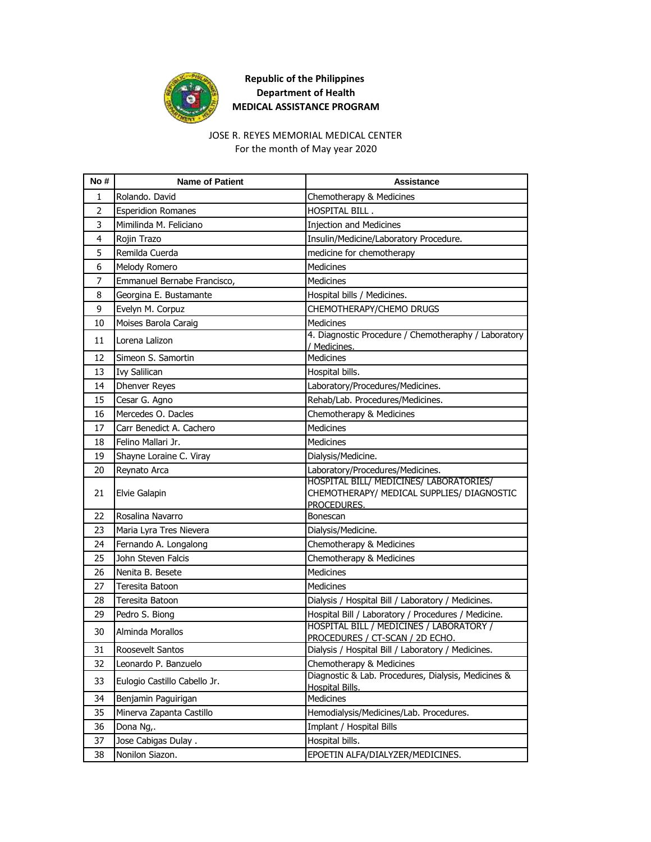

#### For the month of May year 2020 JOSE R. REYES MEMORIAL MEDICAL CENTER

| No # | <b>Name of Patient</b>       | <b>Assistance</b>                                                                                    |
|------|------------------------------|------------------------------------------------------------------------------------------------------|
| 1    | Rolando, David               | Chemotherapy & Medicines                                                                             |
| 2    | <b>Esperidion Romanes</b>    | HOSPITAL BILL.                                                                                       |
| 3    | Mimilinda M. Feliciano       | <b>Injection and Medicines</b>                                                                       |
| 4    | Rojin Trazo                  | Insulin/Medicine/Laboratory Procedure.                                                               |
| 5    | Remilda Cuerda               | medicine for chemotherapy                                                                            |
| 6    | Melody Romero                | <b>Medicines</b>                                                                                     |
| 7    | Emmanuel Bernabe Francisco,  | Medicines                                                                                            |
| 8    | Georgina E. Bustamante       | Hospital bills / Medicines.                                                                          |
| 9    | Evelyn M. Corpuz             | CHEMOTHERAPY/CHEMO DRUGS                                                                             |
| 10   | Moises Barola Caraig         | <b>Medicines</b>                                                                                     |
| 11   | Lorena Lalizon               | 4. Diagnostic Procedure / Chemotheraphy / Laboratory<br>/ Medicines.                                 |
| 12   | Simeon S. Samortin           | Medicines                                                                                            |
| 13   | <b>Ivy Salilican</b>         | Hospital bills.                                                                                      |
| 14   | <b>Dhenver Reyes</b>         | Laboratory/Procedures/Medicines.                                                                     |
| 15   | Cesar G. Agno                | Rehab/Lab. Procedures/Medicines.                                                                     |
| 16   | Mercedes O. Dacles           | Chemotherapy & Medicines                                                                             |
| 17   | Carr Benedict A. Cachero     | <b>Medicines</b>                                                                                     |
| 18   | Felino Mallari Jr.           | <b>Medicines</b>                                                                                     |
| 19   | Shayne Loraine C. Viray      | Dialysis/Medicine.                                                                                   |
| 20   | Reynato Arca                 | Laboratory/Procedures/Medicines.                                                                     |
| 21   | Elvie Galapin                | HOSPITAL BILL/ MEDICINES/ LABORATORIES/<br>CHEMOTHERAPY/ MEDICAL SUPPLIES/ DIAGNOSTIC<br>PROCEDURES. |
| 22   | Rosalina Navarro             | Bonescan                                                                                             |
| 23   | Maria Lyra Tres Nievera      | Dialysis/Medicine.                                                                                   |
| 24   | Fernando A. Longalong        | Chemotherapy & Medicines                                                                             |
| 25   | John Steven Falcis           | Chemotherapy & Medicines                                                                             |
| 26   | Nenita B. Besete             | <b>Medicines</b>                                                                                     |
| 27   | Teresita Batoon              | Medicines                                                                                            |
| 28   | Teresita Batoon              | Dialysis / Hospital Bill / Laboratory / Medicines.                                                   |
| 29   | Pedro S. Biong               | Hospital Bill / Laboratory / Procedures / Medicine.                                                  |
| 30   | Alminda Morallos             | HOSPITAL BILL / MEDICINES / LABORATORY /<br>PROCEDURES / CT-SCAN / 2D ECHO.                          |
| 31   | Roosevelt Santos             | Dialysis / Hospital Bill / Laboratory / Medicines.                                                   |
| 32   | Leonardo P. Banzuelo         | Chemotherapy & Medicines                                                                             |
| 33   | Eulogio Castillo Cabello Jr. | Diagnostic & Lab. Procedures, Dialysis, Medicines &<br><b>Hospital Bills.</b>                        |
| 34   | Benjamin Paguirigan          | Medicines                                                                                            |
| 35   | Minerva Zapanta Castillo     | Hemodialysis/Medicines/Lab. Procedures.                                                              |
| 36   | Dona Ng,.                    | Implant / Hospital Bills                                                                             |
| 37   | Jose Cabigas Dulay.          | Hospital bills.                                                                                      |
| 38   | Nonilon Siazon.              | EPOETIN ALFA/DIALYZER/MEDICINES.                                                                     |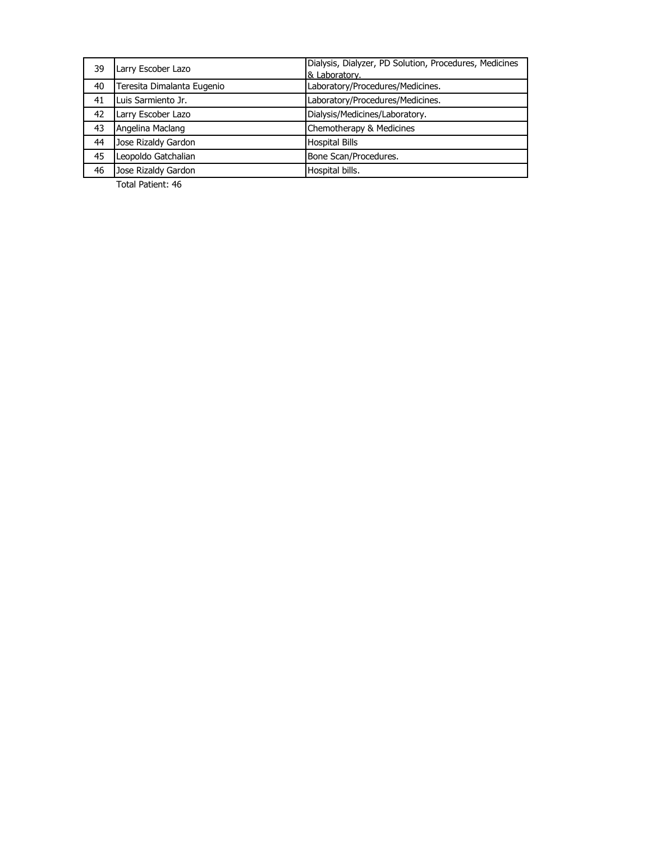| 39 | Larry Escober Lazo         | Dialysis, Dialyzer, PD Solution, Procedures, Medicines<br>& Laboratory. |
|----|----------------------------|-------------------------------------------------------------------------|
| 40 | Teresita Dimalanta Eugenio | Laboratory/Procedures/Medicines.                                        |
| 41 | Luis Sarmiento Jr.         | Laboratory/Procedures/Medicines.                                        |
| 42 | Larry Escober Lazo         | Dialysis/Medicines/Laboratory.                                          |
| 43 | Angelina Maclang           | Chemotherapy & Medicines                                                |
| 44 | Jose Rizaldy Gardon        | <b>Hospital Bills</b>                                                   |
| 45 | Leopoldo Gatchalian        | Bone Scan/Procedures.                                                   |
| 46 | Jose Rizaldy Gardon        | Hospital bills.                                                         |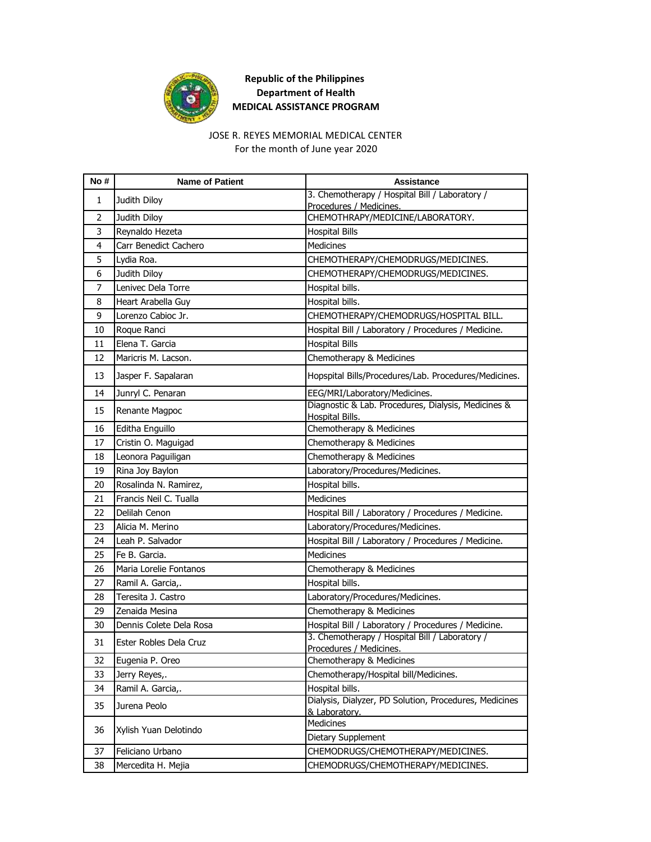

## JOSE R. REYES MEMORIAL MEDICAL CENTER

For the month of June year 2020

| No#            | <b>Name of Patient</b>  | <b>Assistance</b>                                                             |
|----------------|-------------------------|-------------------------------------------------------------------------------|
| $\mathbf{1}$   | Judith Diloy            | 3. Chemotherapy / Hospital Bill / Laboratory /                                |
| $\overline{2}$ | Judith Diloy            | Procedures / Medicines.<br>CHEMOTHRAPY/MEDICINE/LABORATORY.                   |
| 3              | Reynaldo Hezeta         | <b>Hospital Bills</b>                                                         |
| 4              | Carr Benedict Cachero   | <b>Medicines</b>                                                              |
| 5              | Lydia Roa.              |                                                                               |
| 6              | Judith Diloy            | CHEMOTHERAPY/CHEMODRUGS/MEDICINES.<br>CHEMOTHERAPY/CHEMODRUGS/MEDICINES.      |
| 7              | Lenivec Dela Torre      | Hospital bills.                                                               |
| 8              | Heart Arabella Guy      | Hospital bills.                                                               |
| 9              | Lorenzo Cabioc Jr.      |                                                                               |
|                |                         | CHEMOTHERAPY/CHEMODRUGS/HOSPITAL BILL.                                        |
| 10             | Roque Ranci             | Hospital Bill / Laboratory / Procedures / Medicine.                           |
| 11             | Elena T. Garcia         | <b>Hospital Bills</b>                                                         |
| 12             | Maricris M. Lacson.     | Chemotherapy & Medicines                                                      |
| 13             | Jasper F. Sapalaran     | Hopspital Bills/Procedures/Lab. Procedures/Medicines.                         |
| 14             | Junryl C. Penaran       | EEG/MRI/Laboratory/Medicines.                                                 |
| 15             | Renante Magpoc          | Diagnostic & Lab. Procedures, Dialysis, Medicines &<br><b>Hospital Bills.</b> |
| 16             | Editha Enguillo         | Chemotherapy & Medicines                                                      |
| 17             | Cristin O. Maguigad     | Chemotherapy & Medicines                                                      |
| 18             | Leonora Paguiligan      | Chemotherapy & Medicines                                                      |
| 19             | Rina Joy Baylon         | Laboratory/Procedures/Medicines.                                              |
| 20             | Rosalinda N. Ramirez,   | Hospital bills.                                                               |
| 21             | Francis Neil C. Tualla  | Medicines                                                                     |
| 22             | Delilah Cenon           | Hospital Bill / Laboratory / Procedures / Medicine.                           |
| 23             | Alicia M. Merino        | Laboratory/Procedures/Medicines.                                              |
| 24             | Leah P. Salvador        | Hospital Bill / Laboratory / Procedures / Medicine.                           |
| 25             | Fe B. Garcia.           | <b>Medicines</b>                                                              |
| 26             | Maria Lorelie Fontanos  | Chemotherapy & Medicines                                                      |
| 27             | Ramil A. Garcia,.       | Hospital bills.                                                               |
| 28             | Teresita J. Castro      | Laboratory/Procedures/Medicines.                                              |
| 29             | Zenaida Mesina          | Chemotherapy & Medicines                                                      |
| 30             | Dennis Colete Dela Rosa | Hospital Bill / Laboratory / Procedures / Medicine.                           |
| 31             | Ester Robles Dela Cruz  | 3. Chemotherapy / Hospital Bill / Laboratory /<br>Procedures / Medicines.     |
| 32             | Eugenia P. Oreo         | Chemotherapy & Medicines                                                      |
| 33             | Jerry Reyes,.           | Chemotherapy/Hospital bill/Medicines.                                         |
| 34             | Ramil A. Garcia,.       | Hospital bills.                                                               |
| 35             | Jurena Peolo            | Dialysis, Dialyzer, PD Solution, Procedures, Medicines<br>& Laboratory.       |
|                |                         | Medicines                                                                     |
| 36             | Xylish Yuan Delotindo   | Dietary Supplement                                                            |
| 37             | Feliciano Urbano        | CHEMODRUGS/CHEMOTHERAPY/MEDICINES.                                            |
| 38             | Mercedita H. Mejia      | CHEMODRUGS/CHEMOTHERAPY/MEDICINES.                                            |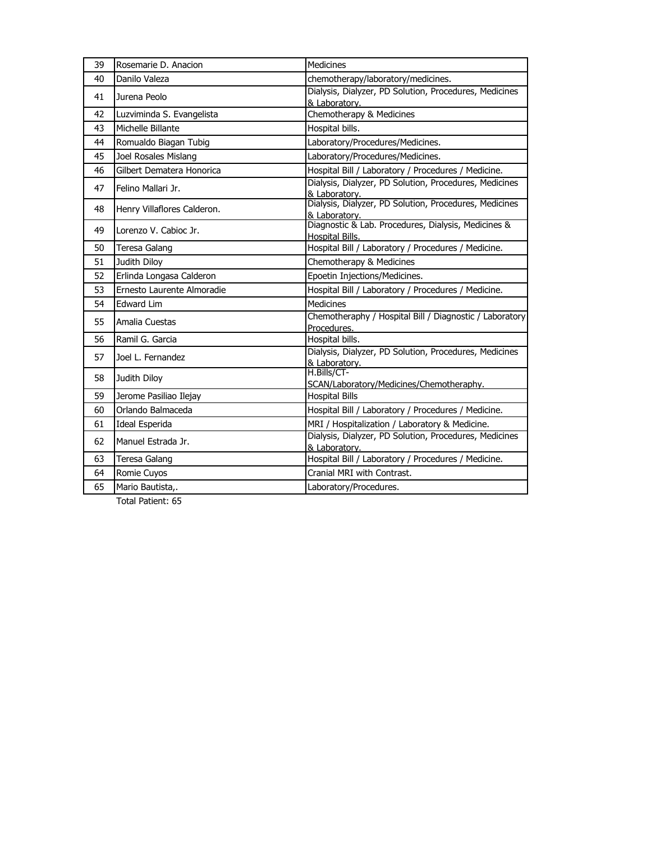| 39 | Rosemarie D. Anacion        | <b>Medicines</b>                                                              |
|----|-----------------------------|-------------------------------------------------------------------------------|
| 40 | Danilo Valeza               | chemotherapy/laboratory/medicines.                                            |
| 41 | Jurena Peolo                | Dialysis, Dialyzer, PD Solution, Procedures, Medicines<br>& Laboratory.       |
| 42 | Luzviminda S. Evangelista   | Chemotherapy & Medicines                                                      |
| 43 | Michelle Billante           | Hospital bills.                                                               |
| 44 | Romualdo Biagan Tubig       | Laboratory/Procedures/Medicines.                                              |
| 45 | Joel Rosales Mislang        | Laboratory/Procedures/Medicines.                                              |
| 46 | Gilbert Dematera Honorica   | Hospital Bill / Laboratory / Procedures / Medicine.                           |
| 47 | Felino Mallari Jr.          | Dialysis, Dialyzer, PD Solution, Procedures, Medicines<br>& Laboratory.       |
| 48 | Henry Villaflores Calderon. | Dialysis, Dialyzer, PD Solution, Procedures, Medicines<br>& Laboratory.       |
| 49 | Lorenzo V. Cabioc Jr.       | Diagnostic & Lab. Procedures, Dialysis, Medicines &<br><b>Hospital Bills.</b> |
| 50 | Teresa Galang               | Hospital Bill / Laboratory / Procedures / Medicine.                           |
| 51 | Judith Diloy                | Chemotherapy & Medicines                                                      |
| 52 | Erlinda Longasa Calderon    | Epoetin Injections/Medicines.                                                 |
| 53 | Ernesto Laurente Almoradie  | Hospital Bill / Laboratory / Procedures / Medicine.                           |
| 54 | <b>Edward Lim</b>           | <b>Medicines</b>                                                              |
| 55 | Amalia Cuestas              | Chemotheraphy / Hospital Bill / Diagnostic / Laboratory<br>Procedures.        |
| 56 | Ramil G. Garcia             | Hospital bills.                                                               |
| 57 | Joel L. Fernandez           | Dialysis, Dialyzer, PD Solution, Procedures, Medicines<br>& Laboratory.       |
| 58 | Judith Diloy                | H.Bills/CT-<br>SCAN/Laboratory/Medicines/Chemotheraphy.                       |
| 59 | Jerome Pasiliao Ilejay      | <b>Hospital Bills</b>                                                         |
| 60 | Orlando Balmaceda           | Hospital Bill / Laboratory / Procedures / Medicine.                           |
| 61 | Ideal Esperida              | MRI / Hospitalization / Laboratory & Medicine.                                |
| 62 | Manuel Estrada Jr.          | Dialysis, Dialyzer, PD Solution, Procedures, Medicines<br>& Laboratory.       |
| 63 | Teresa Galang               | Hospital Bill / Laboratory / Procedures / Medicine.                           |
| 64 | Romie Cuyos                 | Cranial MRI with Contrast.                                                    |
| 65 | Mario Bautista,.            | Laboratory/Procedures.                                                        |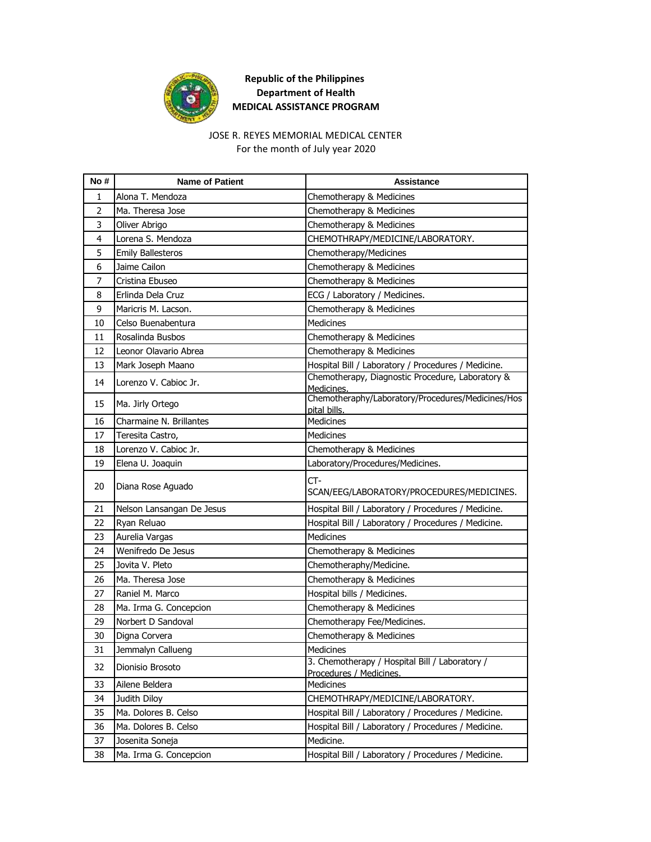

# JOSE R. REYES MEMORIAL MEDICAL CENTER

For the month of July year 2020

| No#            | <b>Name of Patient</b>    | <b>Assistance</b>                                                         |
|----------------|---------------------------|---------------------------------------------------------------------------|
| 1              | Alona T. Mendoza          | Chemotherapy & Medicines                                                  |
| $\overline{2}$ | Ma. Theresa Jose          | Chemotherapy & Medicines                                                  |
| 3              | Oliver Abrigo             | Chemotherapy & Medicines                                                  |
| 4              | Lorena S. Mendoza         | CHEMOTHRAPY/MEDICINE/LABORATORY.                                          |
| 5              | <b>Emily Ballesteros</b>  | Chemotherapy/Medicines                                                    |
| 6              | Jaime Cailon              | Chemotherapy & Medicines                                                  |
| 7              | Cristina Ebuseo           | Chemotherapy & Medicines                                                  |
| 8              | Erlinda Dela Cruz         | ECG / Laboratory / Medicines.                                             |
| 9              | Maricris M. Lacson.       | Chemotherapy & Medicines                                                  |
| 10             | Celso Buenabentura        | <b>Medicines</b>                                                          |
| 11             | Rosalinda Busbos          | Chemotherapy & Medicines                                                  |
| 12             | Leonor Olavario Abrea     | Chemotherapy & Medicines                                                  |
| 13             | Mark Joseph Maano         | Hospital Bill / Laboratory / Procedures / Medicine.                       |
| 14             | Lorenzo V. Cabioc Jr.     | Chemotherapy, Diagnostic Procedure, Laboratory &<br>Medicines.            |
| 15             | Ma. Jirly Ortego          | Chemotheraphy/Laboratory/Procedures/Medicines/Hos<br>pital bills.         |
| 16             | Charmaine N. Brillantes   | Medicines                                                                 |
| 17             | Teresita Castro,          | Medicines                                                                 |
| 18             | Lorenzo V. Cabioc Jr.     | Chemotherapy & Medicines                                                  |
| 19             | Elena U. Joaquin          | Laboratory/Procedures/Medicines.                                          |
| 20             | Diana Rose Aguado         | CT-<br>SCAN/EEG/LABORATORY/PROCEDURES/MEDICINES.                          |
| 21             | Nelson Lansangan De Jesus | Hospital Bill / Laboratory / Procedures / Medicine.                       |
| 22             | Ryan Reluao               | Hospital Bill / Laboratory / Procedures / Medicine.                       |
| 23             | Aurelia Vargas            | Medicines                                                                 |
| 24             | Wenifredo De Jesus        | Chemotherapy & Medicines                                                  |
| 25             | Jovita V. Pleto           | Chemotheraphy/Medicine.                                                   |
| 26             | Ma. Theresa Jose          | Chemotherapy & Medicines                                                  |
| 27             | Raniel M. Marco           | Hospital bills / Medicines.                                               |
| 28             | Ma. Irma G. Concepcion    | Chemotherapy & Medicines                                                  |
| 29             | Norbert D Sandoval        | Chemotherapy Fee/Medicines.                                               |
| 30             | Digna Corvera             | Chemotherapy & Medicines                                                  |
| 31             | Jemmalyn Callueng         | Medicines                                                                 |
| 32             | Dionisio Brosoto          | 3. Chemotherapy / Hospital Bill / Laboratory /<br>Procedures / Medicines. |
| 33             | Ailene Beldera            | Medicines                                                                 |
| 34             | Judith Diloy              | CHEMOTHRAPY/MEDICINE/LABORATORY.                                          |
| 35             | Ma. Dolores B. Celso      | Hospital Bill / Laboratory / Procedures / Medicine.                       |
| 36             | Ma. Dolores B. Celso      | Hospital Bill / Laboratory / Procedures / Medicine.                       |
| 37             | Josenita Soneja           | Medicine.                                                                 |
| 38             | Ma. Irma G. Concepcion    | Hospital Bill / Laboratory / Procedures / Medicine.                       |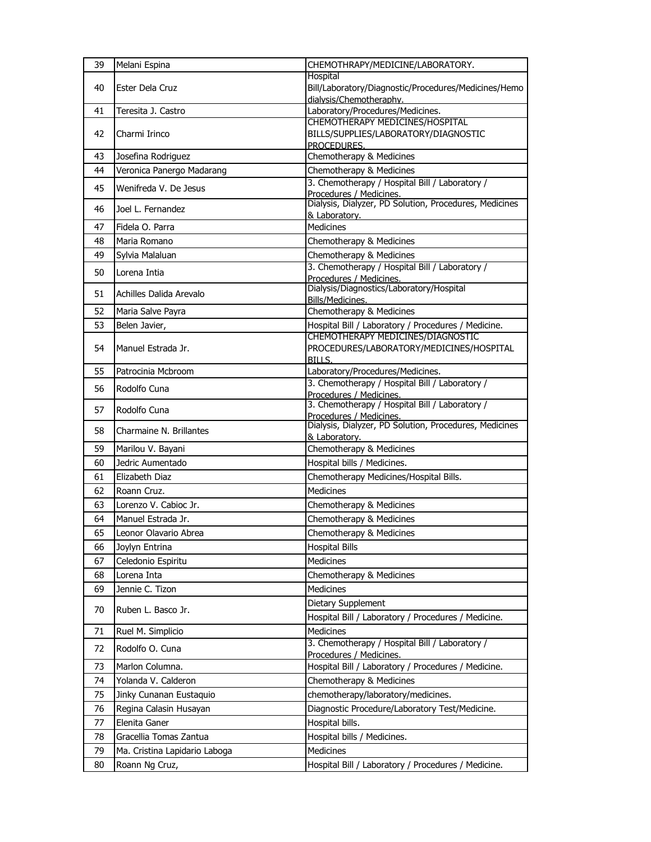| 39 | Melani Espina                 | CHEMOTHRAPY/MEDICINE/LABORATORY.                                          |
|----|-------------------------------|---------------------------------------------------------------------------|
|    |                               | Hospital                                                                  |
| 40 | Ester Dela Cruz               | Bill/Laboratory/Diagnostic/Procedures/Medicines/Hemo                      |
| 41 | Teresita J. Castro            | dialvsis/Chemotheraphy.<br>Laboratory/Procedures/Medicines.               |
|    |                               | CHEMOTHERAPY MEDICINES/HOSPITAL                                           |
| 42 | Charmi Irinco                 | BILLS/SUPPLIES/LABORATORY/DIAGNOSTIC<br>PROCEDURES.                       |
| 43 | Josefina Rodriguez            | Chemotherapy & Medicines                                                  |
| 44 | Veronica Panergo Madarang     | Chemotherapy & Medicines                                                  |
| 45 | Wenifreda V. De Jesus         | 3. Chemotherapy / Hospital Bill / Laboratory /<br>Procedures / Medicines. |
| 46 | Joel L. Fernandez             | Dialysis, Dialyzer, PD Solution, Procedures, Medicines<br>& Laboratory.   |
| 47 | Fidela O. Parra               | <b>Medicines</b>                                                          |
| 48 | Maria Romano                  | Chemotherapy & Medicines                                                  |
| 49 | Sylvia Malaluan               | Chemotherapy & Medicines                                                  |
|    |                               | 3. Chemotherapy / Hospital Bill / Laboratory /                            |
| 50 | Lorena Intia                  | Procedures / Medicines.                                                   |
| 51 | Achilles Dalida Arevalo       | Dialysis/Diagnostics/Laboratory/Hospital<br>Bills/Medicines.              |
| 52 | Maria Salve Payra             | Chemotherapy & Medicines                                                  |
| 53 | Belen Javier,                 | Hospital Bill / Laboratory / Procedures / Medicine.                       |
|    |                               | CHEMOTHERAPY MEDICINES/DIAGNOSTIC                                         |
| 54 | Manuel Estrada Jr.            | PROCEDURES/LABORATORY/MEDICINES/HOSPITAL<br>BILLS.                        |
| 55 | Patrocinia Mcbroom            | Laboratory/Procedures/Medicines.                                          |
|    |                               | 3. Chemotherapy / Hospital Bill / Laboratory /                            |
| 56 | Rodolfo Cuna                  | Procedures / Medicines.                                                   |
| 57 | Rodolfo Cuna                  | 3. Chemotherapy / Hospital Bill / Laboratory /<br>Procedures / Medicines. |
| 58 | Charmaine N. Brillantes       | Dialysis, Dialyzer, PD Solution, Procedures, Medicines<br>& Laboratory.   |
| 59 | Marilou V. Bayani             | Chemotherapy & Medicines                                                  |
| 60 | Jedric Aumentado              | Hospital bills / Medicines.                                               |
| 61 | Elizabeth Diaz                | Chemotherapy Medicines/Hospital Bills.                                    |
| 62 | Roann Cruz.                   | <b>Medicines</b>                                                          |
| 63 | Lorenzo V. Cabioc Jr.         | Chemotherapy & Medicines                                                  |
| 64 | Manuel Estrada Jr.            | Chemotherapy & Medicines                                                  |
| 65 | Leonor Olavario Abrea         | Chemotherapy & Medicines                                                  |
| 66 | Joylyn Entrina                | <b>Hospital Bills</b>                                                     |
| 67 | Celedonio Espiritu            | Medicines                                                                 |
| 68 | Lorena Inta                   | Chemotherapy & Medicines                                                  |
| 69 | Jennie C. Tizon               | Medicines                                                                 |
| 70 | Ruben L. Basco Jr.            | Dietary Supplement                                                        |
|    |                               | Hospital Bill / Laboratory / Procedures / Medicine.                       |
| 71 | Ruel M. Simplicio             | Medicines<br>3. Chemotherapy / Hospital Bill / Laboratory /               |
| 72 | Rodolfo O. Cuna               | Procedures / Medicines.                                                   |
| 73 | Marlon Columna.               | Hospital Bill / Laboratory / Procedures / Medicine.                       |
| 74 | Yolanda V. Calderon           | Chemotherapy & Medicines                                                  |
| 75 | Jinky Cunanan Eustaquio       | chemotherapy/laboratory/medicines.                                        |
| 76 | Regina Calasin Husayan        | Diagnostic Procedure/Laboratory Test/Medicine.                            |
| 77 | Elenita Ganer                 | Hospital bills.                                                           |
| 78 | Gracellia Tomas Zantua        | Hospital bills / Medicines.                                               |
| 79 | Ma. Cristina Lapidario Laboga | <b>Medicines</b>                                                          |
| 80 | Roann Ng Cruz,                | Hospital Bill / Laboratory / Procedures / Medicine.                       |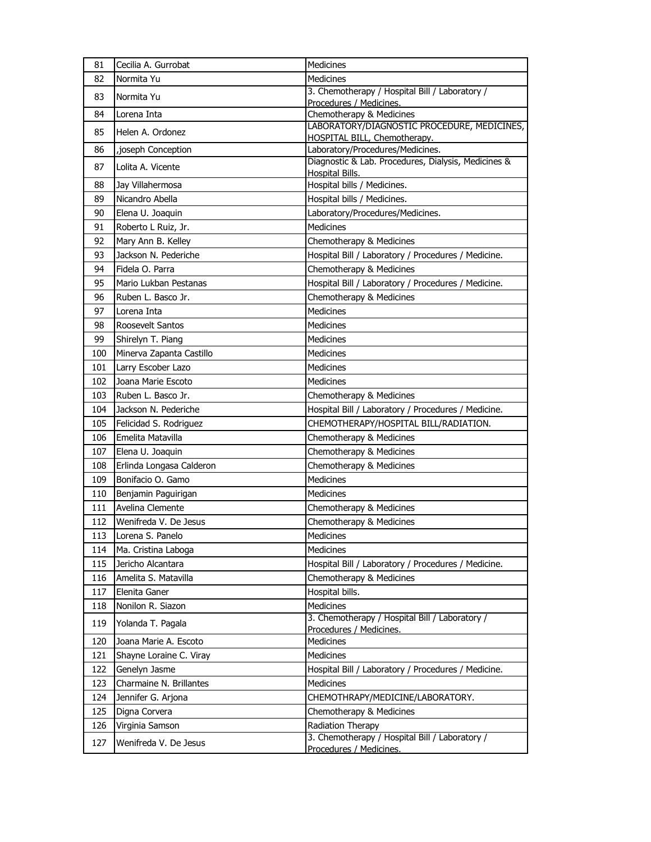| 81  | Cecilia A. Gurrobat      | Medicines                                                                 |
|-----|--------------------------|---------------------------------------------------------------------------|
| 82  | Normita Yu               | <b>Medicines</b>                                                          |
| 83  | Normita Yu               | 3. Chemotherapy / Hospital Bill / Laboratory /                            |
|     |                          | Procedures / Medicines.                                                   |
| 84  | Lorena Inta              | Chemotherapy & Medicines<br>LABORATORY/DIAGNOSTIC PROCEDURE, MEDICINES,   |
| 85  | Helen A. Ordonez         | HOSPITAL BILL, Chemotherapy.                                              |
| 86  | , joseph Conception      | Laboratory/Procedures/Medicines.                                          |
| 87  | Lolita A. Vicente        | Diagnostic & Lab. Procedures, Dialysis, Medicines &                       |
| 88  | Jay Villahermosa         | <b>Hospital Bills.</b><br>Hospital bills / Medicines.                     |
| 89  | Nicandro Abella          | Hospital bills / Medicines.                                               |
| 90  | Elena U. Joaquin         | Laboratory/Procedures/Medicines.                                          |
| 91  | Roberto L Ruiz, Jr.      | <b>Medicines</b>                                                          |
| 92  | Mary Ann B. Kelley       | Chemotherapy & Medicines                                                  |
| 93  | Jackson N. Pederiche     | Hospital Bill / Laboratory / Procedures / Medicine.                       |
| 94  | Fidela O. Parra          | Chemotherapy & Medicines                                                  |
| 95  | Mario Lukban Pestanas    | Hospital Bill / Laboratory / Procedures / Medicine.                       |
| 96  | Ruben L. Basco Jr.       | Chemotherapy & Medicines                                                  |
| 97  | Lorena Inta              | Medicines                                                                 |
| 98  | Roosevelt Santos         | Medicines                                                                 |
| 99  | Shirelyn T. Piang        | <b>Medicines</b>                                                          |
| 100 | Minerva Zapanta Castillo | Medicines                                                                 |
| 101 | Larry Escober Lazo       | <b>Medicines</b>                                                          |
| 102 | Joana Marie Escoto       | <b>Medicines</b>                                                          |
| 103 | Ruben L. Basco Jr.       | Chemotherapy & Medicines                                                  |
| 104 | Jackson N. Pederiche     | Hospital Bill / Laboratory / Procedures / Medicine.                       |
| 105 | Felicidad S. Rodriguez   | CHEMOTHERAPY/HOSPITAL BILL/RADIATION.                                     |
| 106 | Emelita Matavilla        | Chemotherapy & Medicines                                                  |
| 107 | Elena U. Joaquin         | Chemotherapy & Medicines                                                  |
| 108 | Erlinda Longasa Calderon | Chemotherapy & Medicines                                                  |
| 109 | Bonifacio O. Gamo        | Medicines                                                                 |
| 110 | Benjamin Paguirigan      | <b>Medicines</b>                                                          |
| 111 | Avelina Clemente         | Chemotherapy & Medicines                                                  |
| 112 | Wenifreda V. De Jesus    | Chemotherapy & Medicines                                                  |
| 113 | Lorena S. Panelo         | Medicines                                                                 |
| 114 | Ma. Cristina Laboga      | Medicines                                                                 |
| 115 | Jericho Alcantara        | Hospital Bill / Laboratory / Procedures / Medicine.                       |
| 116 | Amelita S. Matavilla     | Chemotherapy & Medicines                                                  |
| 117 | Elenita Ganer            | Hospital bills.                                                           |
| 118 | Nonilon R. Siazon        | Medicines                                                                 |
| 119 | Yolanda T. Pagala        | 3. Chemotherapy / Hospital Bill / Laboratory /<br>Procedures / Medicines. |
| 120 | Joana Marie A. Escoto    | Medicines                                                                 |
| 121 | Shayne Loraine C. Viray  | Medicines                                                                 |
| 122 | Genelyn Jasme            | Hospital Bill / Laboratory / Procedures / Medicine.                       |
| 123 | Charmaine N. Brillantes  | Medicines                                                                 |
| 124 | Jennifer G. Arjona       | CHEMOTHRAPY/MEDICINE/LABORATORY.                                          |
| 125 | Digna Corvera            | Chemotherapy & Medicines                                                  |
| 126 | Virginia Samson          | Radiation Therapy                                                         |
| 127 | Wenifreda V. De Jesus    | 3. Chemotherapy / Hospital Bill / Laboratory /<br>Procedures / Medicines. |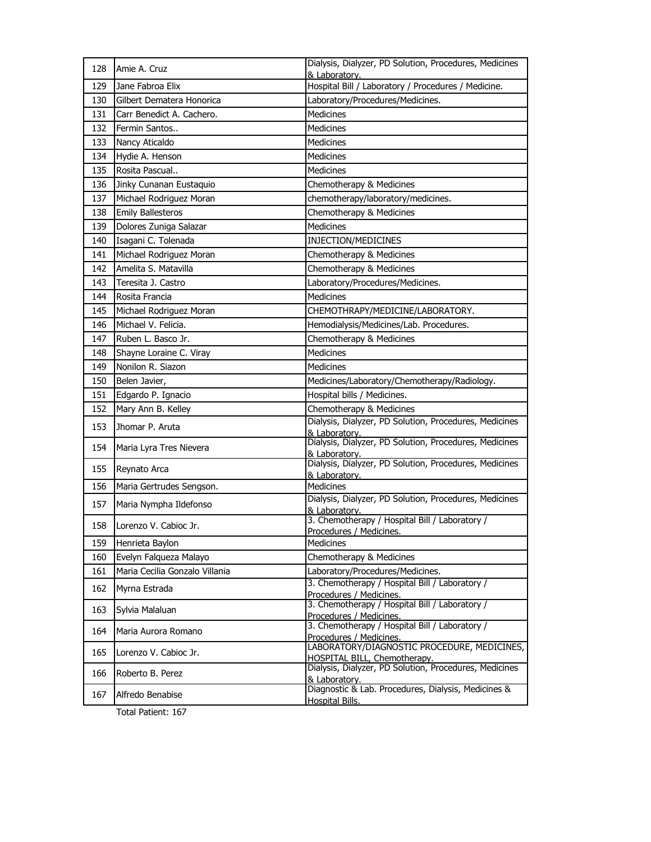| 128 | Amie A. Cruz                   | Dialysis, Dialyzer, PD Solution, Procedures, Medicines<br>& Laboratory.       |
|-----|--------------------------------|-------------------------------------------------------------------------------|
| 129 | Jane Fabroa Elix               | Hospital Bill / Laboratory / Procedures / Medicine.                           |
| 130 | Gilbert Dematera Honorica      | Laboratory/Procedures/Medicines.                                              |
| 131 | Carr Benedict A. Cachero.      | <b>Medicines</b>                                                              |
| 132 | Fermin Santos                  | <b>Medicines</b>                                                              |
| 133 | Nancy Aticaldo                 | Medicines                                                                     |
| 134 | Hydie A. Henson                | <b>Medicines</b>                                                              |
| 135 | Rosita Pascual                 | <b>Medicines</b>                                                              |
| 136 | Jinky Cunanan Eustaquio        | Chemotherapy & Medicines                                                      |
| 137 | Michael Rodriguez Moran        | chemotherapy/laboratory/medicines.                                            |
| 138 | <b>Emily Ballesteros</b>       | Chemotherapy & Medicines                                                      |
| 139 | Dolores Zuniga Salazar         | <b>Medicines</b>                                                              |
| 140 | Isagani C. Tolenada            | INJECTION/MEDICINES                                                           |
| 141 | Michael Rodriguez Moran        | Chemotherapy & Medicines                                                      |
| 142 | Amelita S. Matavilla           | Chemotherapy & Medicines                                                      |
| 143 | Teresita J. Castro             | Laboratory/Procedures/Medicines.                                              |
| 144 | Rosita Francia                 | <b>Medicines</b>                                                              |
| 145 | Michael Rodriguez Moran        | CHEMOTHRAPY/MEDICINE/LABORATORY.                                              |
| 146 | Michael V. Felicia.            | Hemodialysis/Medicines/Lab. Procedures.                                       |
| 147 | Ruben L. Basco Jr.             | Chemotherapy & Medicines                                                      |
| 148 | Shayne Loraine C. Viray        | Medicines                                                                     |
| 149 | Nonilon R. Siazon              | <b>Medicines</b>                                                              |
| 150 | Belen Javier,                  | Medicines/Laboratory/Chemotherapy/Radiology.                                  |
| 151 | Edgardo P. Ignacio             | Hospital bills / Medicines.                                                   |
| 152 | Mary Ann B. Kelley             | Chemotherapy & Medicines                                                      |
| 153 | Jhomar P. Aruta                | Dialysis, Dialyzer, PD Solution, Procedures, Medicines<br>& Laboratory.       |
| 154 | Maria Lyra Tres Nievera        | Dialysis, Dialyzer, PD Solution, Procedures, Medicines<br>& Laboratory.       |
| 155 | Reynato Arca                   | Dialysis, Dialyzer, PD Solution, Procedures, Medicines                        |
| 156 | Maria Gertrudes Sengson.       | & Laboratory.<br>Medicines                                                    |
|     |                                | Dialysis, Dialyzer, PD Solution, Procedures, Medicines                        |
| 157 | Maria Nympha Ildefonso         | & Laboratory.                                                                 |
| 158 | Lorenzo V. Cabioc Jr.          | 3. Chemotherapy / Hospital Bill / Laboratory /<br>Procedures / Medicines.     |
| 159 | Henrieta Baylon                | Medicines                                                                     |
| 160 | Evelyn Falqueza Malayo         | Chemotherapy & Medicines                                                      |
| 161 | Maria Cecilia Gonzalo Villania | Laboratory/Procedures/Medicines.                                              |
| 162 | Myrna Estrada                  | 3. Chemotherapy / Hospital Bill / Laboratory /<br>Procedures / Medicines.     |
| 163 | Sylvia Malaluan                | 3. Chemotherapy / Hospital Bill / Laboratory /<br>Procedures / Medicines.     |
| 164 | Maria Aurora Romano            | 3. Chemotherapy / Hospital Bill / Laboratory /<br>Procedures / Medicines.     |
| 165 | Lorenzo V. Cabioc Jr.          | LABORATORY/DIAGNOSTIC PROCEDURE, MEDICINES,<br>HOSPITAL BILL, Chemotherapy.   |
| 166 | Roberto B. Perez               | Dialysis, Dialyzer, PD Solution, Procedures, Medicines<br>& Laboratory.       |
| 167 | Alfredo Benabise               | Diagnostic & Lab. Procedures, Dialysis, Medicines &<br><b>Hospital Bills.</b> |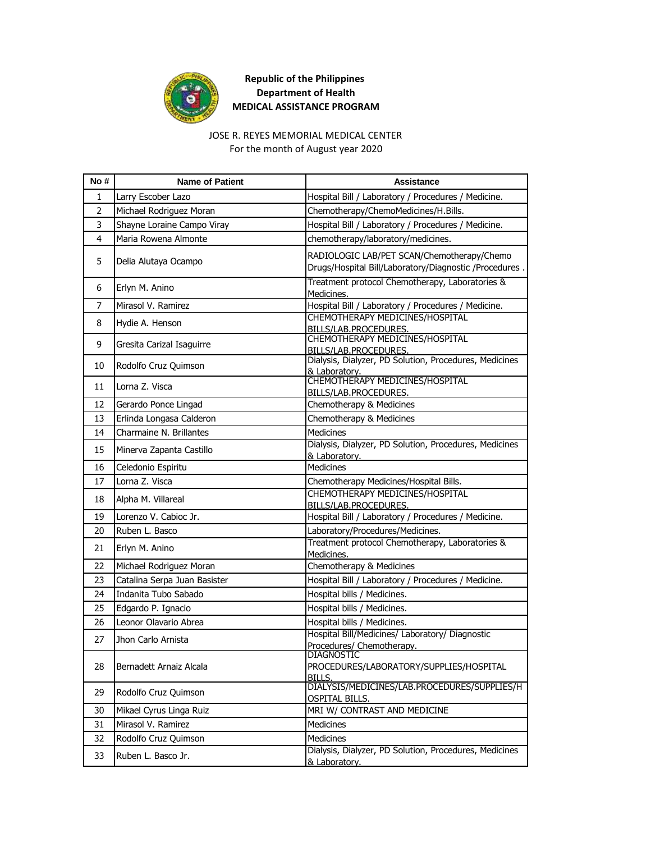

#### JOSE R. REYES MEMORIAL MEDICAL CENTER

For the month of August year 2020

| No#            | <b>Name of Patient</b>       | <b>Assistance</b>                                                                                    |
|----------------|------------------------------|------------------------------------------------------------------------------------------------------|
| 1              | Larry Escober Lazo           | Hospital Bill / Laboratory / Procedures / Medicine.                                                  |
| $\overline{2}$ | Michael Rodriguez Moran      | Chemotherapy/ChemoMedicines/H.Bills.                                                                 |
| 3              | Shayne Loraine Campo Viray   | Hospital Bill / Laboratory / Procedures / Medicine.                                                  |
| 4              | Maria Rowena Almonte         | chemotherapy/laboratory/medicines.                                                                   |
| 5              | Delia Alutaya Ocampo         | RADIOLOGIC LAB/PET SCAN/Chemotherapy/Chemo<br>Drugs/Hospital Bill/Laboratory/Diagnostic /Procedures. |
| 6              | Erlyn M. Anino               | Treatment protocol Chemotherapy, Laboratories &<br>Medicines.                                        |
| 7              | Mirasol V. Ramirez           | Hospital Bill / Laboratory / Procedures / Medicine.                                                  |
| 8              | Hydie A. Henson              | CHEMOTHERAPY MEDICINES/HOSPITAL<br>BILLS/LAB.PROCEDURES.                                             |
| 9              | Gresita Carizal Isaguirre    | CHEMOTHERAPY MEDICINES/HOSPITAL<br>BILLS/LAB.PROCEDURES.                                             |
| 10             | Rodolfo Cruz Quimson         | Dialysis, Dialyzer, PD Solution, Procedures, Medicines<br>& Laboratory.                              |
| 11             | Lorna Z. Visca               | CHEMOTHERAPY MEDICINES/HOSPITAL<br>BILLS/LAB.PROCEDURES.                                             |
| 12             | Gerardo Ponce Lingad         | Chemotherapy & Medicines                                                                             |
| 13             | Erlinda Longasa Calderon     | Chemotherapy & Medicines                                                                             |
| 14             | Charmaine N. Brillantes      | <b>Medicines</b>                                                                                     |
| 15             | Minerva Zapanta Castillo     | Dialysis, Dialyzer, PD Solution, Procedures, Medicines<br>& Laboratory.                              |
| 16             | Celedonio Espiritu           | <b>Medicines</b>                                                                                     |
| 17             | Lorna Z. Visca               | Chemotherapy Medicines/Hospital Bills.                                                               |
| 18             | Alpha M. Villareal           | CHEMOTHERAPY MEDICINES/HOSPITAL<br>BILLS/LAB.PROCEDURES.                                             |
| 19             | Lorenzo V. Cabioc Jr.        | Hospital Bill / Laboratory / Procedures / Medicine.                                                  |
| 20             | Ruben L. Basco               | Laboratory/Procedures/Medicines.                                                                     |
| 21             | Erlyn M. Anino               | Treatment protocol Chemotherapy, Laboratories &<br>Medicines.                                        |
| 22             | Michael Rodriguez Moran      | Chemotherapy & Medicines                                                                             |
| 23             | Catalina Serpa Juan Basister | Hospital Bill / Laboratory / Procedures / Medicine.                                                  |
| 24             | Indanita Tubo Sabado         | Hospital bills / Medicines.                                                                          |
| 25             | Edgardo P. Ignacio           | Hospital bills / Medicines.                                                                          |
| 26             | Leonor Olavario Abrea        | Hospital bills / Medicines.                                                                          |
| 27             | Jhon Carlo Arnista           | Hospital Bill/Medicines/ Laboratory/ Diagnostic<br>Procedures/ Chemotherapy.                         |
| 28             | Bernadett Arnaiz Alcala      | DIAGNOSTIC<br>PROCEDURES/LABORATORY/SUPPLIES/HOSPITAL<br>BILLS.                                      |
| 29             | Rodolfo Cruz Quimson         | DIALYSIS/MEDICINES/LAB.PROCEDURES/SUPPLIES/H<br><b>OSPITAL BILLS.</b>                                |
| 30             | Mikael Cyrus Linga Ruiz      | MRI W/ CONTRAST AND MEDICINE                                                                         |
| 31             | Mirasol V. Ramirez           | Medicines                                                                                            |
| 32             | Rodolfo Cruz Quimson         | Medicines                                                                                            |
| 33             | Ruben L. Basco Jr.           | Dialysis, Dialyzer, PD Solution, Procedures, Medicines<br>& Laboratory.                              |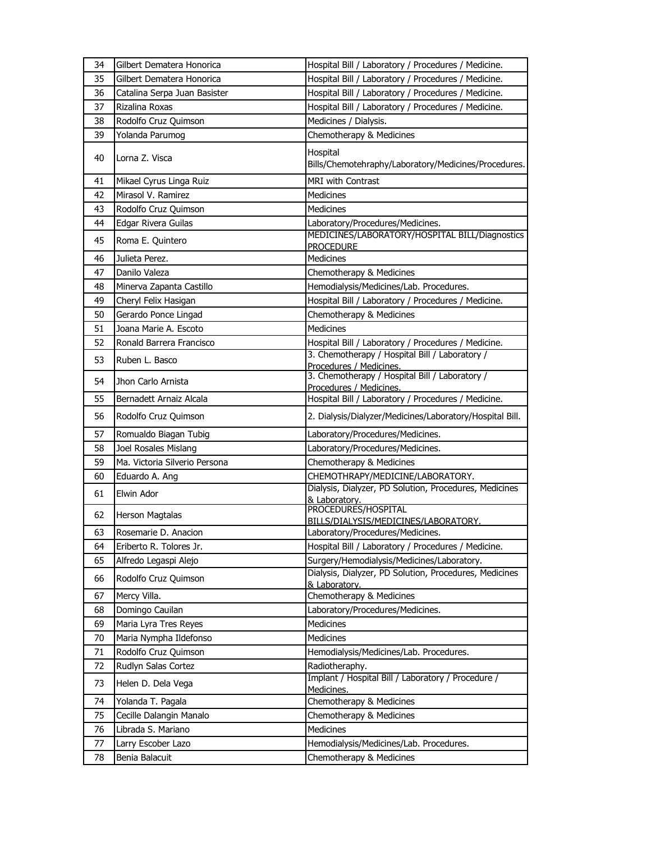| 34 | Gilbert Dematera Honorica     | Hospital Bill / Laboratory / Procedures / Medicine.                       |
|----|-------------------------------|---------------------------------------------------------------------------|
| 35 | Gilbert Dematera Honorica     | Hospital Bill / Laboratory / Procedures / Medicine.                       |
| 36 | Catalina Serpa Juan Basister  | Hospital Bill / Laboratory / Procedures / Medicine.                       |
| 37 | Rizalina Roxas                | Hospital Bill / Laboratory / Procedures / Medicine.                       |
| 38 | Rodolfo Cruz Quimson          | Medicines / Dialysis.                                                     |
| 39 | Yolanda Parumog               | Chemotherapy & Medicines                                                  |
| 40 | Lorna Z. Visca                | Hospital<br>Bills/Chemotehraphy/Laboratory/Medicines/Procedures.          |
| 41 | Mikael Cyrus Linga Ruiz       | <b>MRI with Contrast</b>                                                  |
| 42 | Mirasol V. Ramirez            | <b>Medicines</b>                                                          |
| 43 | Rodolfo Cruz Quimson          | Medicines                                                                 |
| 44 | Edgar Rivera Guilas           | Laboratory/Procedures/Medicines.                                          |
| 45 | Roma E. Quintero              | MEDICINES/LABORATORY/HOSPITAL BILL/Diagnostics<br><b>PROCEDURE</b>        |
| 46 | Julieta Perez.                | Medicines                                                                 |
| 47 | Danilo Valeza                 | Chemotherapy & Medicines                                                  |
| 48 | Minerva Zapanta Castillo      | Hemodialysis/Medicines/Lab. Procedures.                                   |
| 49 | Cheryl Felix Hasigan          | Hospital Bill / Laboratory / Procedures / Medicine.                       |
| 50 | Gerardo Ponce Lingad          | Chemotherapy & Medicines                                                  |
| 51 | Joana Marie A. Escoto         | Medicines                                                                 |
| 52 | Ronald Barrera Francisco      | Hospital Bill / Laboratory / Procedures / Medicine.                       |
| 53 | Ruben L. Basco                | 3. Chemotherapy / Hospital Bill / Laboratory /<br>Procedures / Medicines. |
| 54 | Jhon Carlo Arnista            | 3. Chemotherapy / Hospital Bill / Laboratory /<br>Procedures / Medicines. |
| 55 | Bernadett Arnaiz Alcala       | Hospital Bill / Laboratory / Procedures / Medicine.                       |
| 56 | Rodolfo Cruz Quimson          | 2. Dialysis/Dialyzer/Medicines/Laboratory/Hospital Bill.                  |
| 57 | Romualdo Biagan Tubig         | Laboratory/Procedures/Medicines.                                          |
| 58 | Joel Rosales Mislang          | Laboratory/Procedures/Medicines.                                          |
| 59 | Ma. Victoria Silverio Persona | Chemotherapy & Medicines                                                  |
| 60 | Eduardo A. Ang                | CHEMOTHRAPY/MEDICINE/LABORATORY.                                          |
| 61 | Elwin Ador                    | Dialysis, Dialyzer, PD Solution, Procedures, Medicines<br>& Laboratory.   |
| 62 | <b>Herson Magtalas</b>        | PROCEDURES/HOSPITAL<br>BILLS/DIALYSIS/MEDICINES/LABORATORY.               |
| 63 | Rosemarie D. Anacion          | Laboratory/Procedures/Medicines.                                          |
| 64 | Eriberto R. Tolores Jr.       | Hospital Bill / Laboratory / Procedures / Medicine.                       |
| 65 | Alfredo Legaspi Alejo         | Surgery/Hemodialysis/Medicines/Laboratory.                                |
| 66 | Rodolfo Cruz Quimson          | Dialysis, Dialyzer, PD Solution, Procedures, Medicines<br>& Laboratory.   |
| 67 | Mercy Villa.                  | Chemotherapy & Medicines                                                  |
| 68 | Domingo Cauilan               | Laboratory/Procedures/Medicines.                                          |
| 69 | Maria Lyra Tres Reyes         | <b>Medicines</b>                                                          |
| 70 | Maria Nympha Ildefonso        | <b>Medicines</b>                                                          |
| 71 | Rodolfo Cruz Quimson          | Hemodialysis/Medicines/Lab. Procedures.                                   |
| 72 | Rudlyn Salas Cortez           | Radiotheraphy.                                                            |
| 73 | Helen D. Dela Vega            | Implant / Hospital Bill / Laboratory / Procedure /<br>Medicines.          |
| 74 | Yolanda T. Pagala             | Chemotherapy & Medicines                                                  |
| 75 | Cecille Dalangin Manalo       | Chemotherapy & Medicines                                                  |
| 76 | Librada S. Mariano            | Medicines                                                                 |
| 77 | Larry Escober Lazo            | Hemodialysis/Medicines/Lab. Procedures.                                   |
| 78 | Benia Balacuit                | Chemotherapy & Medicines                                                  |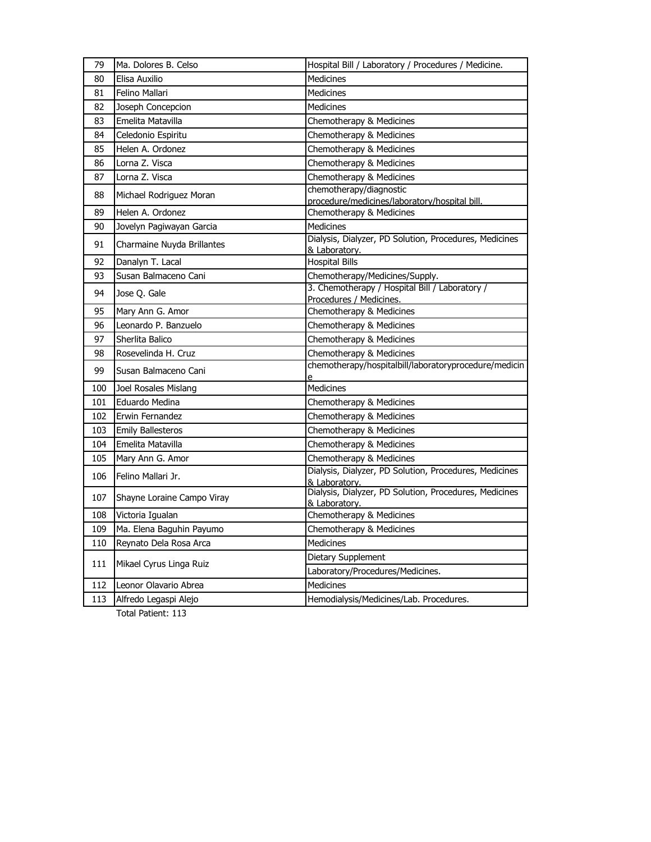| 79  | Ma. Dolores B. Celso       | Hospital Bill / Laboratory / Procedures / Medicine.                       |
|-----|----------------------------|---------------------------------------------------------------------------|
| 80  | Elisa Auxilio              | <b>Medicines</b>                                                          |
| 81  | Felino Mallari             | Medicines                                                                 |
| 82  | Joseph Concepcion          | <b>Medicines</b>                                                          |
| 83  | Emelita Matavilla          | Chemotherapy & Medicines                                                  |
| 84  | Celedonio Espiritu         | Chemotherapy & Medicines                                                  |
| 85  | Helen A. Ordonez           | Chemotherapy & Medicines                                                  |
| 86  | Lorna Z. Visca             | Chemotherapy & Medicines                                                  |
| 87  | Lorna Z. Visca             | Chemotherapy & Medicines                                                  |
| 88  | Michael Rodriguez Moran    | chemotherapy/diagnostic<br>procedure/medicines/laboratory/hospital bill.  |
| 89  | Helen A. Ordonez           | Chemotherapy & Medicines                                                  |
| 90  | Jovelyn Pagiwayan Garcia   | <b>Medicines</b>                                                          |
| 91  | Charmaine Nuyda Brillantes | Dialysis, Dialyzer, PD Solution, Procedures, Medicines<br>& Laboratory.   |
| 92  | Danalyn T. Lacal           | <b>Hospital Bills</b>                                                     |
| 93  | Susan Balmaceno Cani       | Chemotherapy/Medicines/Supply.                                            |
| 94  | Jose Q. Gale               | 3. Chemotherapy / Hospital Bill / Laboratory /<br>Procedures / Medicines. |
| 95  | Mary Ann G. Amor           | Chemotherapy & Medicines                                                  |
| 96  | Leonardo P. Banzuelo       | Chemotherapy & Medicines                                                  |
| 97  | Sherlita Balico            | Chemotherapy & Medicines                                                  |
| 98  | Rosevelinda H. Cruz        | Chemotherapy & Medicines                                                  |
| 99  | Susan Balmaceno Cani       | chemotherapy/hospitalbill/laboratoryprocedure/medicin<br>e                |
| 100 | Joel Rosales Mislang       | <b>Medicines</b>                                                          |
| 101 | Eduardo Medina             | Chemotherapy & Medicines                                                  |
| 102 | Erwin Fernandez            | Chemotherapy & Medicines                                                  |
| 103 | <b>Emily Ballesteros</b>   | Chemotherapy & Medicines                                                  |
| 104 | Emelita Matavilla          | Chemotherapy & Medicines                                                  |
| 105 | Mary Ann G. Amor           | Chemotherapy & Medicines                                                  |
| 106 | Felino Mallari Jr.         | Dialysis, Dialyzer, PD Solution, Procedures, Medicines<br>& Laboratory.   |
| 107 | Shayne Loraine Campo Viray | Dialysis, Dialyzer, PD Solution, Procedures, Medicines<br>& Laboratory.   |
| 108 | Victoria Igualan           | Chemotherapy & Medicines                                                  |
| 109 | Ma. Elena Baguhin Payumo   | Chemotherapy & Medicines                                                  |
| 110 | Reynato Dela Rosa Arca     | <b>Medicines</b>                                                          |
| 111 | Mikael Cyrus Linga Ruiz    | Dietary Supplement                                                        |
|     |                            | Laboratory/Procedures/Medicines.                                          |
| 112 | Leonor Olavario Abrea      | Medicines                                                                 |
| 113 | Alfredo Legaspi Alejo      | Hemodialysis/Medicines/Lab. Procedures.                                   |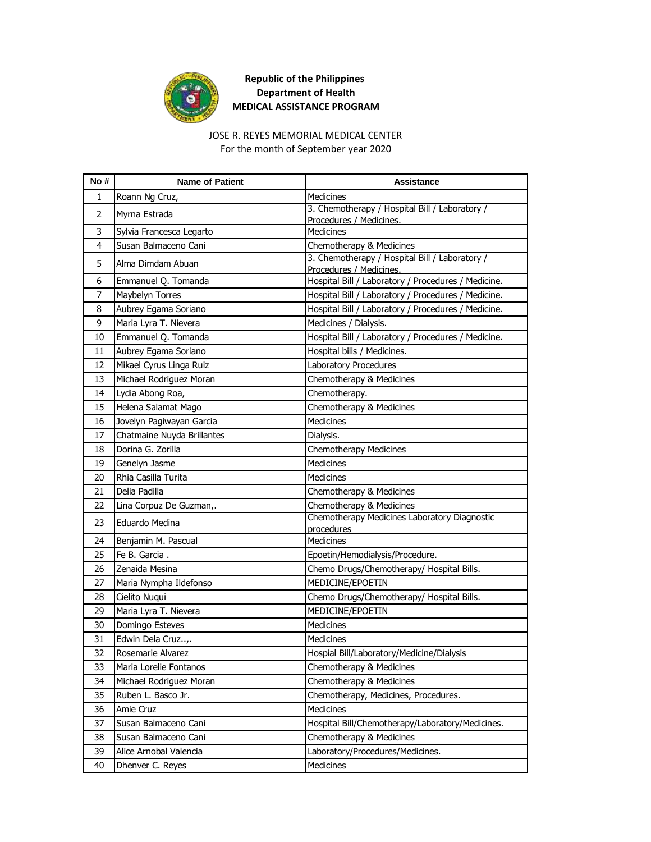

JOSE R. REYES MEMORIAL MEDICAL CENTER

For the month of September year 2020

| No#            | <b>Name of Patient</b>     | <b>Assistance</b>                                                         |
|----------------|----------------------------|---------------------------------------------------------------------------|
| 1              | Roann Ng Cruz,             | <b>Medicines</b>                                                          |
| $\overline{2}$ | Myrna Estrada              | 3. Chemotherapy / Hospital Bill / Laboratory /<br>Procedures / Medicines. |
| 3              | Sylvia Francesca Legarto   | Medicines                                                                 |
| 4              | Susan Balmaceno Cani       | Chemotherapy & Medicines                                                  |
| 5              | Alma Dimdam Abuan          | 3. Chemotherapy / Hospital Bill / Laboratory /<br>Procedures / Medicines. |
| 6              | Emmanuel Q. Tomanda        | Hospital Bill / Laboratory / Procedures / Medicine.                       |
| 7              | Maybelyn Torres            | Hospital Bill / Laboratory / Procedures / Medicine.                       |
| 8              | Aubrey Egama Soriano       | Hospital Bill / Laboratory / Procedures / Medicine.                       |
| 9              | Maria Lyra T. Nievera      | Medicines / Dialysis.                                                     |
| 10             | Emmanuel Q. Tomanda        | Hospital Bill / Laboratory / Procedures / Medicine.                       |
| 11             | Aubrey Egama Soriano       | Hospital bills / Medicines.                                               |
| 12             | Mikael Cyrus Linga Ruiz    | Laboratory Procedures                                                     |
| 13             | Michael Rodriguez Moran    | Chemotherapy & Medicines                                                  |
| 14             | Lydia Abong Roa,           | Chemotherapy.                                                             |
| 15             | Helena Salamat Mago        | Chemotherapy & Medicines                                                  |
| 16             | Jovelyn Pagiwayan Garcia   | <b>Medicines</b>                                                          |
| 17             | Chatmaine Nuyda Brillantes | Dialysis.                                                                 |
| 18             | Dorina G. Zorilla          | Chemotherapy Medicines                                                    |
| 19             | Genelyn Jasme              | <b>Medicines</b>                                                          |
| 20             | Rhia Casilla Turita        | Medicines                                                                 |
| 21             | Delia Padilla              | Chemotherapy & Medicines                                                  |
| 22             | Lina Corpuz De Guzman,.    | Chemotherapy & Medicines                                                  |
| 23             | Eduardo Medina             | Chemotherapy Medicines Laboratory Diagnostic<br>procedures                |
| 24             | Benjamin M. Pascual        | Medicines                                                                 |
| 25             | Fe B. Garcia.              | Epoetin/Hemodialysis/Procedure.                                           |
| 26             | Zenaida Mesina             | Chemo Drugs/Chemotherapy/ Hospital Bills.                                 |
| 27             | Maria Nympha Ildefonso     | MEDICINE/EPOETIN                                                          |
| 28             | Cielito Nuqui              | Chemo Drugs/Chemotherapy/ Hospital Bills.                                 |
| 29             | Maria Lyra T. Nievera      | MEDICINE/EPOETIN                                                          |
| 30             | Domingo Esteves            | Medicines                                                                 |
| 31             | Edwin Dela Cruz,.          | Medicines                                                                 |
| 32             | Rosemarie Alvarez          | Hospial Bill/Laboratory/Medicine/Dialysis                                 |
| 33             | Maria Lorelie Fontanos     | Chemotherapy & Medicines                                                  |
| 34             | Michael Rodriguez Moran    | Chemotherapy & Medicines                                                  |
| 35             | Ruben L. Basco Jr.         | Chemotherapy, Medicines, Procedures.                                      |
| 36             | Amie Cruz                  | Medicines                                                                 |
| 37             | Susan Balmaceno Cani       | Hospital Bill/Chemotherapy/Laboratory/Medicines.                          |
| 38             | Susan Balmaceno Cani       | Chemotherapy & Medicines                                                  |
| 39             | Alice Arnobal Valencia     | Laboratory/Procedures/Medicines.                                          |
| 40             | Dhenver C. Reyes           | Medicines                                                                 |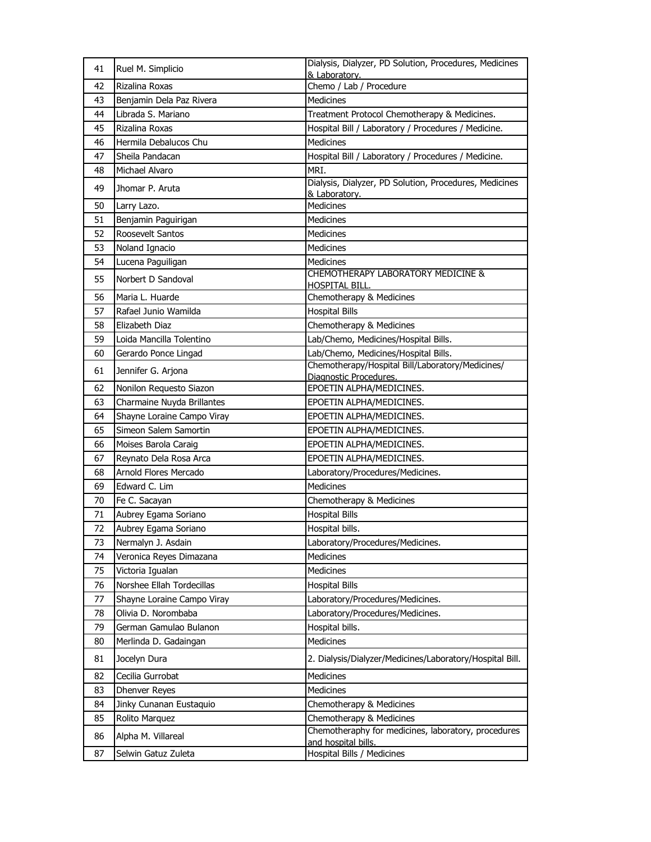| 41 | Ruel M. Simplicio          | Dialysis, Dialyzer, PD Solution, Procedures, Medicines<br>& Laboratory.    |
|----|----------------------------|----------------------------------------------------------------------------|
| 42 | Rizalina Roxas             | Chemo / Lab / Procedure                                                    |
| 43 | Benjamin Dela Paz Rivera   | Medicines                                                                  |
| 44 | Librada S. Mariano         | Treatment Protocol Chemotherapy & Medicines.                               |
| 45 | Rizalina Roxas             | Hospital Bill / Laboratory / Procedures / Medicine.                        |
| 46 | Hermila Debalucos Chu      | <b>Medicines</b>                                                           |
| 47 | Sheila Pandacan            | Hospital Bill / Laboratory / Procedures / Medicine.                        |
| 48 | Michael Alvaro             | MRI.                                                                       |
| 49 | Jhomar P. Aruta            | Dialysis, Dialyzer, PD Solution, Procedures, Medicines<br>& Laboratory.    |
| 50 | Larry Lazo.                | Medicines                                                                  |
| 51 | Benjamin Paguirigan        | <b>Medicines</b>                                                           |
| 52 | Roosevelt Santos           | <b>Medicines</b>                                                           |
| 53 | Noland Ignacio             | <b>Medicines</b>                                                           |
| 54 | Lucena Paguiligan          | <b>Medicines</b>                                                           |
| 55 | Norbert D Sandoval         | CHEMOTHERAPY LABORATORY MEDICINE &<br>HOSPITAL BILL.                       |
| 56 | Maria L. Huarde            | Chemotherapy & Medicines                                                   |
| 57 | Rafael Junio Wamilda       | <b>Hospital Bills</b>                                                      |
| 58 | Elizabeth Diaz             | Chemotherapy & Medicines                                                   |
| 59 | Loida Mancilla Tolentino   | Lab/Chemo, Medicines/Hospital Bills.                                       |
| 60 | Gerardo Ponce Lingad       | Lab/Chemo, Medicines/Hospital Bills.                                       |
| 61 | Jennifer G. Arjona         | Chemotherapy/Hospital Bill/Laboratory/Medicines/<br>Diagnostic Procedures. |
| 62 | Nonilon Requesto Siazon    | EPOETIN ALPHA/MEDICINES.                                                   |
| 63 | Charmaine Nuyda Brillantes | EPOETIN ALPHA/MEDICINES.                                                   |
| 64 | Shayne Loraine Campo Viray | EPOETIN ALPHA/MEDICINES.                                                   |
| 65 | Simeon Salem Samortin      | EPOETIN ALPHA/MEDICINES.                                                   |
| 66 | Moises Barola Caraig       | EPOETIN ALPHA/MEDICINES.                                                   |
| 67 | Reynato Dela Rosa Arca     | EPOETIN ALPHA/MEDICINES.                                                   |
| 68 | Arnold Flores Mercado      | Laboratory/Procedures/Medicines.                                           |
| 69 | Edward C. Lim              | <b>Medicines</b>                                                           |
| 70 | Fe C. Sacayan              | Chemotherapy & Medicines                                                   |
| 71 | Aubrey Egama Soriano       | <b>Hospital Bills</b>                                                      |
| 72 | Aubrey Egama Soriano       | Hospital bills.                                                            |
| 73 | Nermalyn J. Asdain         | Laboratory/Procedures/Medicines.                                           |
| 74 | Veronica Reyes Dimazana    | <b>Medicines</b>                                                           |
| 75 | Victoria Igualan           | Medicines                                                                  |
| 76 | Norshee Ellah Tordecillas  | <b>Hospital Bills</b>                                                      |
| 77 | Shayne Loraine Campo Viray | Laboratory/Procedures/Medicines.                                           |
| 78 | Olivia D. Norombaba        | Laboratory/Procedures/Medicines.                                           |
| 79 | German Gamulao Bulanon     | Hospital bills.                                                            |
| 80 | Merlinda D. Gadaingan      | Medicines                                                                  |
| 81 | Jocelyn Dura               | 2. Dialysis/Dialyzer/Medicines/Laboratory/Hospital Bill.                   |
| 82 | Cecilia Gurrobat           | Medicines                                                                  |
| 83 | Dhenver Reyes              | Medicines                                                                  |
| 84 | Jinky Cunanan Eustaquio    | Chemotherapy & Medicines                                                   |
| 85 | Rolito Marquez             | Chemotherapy & Medicines                                                   |
| 86 | Alpha M. Villareal         | Chemotheraphy for medicines, laboratory, procedures<br>and hospital bills. |
| 87 | Selwin Gatuz Zuleta        | Hospital Bills / Medicines                                                 |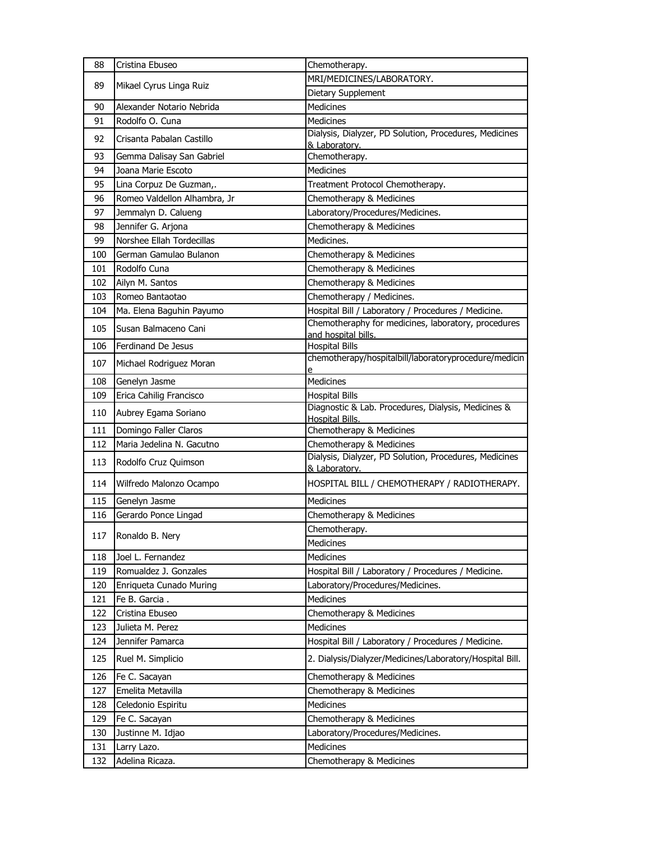| 88  | Cristina Ebuseo              | Chemotherapy.                                                                |
|-----|------------------------------|------------------------------------------------------------------------------|
| 89  | Mikael Cyrus Linga Ruiz      | MRI/MEDICINES/LABORATORY.                                                    |
|     |                              | Dietary Supplement                                                           |
| 90  | Alexander Notario Nebrida    | <b>Medicines</b>                                                             |
| 91  | Rodolfo O. Cuna              | <b>Medicines</b>                                                             |
| 92  | Crisanta Pabalan Castillo    | Dialysis, Dialyzer, PD Solution, Procedures, Medicines<br>& Laboratory.      |
| 93  | Gemma Dalisay San Gabriel    | Chemotherapy.                                                                |
| 94  | Joana Marie Escoto           | <b>Medicines</b>                                                             |
| 95  | Lina Corpuz De Guzman,.      | Treatment Protocol Chemotherapy.                                             |
| 96  | Romeo Valdellon Alhambra, Jr | Chemotherapy & Medicines                                                     |
| 97  | Jemmalyn D. Calueng          | Laboratory/Procedures/Medicines.                                             |
| 98  | Jennifer G. Arjona           | Chemotherapy & Medicines                                                     |
| 99  | Norshee Ellah Tordecillas    | Medicines.                                                                   |
| 100 | German Gamulao Bulanon       | Chemotherapy & Medicines                                                     |
| 101 | Rodolfo Cuna                 | Chemotherapy & Medicines                                                     |
| 102 | Ailyn M. Santos              | Chemotherapy & Medicines                                                     |
| 103 | Romeo Bantaotao              | Chemotherapy / Medicines.                                                    |
| 104 | Ma. Elena Baguhin Payumo     | Hospital Bill / Laboratory / Procedures / Medicine.                          |
| 105 | Susan Balmaceno Cani         | Chemotheraphy for medicines, laboratory, procedures                          |
| 106 | Ferdinand De Jesus           | and hospital bills.<br><b>Hospital Bills</b>                                 |
| 107 | Michael Rodriguez Moran      | chemotherapy/hospitalbill/laboratoryprocedure/medicin                        |
|     |                              | Medicines                                                                    |
| 108 | Genelyn Jasme                |                                                                              |
| 109 | Erica Cahilig Francisco      | <b>Hospital Bills</b><br>Diagnostic & Lab. Procedures, Dialysis, Medicines & |
| 110 | Aubrey Egama Soriano         | <b>Hospital Bills.</b>                                                       |
| 111 | Domingo Faller Claros        | Chemotherapy & Medicines                                                     |
| 112 | Maria Jedelina N. Gacutno    | Chemotherapy & Medicines                                                     |
| 113 | Rodolfo Cruz Quimson         | Dialysis, Dialyzer, PD Solution, Procedures, Medicines<br>& Laboratory.      |
| 114 | Wilfredo Malonzo Ocampo      | HOSPITAL BILL / CHEMOTHERAPY / RADIOTHERAPY.                                 |
| 115 | Genelyn Jasme                | <b>Medicines</b>                                                             |
| 116 | Gerardo Ponce Lingad         | Chemotherapy & Medicines                                                     |
| 117 | Ronaldo B. Nery              | Chemotherapy.                                                                |
|     |                              | Medicines                                                                    |
| 118 | Joel L. Fernandez            | Medicines                                                                    |
| 119 | Romualdez J. Gonzales        | Hospital Bill / Laboratory / Procedures / Medicine.                          |
| 120 | Enriqueta Cunado Muring      | Laboratory/Procedures/Medicines.                                             |
| 121 | Fe B. Garcia.                | Medicines                                                                    |
| 122 | Cristina Ebuseo              | Chemotherapy & Medicines                                                     |
| 123 | Julieta M. Perez             | Medicines                                                                    |
| 124 | Jennifer Pamarca             | Hospital Bill / Laboratory / Procedures / Medicine.                          |
| 125 | Ruel M. Simplicio            | 2. Dialysis/Dialyzer/Medicines/Laboratory/Hospital Bill.                     |
| 126 | Fe C. Sacayan                | Chemotherapy & Medicines                                                     |
| 127 | Emelita Metavilla            | Chemotherapy & Medicines                                                     |
| 128 | Celedonio Espiritu           | Medicines                                                                    |
| 129 | Fe C. Sacayan                | Chemotherapy & Medicines                                                     |
| 130 | Justinne M. Idjao            | Laboratory/Procedures/Medicines.                                             |
| 131 | Larry Lazo.                  | Medicines                                                                    |
| 132 | Adelina Ricaza.              | Chemotherapy & Medicines                                                     |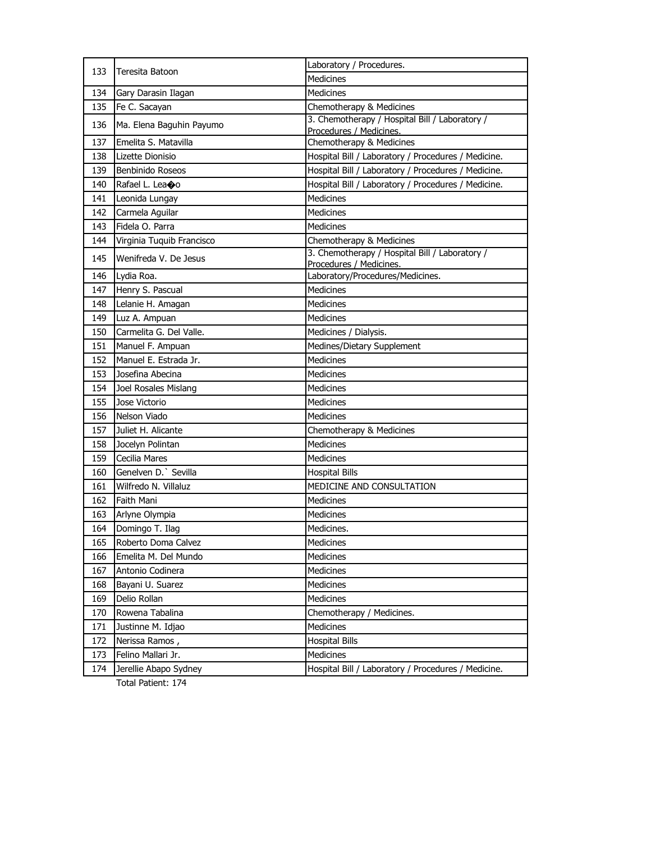| 133 | Teresita Batoon            | Laboratory / Procedures.                                                  |
|-----|----------------------------|---------------------------------------------------------------------------|
|     |                            | <b>Medicines</b>                                                          |
| 134 | Gary Darasin Ilagan        | <b>Medicines</b>                                                          |
| 135 | Fe C. Sacayan              | Chemotherapy & Medicines                                                  |
| 136 | Ma. Elena Baguhin Payumo   | 3. Chemotherapy / Hospital Bill / Laboratory /                            |
| 137 | Emelita S. Matavilla       | Procedures / Medicines.                                                   |
|     |                            | Chemotherapy & Medicines                                                  |
| 138 | Lizette Dionisio           | Hospital Bill / Laboratory / Procedures / Medicine.                       |
| 139 | Benbinido Roseos           | Hospital Bill / Laboratory / Procedures / Medicine.                       |
| 140 | Rafael L. Lea $\bigcirc$ o | Hospital Bill / Laboratory / Procedures / Medicine.                       |
| 141 | Leonida Lungay             | <b>Medicines</b>                                                          |
| 142 | Carmela Aguilar            | <b>Medicines</b>                                                          |
| 143 | Fidela O. Parra            | <b>Medicines</b>                                                          |
| 144 | Virginia Tuquib Francisco  | Chemotherapy & Medicines                                                  |
| 145 | Wenifreda V. De Jesus      | 3. Chemotherapy / Hospital Bill / Laboratory /<br>Procedures / Medicines. |
| 146 | Lydia Roa.                 | Laboratory/Procedures/Medicines.                                          |
| 147 | Henry S. Pascual           | <b>Medicines</b>                                                          |
| 148 | Lelanie H. Amagan          | <b>Medicines</b>                                                          |
| 149 | Luz A. Ampuan              | <b>Medicines</b>                                                          |
| 150 | Carmelita G. Del Valle.    | Medicines / Dialysis.                                                     |
| 151 | Manuel F. Ampuan           | Medines/Dietary Supplement                                                |
| 152 | Manuel E. Estrada Jr.      | <b>Medicines</b>                                                          |
| 153 | Josefina Abecina           | Medicines                                                                 |
| 154 | Joel Rosales Mislang       | <b>Medicines</b>                                                          |
| 155 | Jose Victorio              | <b>Medicines</b>                                                          |
| 156 | Nelson Viado               | Medicines                                                                 |
| 157 | Juliet H. Alicante         | Chemotherapy & Medicines                                                  |
| 158 | Jocelyn Polintan           | Medicines                                                                 |
| 159 | Cecilia Mares              | <b>Medicines</b>                                                          |
| 160 | Genelven D. Sevilla        | <b>Hospital Bills</b>                                                     |
| 161 | Wilfredo N. Villaluz       | MEDICINE AND CONSULTATION                                                 |
| 162 | Faith Mani                 | <b>Medicines</b>                                                          |
| 163 | Arlyne Olympia             | Medicines                                                                 |
| 164 | Domingo T. Ilag            | Medicines.                                                                |
| 165 | Roberto Doma Calvez        | Medicines                                                                 |
| 166 | Emelita M. Del Mundo       | Medicines                                                                 |
| 167 | Antonio Codinera           | Medicines                                                                 |
| 168 | Bayani U. Suarez           | Medicines                                                                 |
| 169 | Delio Rollan               | <b>Medicines</b>                                                          |
| 170 | Rowena Tabalina            | Chemotherapy / Medicines.                                                 |
| 171 | Justinne M. Idjao          | Medicines                                                                 |
| 172 | Nerissa Ramos,             | <b>Hospital Bills</b>                                                     |
| 173 | Felino Mallari Jr.         | Medicines                                                                 |
| 174 | Jerellie Abapo Sydney      | Hospital Bill / Laboratory / Procedures / Medicine.                       |
|     |                            |                                                                           |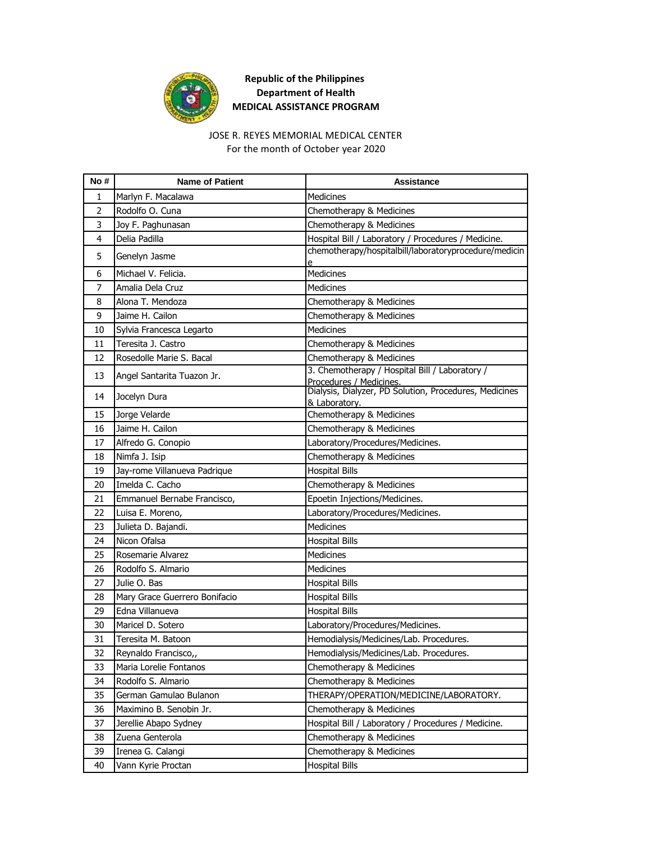

## JOSE R. REYES MEMORIAL MEDICAL CENTER

For the month of October year 2020

| No#            | <b>Name of Patient</b>        | Assistance                                                                        |
|----------------|-------------------------------|-----------------------------------------------------------------------------------|
| 1              | Marlyn F. Macalawa            | Medicines                                                                         |
| $\overline{2}$ | Rodolfo O. Cuna               | Chemotherapy & Medicines                                                          |
| 3              | Joy F. Paghunasan             | Chemotherapy & Medicines                                                          |
| 4              | Delia Padilla                 | Hospital Bill / Laboratory / Procedures / Medicine.                               |
| 5              | Genelyn Jasme                 | chemotherapy/hospitalbill/laboratoryprocedure/medicin<br>e                        |
| 6              | Michael V. Felicia.           | <b>Medicines</b>                                                                  |
| 7              | Amalia Dela Cruz              | Medicines                                                                         |
| 8              | Alona T. Mendoza              | Chemotherapy & Medicines                                                          |
| 9              | Jaime H. Cailon               | Chemotherapy & Medicines                                                          |
| 10             | Sylvia Francesca Legarto      | Medicines                                                                         |
| 11             | Teresita J. Castro            | Chemotherapy & Medicines                                                          |
| 12             | Rosedolle Marie S. Bacal      | Chemotherapy & Medicines                                                          |
| 13             | Angel Santarita Tuazon Jr.    | 3. Chemotherapy / Hospital Bill / Laboratory /                                    |
|                |                               | Procedures / Medicines.<br>Dialysis, Dialyzer, PD Solution, Procedures, Medicines |
| 14             | Jocelyn Dura                  | & Laboratory.                                                                     |
| 15             | Jorge Velarde                 | Chemotherapy & Medicines                                                          |
| 16             | Jaime H. Cailon               | Chemotherapy & Medicines                                                          |
| 17             | Alfredo G. Conopio            | Laboratory/Procedures/Medicines.                                                  |
| 18             | Nimfa J. Isip                 | Chemotherapy & Medicines                                                          |
| 19             | Jay-rome Villanueva Padrique  | <b>Hospital Bills</b>                                                             |
| 20             | Imelda C. Cacho               | Chemotherapy & Medicines                                                          |
| 21             | Emmanuel Bernabe Francisco,   | Epoetin Injections/Medicines.                                                     |
| 22             | Luisa E. Moreno,              | Laboratory/Procedures/Medicines.                                                  |
| 23             | Julieta D. Bajandi.           | <b>Medicines</b>                                                                  |
| 24             | Nicon Ofalsa                  | <b>Hospital Bills</b>                                                             |
| 25             | Rosemarie Alvarez             | <b>Medicines</b>                                                                  |
| 26             | Rodolfo S. Almario            | Medicines                                                                         |
| 27             | Julie O. Bas                  | <b>Hospital Bills</b>                                                             |
| 28             | Mary Grace Guerrero Bonifacio | <b>Hospital Bills</b>                                                             |
| 29             | Edna Villanueva               | <b>Hospital Bills</b>                                                             |
| 30             | Maricel D. Sotero             | Laboratory/Procedures/Medicines.                                                  |
| 31             | Teresita M. Batoon            | Hemodialysis/Medicines/Lab. Procedures.                                           |
| 32             | Reynaldo Francisco,,          | Hemodialysis/Medicines/Lab. Procedures.                                           |
| 33             | Maria Lorelie Fontanos        | Chemotherapy & Medicines                                                          |
| 34             | Rodolfo S. Almario            | Chemotherapy & Medicines                                                          |
| 35             | German Gamulao Bulanon        | THERAPY/OPERATION/MEDICINE/LABORATORY.                                            |
| 36             | Maximino B. Senobin Jr.       | Chemotherapy & Medicines                                                          |
| 37             | Jerellie Abapo Sydney         | Hospital Bill / Laboratory / Procedures / Medicine.                               |
| 38             | Zuena Genterola               | Chemotherapy & Medicines                                                          |
| 39             | Irenea G. Calangi             | Chemotherapy & Medicines                                                          |
| 40             | Vann Kyrie Proctan            | <b>Hospital Bills</b>                                                             |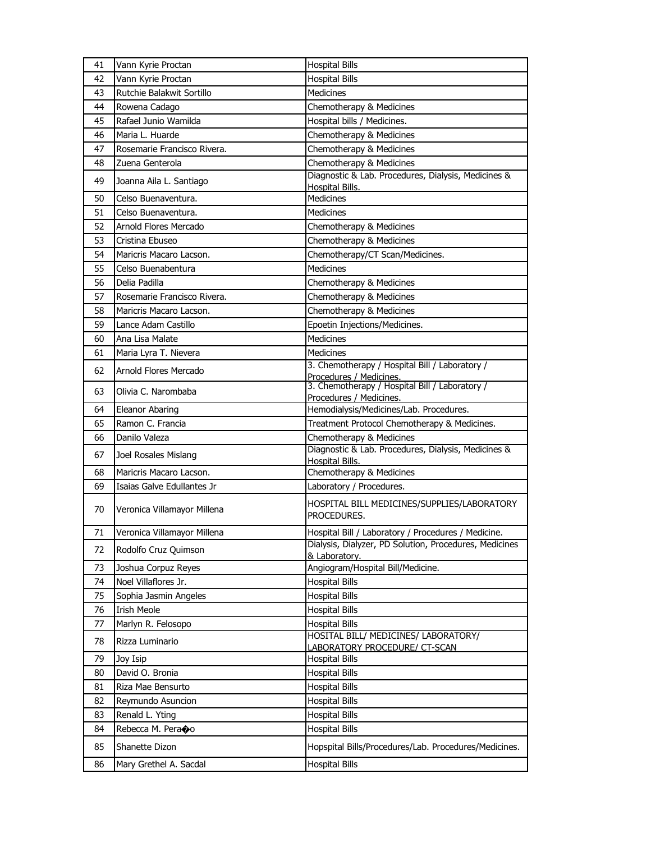| 41 | Vann Kyrie Proctan          | <b>Hospital Bills</b>                                                     |
|----|-----------------------------|---------------------------------------------------------------------------|
| 42 | Vann Kyrie Proctan          | <b>Hospital Bills</b>                                                     |
| 43 | Rutchie Balakwit Sortillo   | <b>Medicines</b>                                                          |
| 44 | Rowena Cadago               | Chemotherapy & Medicines                                                  |
| 45 | Rafael Junio Wamilda        | Hospital bills / Medicines.                                               |
| 46 | Maria L. Huarde             | Chemotherapy & Medicines                                                  |
| 47 | Rosemarie Francisco Rivera. | Chemotherapy & Medicines                                                  |
| 48 | Zuena Genterola             | Chemotherapy & Medicines                                                  |
| 49 | Joanna Aila L. Santiago     | Diagnostic & Lab. Procedures, Dialysis, Medicines &                       |
| 50 | Celso Buenaventura.         | Hospital Bills.<br>Medicines                                              |
| 51 | Celso Buenaventura.         | Medicines                                                                 |
| 52 | Arnold Flores Mercado       | Chemotherapy & Medicines                                                  |
| 53 | Cristina Ebuseo             | Chemotherapy & Medicines                                                  |
| 54 | Maricris Macaro Lacson.     | Chemotherapy/CT Scan/Medicines.                                           |
| 55 | Celso Buenabentura          | <b>Medicines</b>                                                          |
| 56 | Delia Padilla               | Chemotherapy & Medicines                                                  |
| 57 | Rosemarie Francisco Rivera. | Chemotherapy & Medicines                                                  |
| 58 | Maricris Macaro Lacson.     | Chemotherapy & Medicines                                                  |
| 59 | Lance Adam Castillo         | Epoetin Injections/Medicines.                                             |
| 60 | Ana Lisa Malate             | <b>Medicines</b>                                                          |
| 61 | Maria Lyra T. Nievera       | <b>Medicines</b>                                                          |
|    |                             | 3. Chemotherapy / Hospital Bill / Laboratory /                            |
| 62 | Arnold Flores Mercado       | Procedures / Medicines.                                                   |
| 63 | Olivia C. Narombaba         | 3. Chemotherapy / Hospital Bill / Laboratory /<br>Procedures / Medicines. |
| 64 | Eleanor Abaring             | Hemodialysis/Medicines/Lab. Procedures.                                   |
| 65 | Ramon C. Francia            | Treatment Protocol Chemotherapy & Medicines.                              |
| 66 | Danilo Valeza               | Chemotherapy & Medicines                                                  |
| 67 | Joel Rosales Mislang        | Diagnostic & Lab. Procedures, Dialysis, Medicines &                       |
|    |                             | Hospital Bills.                                                           |
| 68 | Maricris Macaro Lacson.     | Chemotherapy & Medicines                                                  |
| 69 | Isaias Galve Edullantes Jr  | Laboratory / Procedures.                                                  |
| 70 | Veronica Villamayor Millena | HOSPITAL BILL MEDICINES/SUPPLIES/LABORATORY<br>PROCEDURES.                |
| 71 | Veronica Villamayor Millena | Hospital Bill / Laboratory / Procedures / Medicine.                       |
| 72 | Rodolfo Cruz Quimson        | Dialysis, Dialyzer, PD Solution, Procedures, Medicines<br>& Laboratory.   |
| 73 | Joshua Corpuz Reyes         | Angiogram/Hospital Bill/Medicine.                                         |
| 74 | Noel Villaflores Jr.        | <b>Hospital Bills</b>                                                     |
| 75 | Sophia Jasmin Angeles       | <b>Hospital Bills</b>                                                     |
| 76 | <b>Irish Meole</b>          | <b>Hospital Bills</b>                                                     |
| 77 | Marlyn R. Felosopo          | <b>Hospital Bills</b>                                                     |
| 78 | Rizza Luminario             | HOSITAL BILL/ MEDICINES/ LABORATORY/                                      |
| 79 | Joy Isip                    | <b>LABORATORY PROCEDURE/ CT-SCAN</b><br><b>Hospital Bills</b>             |
| 80 | David O. Bronia             | <b>Hospital Bills</b>                                                     |
| 81 | Riza Mae Bensurto           | <b>Hospital Bills</b>                                                     |
| 82 | Reymundo Asuncion           | <b>Hospital Bills</b>                                                     |
| 83 | Renald L. Yting             | <b>Hospital Bills</b>                                                     |
| 84 | Rebecca M. Peraoo           | <b>Hospital Bills</b>                                                     |
| 85 | Shanette Dizon              | Hopspital Bills/Procedures/Lab. Procedures/Medicines.                     |
| 86 | Mary Grethel A. Sacdal      | <b>Hospital Bills</b>                                                     |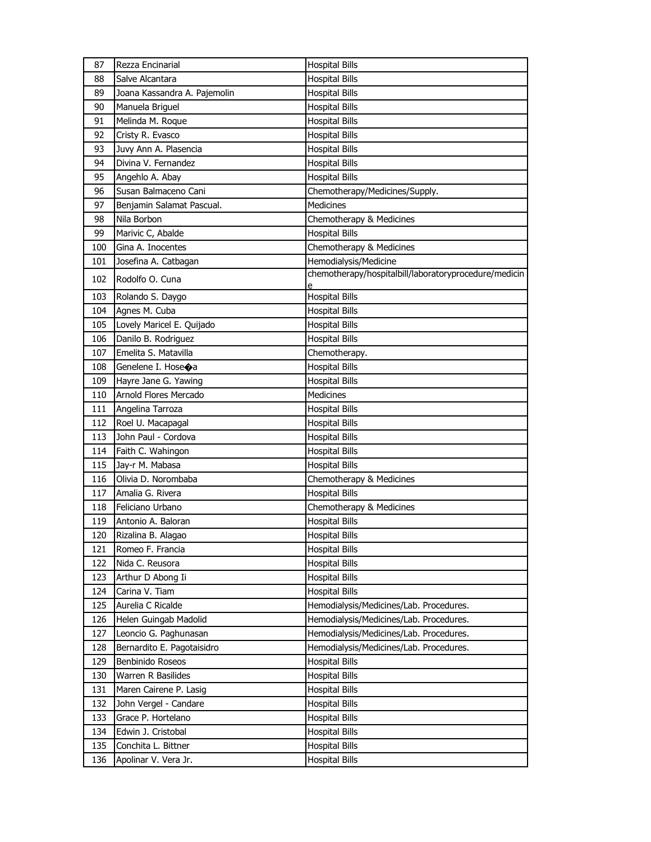| Salve Alcantara<br>88<br><b>Hospital Bills</b><br>Joana Kassandra A. Pajemolin<br>89<br><b>Hospital Bills</b><br>Manuela Briguel<br>90<br><b>Hospital Bills</b><br>91<br>Melinda M. Roque<br><b>Hospital Bills</b><br>92<br>Cristy R. Evasco<br><b>Hospital Bills</b><br>93<br>Juvy Ann A. Plasencia<br><b>Hospital Bills</b><br>Divina V. Fernandez<br>94<br><b>Hospital Bills</b><br>95<br>Angehlo A. Abay<br><b>Hospital Bills</b><br>Susan Balmaceno Cani<br>96<br>Chemotherapy/Medicines/Supply.<br>Medicines<br>97<br>Benjamin Salamat Pascual.<br>Nila Borbon<br>Chemotherapy & Medicines<br>98<br>Marivic C, Abalde<br><b>Hospital Bills</b><br>99<br>Chemotherapy & Medicines<br>100<br>Gina A. Inocentes<br>Hemodialysis/Medicine<br>Josefina A. Catbagan<br>101<br>chemotherapy/hospitalbill/laboratoryprocedure/medicin<br>102<br>Rodolfo O. Cuna<br>e<br><b>Hospital Bills</b><br>103<br>Rolando S. Daygo<br>104<br>Agnes M. Cuba<br><b>Hospital Bills</b><br>Lovely Maricel E. Quijado<br>105<br><b>Hospital Bills</b><br>Danilo B. Rodriguez<br><b>Hospital Bills</b><br>106<br>Emelita S. Matavilla<br>107<br>Chemotherapy.<br>108<br>Genelene I. Hose $\bigcirc$ a<br><b>Hospital Bills</b><br>109<br>Hayre Jane G. Yawing<br><b>Hospital Bills</b><br>Arnold Flores Mercado<br>Medicines<br>110<br>Angelina Tarroza<br>111<br><b>Hospital Bills</b><br>112<br>Roel U. Macapagal<br><b>Hospital Bills</b><br>John Paul - Cordova<br>113<br><b>Hospital Bills</b><br>Faith C. Wahingon<br>114<br><b>Hospital Bills</b><br>Jay-r M. Mabasa<br>115<br><b>Hospital Bills</b><br>Olivia D. Norombaba<br>Chemotherapy & Medicines<br>116<br>Amalia G. Rivera<br>117<br><b>Hospital Bills</b><br>Feliciano Urbano<br>Chemotherapy & Medicines<br>118<br>119<br>Antonio A. Baloran<br><b>Hospital Bills</b><br>Rizalina B. Alagao<br><b>Hospital Bills</b><br>120<br>121<br>Romeo F. Francia<br><b>Hospital Bills</b><br>122<br>Nida C. Reusora<br><b>Hospital Bills</b><br>123<br>Arthur D Abong Ii<br><b>Hospital Bills</b><br>124<br>Carina V. Tiam<br><b>Hospital Bills</b><br>Aurelia C Ricalde<br>125<br>Hemodialysis/Medicines/Lab. Procedures.<br>126<br>Helen Guingab Madolid<br>Hemodialysis/Medicines/Lab. Procedures.<br>127<br>Leoncio G. Paghunasan<br>Hemodialysis/Medicines/Lab. Procedures.<br>128<br>Bernardito E. Pagotaisidro<br>Hemodialysis/Medicines/Lab. Procedures.<br>129<br>Benbinido Roseos<br><b>Hospital Bills</b><br>130<br>Warren R Basilides<br><b>Hospital Bills</b><br>Maren Cairene P. Lasig<br>131<br><b>Hospital Bills</b><br>132<br>John Vergel - Candare<br><b>Hospital Bills</b><br>133<br>Grace P. Hortelano<br><b>Hospital Bills</b><br>Edwin J. Cristobal<br><b>Hospital Bills</b><br>134<br>Conchita L. Bittner<br>135<br><b>Hospital Bills</b> | 87  | Rezza Encinarial     | <b>Hospital Bills</b> |
|-------------------------------------------------------------------------------------------------------------------------------------------------------------------------------------------------------------------------------------------------------------------------------------------------------------------------------------------------------------------------------------------------------------------------------------------------------------------------------------------------------------------------------------------------------------------------------------------------------------------------------------------------------------------------------------------------------------------------------------------------------------------------------------------------------------------------------------------------------------------------------------------------------------------------------------------------------------------------------------------------------------------------------------------------------------------------------------------------------------------------------------------------------------------------------------------------------------------------------------------------------------------------------------------------------------------------------------------------------------------------------------------------------------------------------------------------------------------------------------------------------------------------------------------------------------------------------------------------------------------------------------------------------------------------------------------------------------------------------------------------------------------------------------------------------------------------------------------------------------------------------------------------------------------------------------------------------------------------------------------------------------------------------------------------------------------------------------------------------------------------------------------------------------------------------------------------------------------------------------------------------------------------------------------------------------------------------------------------------------------------------------------------------------------------------------------------------------------------------------------------------------------------------------------------------------------------------------------------------------------------------------------------------------------------------------------------------------------------------------------------------------------------------------------------------|-----|----------------------|-----------------------|
|                                                                                                                                                                                                                                                                                                                                                                                                                                                                                                                                                                                                                                                                                                                                                                                                                                                                                                                                                                                                                                                                                                                                                                                                                                                                                                                                                                                                                                                                                                                                                                                                                                                                                                                                                                                                                                                                                                                                                                                                                                                                                                                                                                                                                                                                                                                                                                                                                                                                                                                                                                                                                                                                                                                                                                                                       |     |                      |                       |
|                                                                                                                                                                                                                                                                                                                                                                                                                                                                                                                                                                                                                                                                                                                                                                                                                                                                                                                                                                                                                                                                                                                                                                                                                                                                                                                                                                                                                                                                                                                                                                                                                                                                                                                                                                                                                                                                                                                                                                                                                                                                                                                                                                                                                                                                                                                                                                                                                                                                                                                                                                                                                                                                                                                                                                                                       |     |                      |                       |
|                                                                                                                                                                                                                                                                                                                                                                                                                                                                                                                                                                                                                                                                                                                                                                                                                                                                                                                                                                                                                                                                                                                                                                                                                                                                                                                                                                                                                                                                                                                                                                                                                                                                                                                                                                                                                                                                                                                                                                                                                                                                                                                                                                                                                                                                                                                                                                                                                                                                                                                                                                                                                                                                                                                                                                                                       |     |                      |                       |
|                                                                                                                                                                                                                                                                                                                                                                                                                                                                                                                                                                                                                                                                                                                                                                                                                                                                                                                                                                                                                                                                                                                                                                                                                                                                                                                                                                                                                                                                                                                                                                                                                                                                                                                                                                                                                                                                                                                                                                                                                                                                                                                                                                                                                                                                                                                                                                                                                                                                                                                                                                                                                                                                                                                                                                                                       |     |                      |                       |
|                                                                                                                                                                                                                                                                                                                                                                                                                                                                                                                                                                                                                                                                                                                                                                                                                                                                                                                                                                                                                                                                                                                                                                                                                                                                                                                                                                                                                                                                                                                                                                                                                                                                                                                                                                                                                                                                                                                                                                                                                                                                                                                                                                                                                                                                                                                                                                                                                                                                                                                                                                                                                                                                                                                                                                                                       |     |                      |                       |
|                                                                                                                                                                                                                                                                                                                                                                                                                                                                                                                                                                                                                                                                                                                                                                                                                                                                                                                                                                                                                                                                                                                                                                                                                                                                                                                                                                                                                                                                                                                                                                                                                                                                                                                                                                                                                                                                                                                                                                                                                                                                                                                                                                                                                                                                                                                                                                                                                                                                                                                                                                                                                                                                                                                                                                                                       |     |                      |                       |
|                                                                                                                                                                                                                                                                                                                                                                                                                                                                                                                                                                                                                                                                                                                                                                                                                                                                                                                                                                                                                                                                                                                                                                                                                                                                                                                                                                                                                                                                                                                                                                                                                                                                                                                                                                                                                                                                                                                                                                                                                                                                                                                                                                                                                                                                                                                                                                                                                                                                                                                                                                                                                                                                                                                                                                                                       |     |                      |                       |
|                                                                                                                                                                                                                                                                                                                                                                                                                                                                                                                                                                                                                                                                                                                                                                                                                                                                                                                                                                                                                                                                                                                                                                                                                                                                                                                                                                                                                                                                                                                                                                                                                                                                                                                                                                                                                                                                                                                                                                                                                                                                                                                                                                                                                                                                                                                                                                                                                                                                                                                                                                                                                                                                                                                                                                                                       |     |                      |                       |
|                                                                                                                                                                                                                                                                                                                                                                                                                                                                                                                                                                                                                                                                                                                                                                                                                                                                                                                                                                                                                                                                                                                                                                                                                                                                                                                                                                                                                                                                                                                                                                                                                                                                                                                                                                                                                                                                                                                                                                                                                                                                                                                                                                                                                                                                                                                                                                                                                                                                                                                                                                                                                                                                                                                                                                                                       |     |                      |                       |
|                                                                                                                                                                                                                                                                                                                                                                                                                                                                                                                                                                                                                                                                                                                                                                                                                                                                                                                                                                                                                                                                                                                                                                                                                                                                                                                                                                                                                                                                                                                                                                                                                                                                                                                                                                                                                                                                                                                                                                                                                                                                                                                                                                                                                                                                                                                                                                                                                                                                                                                                                                                                                                                                                                                                                                                                       |     |                      |                       |
|                                                                                                                                                                                                                                                                                                                                                                                                                                                                                                                                                                                                                                                                                                                                                                                                                                                                                                                                                                                                                                                                                                                                                                                                                                                                                                                                                                                                                                                                                                                                                                                                                                                                                                                                                                                                                                                                                                                                                                                                                                                                                                                                                                                                                                                                                                                                                                                                                                                                                                                                                                                                                                                                                                                                                                                                       |     |                      |                       |
|                                                                                                                                                                                                                                                                                                                                                                                                                                                                                                                                                                                                                                                                                                                                                                                                                                                                                                                                                                                                                                                                                                                                                                                                                                                                                                                                                                                                                                                                                                                                                                                                                                                                                                                                                                                                                                                                                                                                                                                                                                                                                                                                                                                                                                                                                                                                                                                                                                                                                                                                                                                                                                                                                                                                                                                                       |     |                      |                       |
|                                                                                                                                                                                                                                                                                                                                                                                                                                                                                                                                                                                                                                                                                                                                                                                                                                                                                                                                                                                                                                                                                                                                                                                                                                                                                                                                                                                                                                                                                                                                                                                                                                                                                                                                                                                                                                                                                                                                                                                                                                                                                                                                                                                                                                                                                                                                                                                                                                                                                                                                                                                                                                                                                                                                                                                                       |     |                      |                       |
|                                                                                                                                                                                                                                                                                                                                                                                                                                                                                                                                                                                                                                                                                                                                                                                                                                                                                                                                                                                                                                                                                                                                                                                                                                                                                                                                                                                                                                                                                                                                                                                                                                                                                                                                                                                                                                                                                                                                                                                                                                                                                                                                                                                                                                                                                                                                                                                                                                                                                                                                                                                                                                                                                                                                                                                                       |     |                      |                       |
|                                                                                                                                                                                                                                                                                                                                                                                                                                                                                                                                                                                                                                                                                                                                                                                                                                                                                                                                                                                                                                                                                                                                                                                                                                                                                                                                                                                                                                                                                                                                                                                                                                                                                                                                                                                                                                                                                                                                                                                                                                                                                                                                                                                                                                                                                                                                                                                                                                                                                                                                                                                                                                                                                                                                                                                                       |     |                      |                       |
|                                                                                                                                                                                                                                                                                                                                                                                                                                                                                                                                                                                                                                                                                                                                                                                                                                                                                                                                                                                                                                                                                                                                                                                                                                                                                                                                                                                                                                                                                                                                                                                                                                                                                                                                                                                                                                                                                                                                                                                                                                                                                                                                                                                                                                                                                                                                                                                                                                                                                                                                                                                                                                                                                                                                                                                                       |     |                      |                       |
|                                                                                                                                                                                                                                                                                                                                                                                                                                                                                                                                                                                                                                                                                                                                                                                                                                                                                                                                                                                                                                                                                                                                                                                                                                                                                                                                                                                                                                                                                                                                                                                                                                                                                                                                                                                                                                                                                                                                                                                                                                                                                                                                                                                                                                                                                                                                                                                                                                                                                                                                                                                                                                                                                                                                                                                                       |     |                      |                       |
|                                                                                                                                                                                                                                                                                                                                                                                                                                                                                                                                                                                                                                                                                                                                                                                                                                                                                                                                                                                                                                                                                                                                                                                                                                                                                                                                                                                                                                                                                                                                                                                                                                                                                                                                                                                                                                                                                                                                                                                                                                                                                                                                                                                                                                                                                                                                                                                                                                                                                                                                                                                                                                                                                                                                                                                                       |     |                      |                       |
|                                                                                                                                                                                                                                                                                                                                                                                                                                                                                                                                                                                                                                                                                                                                                                                                                                                                                                                                                                                                                                                                                                                                                                                                                                                                                                                                                                                                                                                                                                                                                                                                                                                                                                                                                                                                                                                                                                                                                                                                                                                                                                                                                                                                                                                                                                                                                                                                                                                                                                                                                                                                                                                                                                                                                                                                       |     |                      |                       |
|                                                                                                                                                                                                                                                                                                                                                                                                                                                                                                                                                                                                                                                                                                                                                                                                                                                                                                                                                                                                                                                                                                                                                                                                                                                                                                                                                                                                                                                                                                                                                                                                                                                                                                                                                                                                                                                                                                                                                                                                                                                                                                                                                                                                                                                                                                                                                                                                                                                                                                                                                                                                                                                                                                                                                                                                       |     |                      |                       |
|                                                                                                                                                                                                                                                                                                                                                                                                                                                                                                                                                                                                                                                                                                                                                                                                                                                                                                                                                                                                                                                                                                                                                                                                                                                                                                                                                                                                                                                                                                                                                                                                                                                                                                                                                                                                                                                                                                                                                                                                                                                                                                                                                                                                                                                                                                                                                                                                                                                                                                                                                                                                                                                                                                                                                                                                       |     |                      |                       |
|                                                                                                                                                                                                                                                                                                                                                                                                                                                                                                                                                                                                                                                                                                                                                                                                                                                                                                                                                                                                                                                                                                                                                                                                                                                                                                                                                                                                                                                                                                                                                                                                                                                                                                                                                                                                                                                                                                                                                                                                                                                                                                                                                                                                                                                                                                                                                                                                                                                                                                                                                                                                                                                                                                                                                                                                       |     |                      |                       |
|                                                                                                                                                                                                                                                                                                                                                                                                                                                                                                                                                                                                                                                                                                                                                                                                                                                                                                                                                                                                                                                                                                                                                                                                                                                                                                                                                                                                                                                                                                                                                                                                                                                                                                                                                                                                                                                                                                                                                                                                                                                                                                                                                                                                                                                                                                                                                                                                                                                                                                                                                                                                                                                                                                                                                                                                       |     |                      |                       |
|                                                                                                                                                                                                                                                                                                                                                                                                                                                                                                                                                                                                                                                                                                                                                                                                                                                                                                                                                                                                                                                                                                                                                                                                                                                                                                                                                                                                                                                                                                                                                                                                                                                                                                                                                                                                                                                                                                                                                                                                                                                                                                                                                                                                                                                                                                                                                                                                                                                                                                                                                                                                                                                                                                                                                                                                       |     |                      |                       |
|                                                                                                                                                                                                                                                                                                                                                                                                                                                                                                                                                                                                                                                                                                                                                                                                                                                                                                                                                                                                                                                                                                                                                                                                                                                                                                                                                                                                                                                                                                                                                                                                                                                                                                                                                                                                                                                                                                                                                                                                                                                                                                                                                                                                                                                                                                                                                                                                                                                                                                                                                                                                                                                                                                                                                                                                       |     |                      |                       |
|                                                                                                                                                                                                                                                                                                                                                                                                                                                                                                                                                                                                                                                                                                                                                                                                                                                                                                                                                                                                                                                                                                                                                                                                                                                                                                                                                                                                                                                                                                                                                                                                                                                                                                                                                                                                                                                                                                                                                                                                                                                                                                                                                                                                                                                                                                                                                                                                                                                                                                                                                                                                                                                                                                                                                                                                       |     |                      |                       |
|                                                                                                                                                                                                                                                                                                                                                                                                                                                                                                                                                                                                                                                                                                                                                                                                                                                                                                                                                                                                                                                                                                                                                                                                                                                                                                                                                                                                                                                                                                                                                                                                                                                                                                                                                                                                                                                                                                                                                                                                                                                                                                                                                                                                                                                                                                                                                                                                                                                                                                                                                                                                                                                                                                                                                                                                       |     |                      |                       |
|                                                                                                                                                                                                                                                                                                                                                                                                                                                                                                                                                                                                                                                                                                                                                                                                                                                                                                                                                                                                                                                                                                                                                                                                                                                                                                                                                                                                                                                                                                                                                                                                                                                                                                                                                                                                                                                                                                                                                                                                                                                                                                                                                                                                                                                                                                                                                                                                                                                                                                                                                                                                                                                                                                                                                                                                       |     |                      |                       |
|                                                                                                                                                                                                                                                                                                                                                                                                                                                                                                                                                                                                                                                                                                                                                                                                                                                                                                                                                                                                                                                                                                                                                                                                                                                                                                                                                                                                                                                                                                                                                                                                                                                                                                                                                                                                                                                                                                                                                                                                                                                                                                                                                                                                                                                                                                                                                                                                                                                                                                                                                                                                                                                                                                                                                                                                       |     |                      |                       |
|                                                                                                                                                                                                                                                                                                                                                                                                                                                                                                                                                                                                                                                                                                                                                                                                                                                                                                                                                                                                                                                                                                                                                                                                                                                                                                                                                                                                                                                                                                                                                                                                                                                                                                                                                                                                                                                                                                                                                                                                                                                                                                                                                                                                                                                                                                                                                                                                                                                                                                                                                                                                                                                                                                                                                                                                       |     |                      |                       |
|                                                                                                                                                                                                                                                                                                                                                                                                                                                                                                                                                                                                                                                                                                                                                                                                                                                                                                                                                                                                                                                                                                                                                                                                                                                                                                                                                                                                                                                                                                                                                                                                                                                                                                                                                                                                                                                                                                                                                                                                                                                                                                                                                                                                                                                                                                                                                                                                                                                                                                                                                                                                                                                                                                                                                                                                       |     |                      |                       |
|                                                                                                                                                                                                                                                                                                                                                                                                                                                                                                                                                                                                                                                                                                                                                                                                                                                                                                                                                                                                                                                                                                                                                                                                                                                                                                                                                                                                                                                                                                                                                                                                                                                                                                                                                                                                                                                                                                                                                                                                                                                                                                                                                                                                                                                                                                                                                                                                                                                                                                                                                                                                                                                                                                                                                                                                       |     |                      |                       |
|                                                                                                                                                                                                                                                                                                                                                                                                                                                                                                                                                                                                                                                                                                                                                                                                                                                                                                                                                                                                                                                                                                                                                                                                                                                                                                                                                                                                                                                                                                                                                                                                                                                                                                                                                                                                                                                                                                                                                                                                                                                                                                                                                                                                                                                                                                                                                                                                                                                                                                                                                                                                                                                                                                                                                                                                       |     |                      |                       |
|                                                                                                                                                                                                                                                                                                                                                                                                                                                                                                                                                                                                                                                                                                                                                                                                                                                                                                                                                                                                                                                                                                                                                                                                                                                                                                                                                                                                                                                                                                                                                                                                                                                                                                                                                                                                                                                                                                                                                                                                                                                                                                                                                                                                                                                                                                                                                                                                                                                                                                                                                                                                                                                                                                                                                                                                       |     |                      |                       |
|                                                                                                                                                                                                                                                                                                                                                                                                                                                                                                                                                                                                                                                                                                                                                                                                                                                                                                                                                                                                                                                                                                                                                                                                                                                                                                                                                                                                                                                                                                                                                                                                                                                                                                                                                                                                                                                                                                                                                                                                                                                                                                                                                                                                                                                                                                                                                                                                                                                                                                                                                                                                                                                                                                                                                                                                       |     |                      |                       |
|                                                                                                                                                                                                                                                                                                                                                                                                                                                                                                                                                                                                                                                                                                                                                                                                                                                                                                                                                                                                                                                                                                                                                                                                                                                                                                                                                                                                                                                                                                                                                                                                                                                                                                                                                                                                                                                                                                                                                                                                                                                                                                                                                                                                                                                                                                                                                                                                                                                                                                                                                                                                                                                                                                                                                                                                       |     |                      |                       |
|                                                                                                                                                                                                                                                                                                                                                                                                                                                                                                                                                                                                                                                                                                                                                                                                                                                                                                                                                                                                                                                                                                                                                                                                                                                                                                                                                                                                                                                                                                                                                                                                                                                                                                                                                                                                                                                                                                                                                                                                                                                                                                                                                                                                                                                                                                                                                                                                                                                                                                                                                                                                                                                                                                                                                                                                       |     |                      |                       |
|                                                                                                                                                                                                                                                                                                                                                                                                                                                                                                                                                                                                                                                                                                                                                                                                                                                                                                                                                                                                                                                                                                                                                                                                                                                                                                                                                                                                                                                                                                                                                                                                                                                                                                                                                                                                                                                                                                                                                                                                                                                                                                                                                                                                                                                                                                                                                                                                                                                                                                                                                                                                                                                                                                                                                                                                       |     |                      |                       |
|                                                                                                                                                                                                                                                                                                                                                                                                                                                                                                                                                                                                                                                                                                                                                                                                                                                                                                                                                                                                                                                                                                                                                                                                                                                                                                                                                                                                                                                                                                                                                                                                                                                                                                                                                                                                                                                                                                                                                                                                                                                                                                                                                                                                                                                                                                                                                                                                                                                                                                                                                                                                                                                                                                                                                                                                       |     |                      |                       |
|                                                                                                                                                                                                                                                                                                                                                                                                                                                                                                                                                                                                                                                                                                                                                                                                                                                                                                                                                                                                                                                                                                                                                                                                                                                                                                                                                                                                                                                                                                                                                                                                                                                                                                                                                                                                                                                                                                                                                                                                                                                                                                                                                                                                                                                                                                                                                                                                                                                                                                                                                                                                                                                                                                                                                                                                       |     |                      |                       |
|                                                                                                                                                                                                                                                                                                                                                                                                                                                                                                                                                                                                                                                                                                                                                                                                                                                                                                                                                                                                                                                                                                                                                                                                                                                                                                                                                                                                                                                                                                                                                                                                                                                                                                                                                                                                                                                                                                                                                                                                                                                                                                                                                                                                                                                                                                                                                                                                                                                                                                                                                                                                                                                                                                                                                                                                       |     |                      |                       |
|                                                                                                                                                                                                                                                                                                                                                                                                                                                                                                                                                                                                                                                                                                                                                                                                                                                                                                                                                                                                                                                                                                                                                                                                                                                                                                                                                                                                                                                                                                                                                                                                                                                                                                                                                                                                                                                                                                                                                                                                                                                                                                                                                                                                                                                                                                                                                                                                                                                                                                                                                                                                                                                                                                                                                                                                       |     |                      |                       |
|                                                                                                                                                                                                                                                                                                                                                                                                                                                                                                                                                                                                                                                                                                                                                                                                                                                                                                                                                                                                                                                                                                                                                                                                                                                                                                                                                                                                                                                                                                                                                                                                                                                                                                                                                                                                                                                                                                                                                                                                                                                                                                                                                                                                                                                                                                                                                                                                                                                                                                                                                                                                                                                                                                                                                                                                       |     |                      |                       |
|                                                                                                                                                                                                                                                                                                                                                                                                                                                                                                                                                                                                                                                                                                                                                                                                                                                                                                                                                                                                                                                                                                                                                                                                                                                                                                                                                                                                                                                                                                                                                                                                                                                                                                                                                                                                                                                                                                                                                                                                                                                                                                                                                                                                                                                                                                                                                                                                                                                                                                                                                                                                                                                                                                                                                                                                       |     |                      |                       |
|                                                                                                                                                                                                                                                                                                                                                                                                                                                                                                                                                                                                                                                                                                                                                                                                                                                                                                                                                                                                                                                                                                                                                                                                                                                                                                                                                                                                                                                                                                                                                                                                                                                                                                                                                                                                                                                                                                                                                                                                                                                                                                                                                                                                                                                                                                                                                                                                                                                                                                                                                                                                                                                                                                                                                                                                       |     |                      |                       |
|                                                                                                                                                                                                                                                                                                                                                                                                                                                                                                                                                                                                                                                                                                                                                                                                                                                                                                                                                                                                                                                                                                                                                                                                                                                                                                                                                                                                                                                                                                                                                                                                                                                                                                                                                                                                                                                                                                                                                                                                                                                                                                                                                                                                                                                                                                                                                                                                                                                                                                                                                                                                                                                                                                                                                                                                       |     |                      |                       |
|                                                                                                                                                                                                                                                                                                                                                                                                                                                                                                                                                                                                                                                                                                                                                                                                                                                                                                                                                                                                                                                                                                                                                                                                                                                                                                                                                                                                                                                                                                                                                                                                                                                                                                                                                                                                                                                                                                                                                                                                                                                                                                                                                                                                                                                                                                                                                                                                                                                                                                                                                                                                                                                                                                                                                                                                       |     |                      |                       |
|                                                                                                                                                                                                                                                                                                                                                                                                                                                                                                                                                                                                                                                                                                                                                                                                                                                                                                                                                                                                                                                                                                                                                                                                                                                                                                                                                                                                                                                                                                                                                                                                                                                                                                                                                                                                                                                                                                                                                                                                                                                                                                                                                                                                                                                                                                                                                                                                                                                                                                                                                                                                                                                                                                                                                                                                       |     |                      |                       |
|                                                                                                                                                                                                                                                                                                                                                                                                                                                                                                                                                                                                                                                                                                                                                                                                                                                                                                                                                                                                                                                                                                                                                                                                                                                                                                                                                                                                                                                                                                                                                                                                                                                                                                                                                                                                                                                                                                                                                                                                                                                                                                                                                                                                                                                                                                                                                                                                                                                                                                                                                                                                                                                                                                                                                                                                       | 136 | Apolinar V. Vera Jr. | <b>Hospital Bills</b> |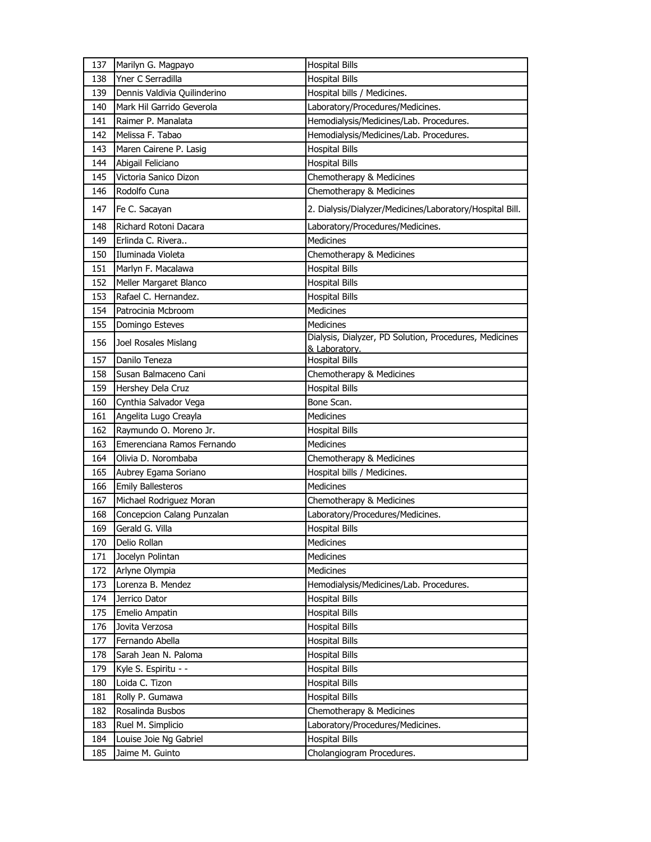| 137 | Marilyn G. Magpayo           | <b>Hospital Bills</b>                                    |
|-----|------------------------------|----------------------------------------------------------|
| 138 | Yner C Serradilla            | <b>Hospital Bills</b>                                    |
| 139 | Dennis Valdivia Quilinderino | Hospital bills / Medicines.                              |
| 140 | Mark Hil Garrido Geverola    | Laboratory/Procedures/Medicines.                         |
| 141 | Raimer P. Manalata           | Hemodialysis/Medicines/Lab. Procedures.                  |
| 142 | Melissa F. Tabao             | Hemodialysis/Medicines/Lab. Procedures.                  |
| 143 | Maren Cairene P. Lasig       | <b>Hospital Bills</b>                                    |
| 144 | Abigail Feliciano            | <b>Hospital Bills</b>                                    |
| 145 | Victoria Sanico Dizon        | Chemotherapy & Medicines                                 |
| 146 | Rodolfo Cuna                 | Chemotherapy & Medicines                                 |
| 147 | Fe C. Sacayan                | 2. Dialysis/Dialyzer/Medicines/Laboratory/Hospital Bill. |
| 148 | Richard Rotoni Dacara        | Laboratory/Procedures/Medicines.                         |
| 149 | Erlinda C. Rivera            | Medicines                                                |
| 150 | Iluminada Violeta            | Chemotherapy & Medicines                                 |
| 151 | Marlyn F. Macalawa           | <b>Hospital Bills</b>                                    |
| 152 | Meller Margaret Blanco       | <b>Hospital Bills</b>                                    |
| 153 | Rafael C. Hernandez.         | <b>Hospital Bills</b>                                    |
| 154 | Patrocinia Mcbroom           | <b>Medicines</b>                                         |
| 155 | Domingo Esteves              | Medicines                                                |
| 156 | Joel Rosales Mislang         | Dialysis, Dialyzer, PD Solution, Procedures, Medicines   |
|     |                              | & Laboratory.                                            |
| 157 | Danilo Teneza                | <b>Hospital Bills</b>                                    |
| 158 | Susan Balmaceno Cani         | Chemotherapy & Medicines                                 |
| 159 | Hershey Dela Cruz            | <b>Hospital Bills</b>                                    |
| 160 | Cynthia Salvador Vega        | Bone Scan.                                               |
| 161 | Angelita Lugo Creayla        | Medicines                                                |
| 162 | Raymundo O. Moreno Jr.       | <b>Hospital Bills</b>                                    |
|     | Emerenciana Ramos Fernando   | Medicines                                                |
| 163 |                              |                                                          |
| 164 | Olivia D. Norombaba          | Chemotherapy & Medicines                                 |
| 165 | Aubrey Egama Soriano         | Hospital bills / Medicines.                              |
| 166 | <b>Emily Ballesteros</b>     | <b>Medicines</b>                                         |
| 167 | Michael Rodriguez Moran      | Chemotherapy & Medicines                                 |
| 168 | Concepcion Calang Punzalan   | Laboratory/Procedures/Medicines.                         |
| 169 | Gerald G. Villa              | <b>Hospital Bills</b>                                    |
| 170 | Delio Rollan                 | Medicines                                                |
| 171 | Jocelyn Polintan             | Medicines                                                |
| 172 | Arlyne Olympia               | Medicines                                                |
| 173 | Lorenza B. Mendez            | Hemodialysis/Medicines/Lab. Procedures.                  |
| 174 | Jerrico Dator                | <b>Hospital Bills</b>                                    |
| 175 | Emelio Ampatin               | <b>Hospital Bills</b>                                    |
| 176 | Jovita Verzosa               | <b>Hospital Bills</b>                                    |
| 177 | Fernando Abella              | <b>Hospital Bills</b>                                    |
| 178 | Sarah Jean N. Paloma         | <b>Hospital Bills</b>                                    |
| 179 | Kyle S. Espiritu - -         | <b>Hospital Bills</b>                                    |
| 180 | Loida C. Tizon               | <b>Hospital Bills</b>                                    |
| 181 | Rolly P. Gumawa              | <b>Hospital Bills</b>                                    |
| 182 | Rosalinda Busbos             | Chemotherapy & Medicines                                 |
| 183 | Ruel M. Simplicio            | Laboratory/Procedures/Medicines.                         |
| 184 | Louise Joie Ng Gabriel       | <b>Hospital Bills</b>                                    |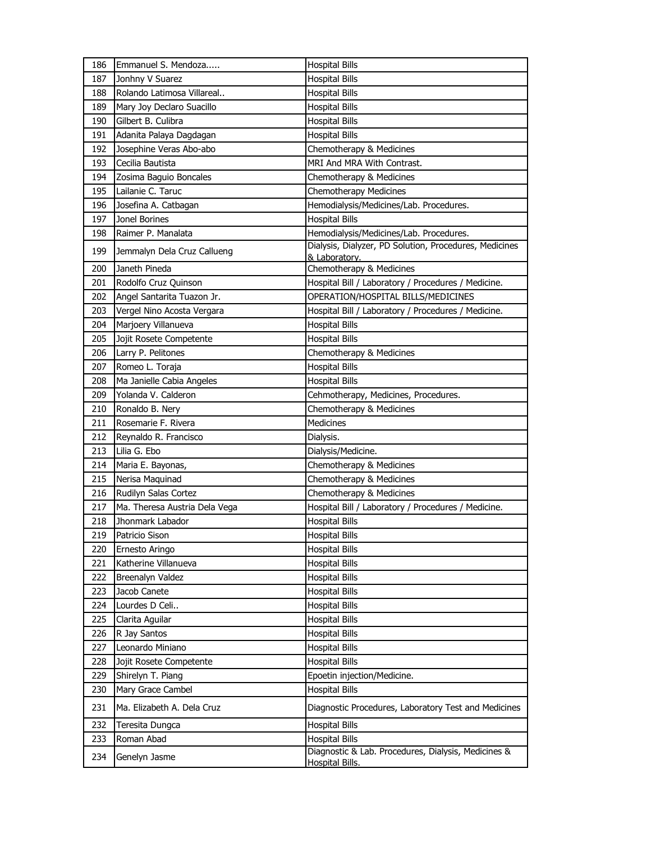| 186        | Emmanuel S. Mendoza                    | <b>Hospital Bills</b>                                                   |
|------------|----------------------------------------|-------------------------------------------------------------------------|
| 187        | Jonhny V Suarez                        | <b>Hospital Bills</b>                                                   |
| 188        | Rolando Latimosa Villareal             | <b>Hospital Bills</b>                                                   |
| 189        | Mary Joy Declaro Suacillo              | <b>Hospital Bills</b>                                                   |
| 190        | Gilbert B. Culibra                     | <b>Hospital Bills</b>                                                   |
| 191        | Adanita Palaya Dagdagan                | <b>Hospital Bills</b>                                                   |
| 192        | Josephine Veras Abo-abo                | Chemotherapy & Medicines                                                |
| 193        | Cecilia Bautista                       | MRI And MRA With Contrast.                                              |
| 194        | Zosima Baguio Boncales                 | Chemotherapy & Medicines                                                |
| 195        | Lailanie C. Taruc                      | Chemotherapy Medicines                                                  |
| 196        | Josefina A. Catbagan                   | Hemodialysis/Medicines/Lab. Procedures.                                 |
| 197        | Jonel Borines                          | <b>Hospital Bills</b>                                                   |
| 198        | Raimer P. Manalata                     | Hemodialysis/Medicines/Lab. Procedures.                                 |
| 199        | Jemmalyn Dela Cruz Callueng            | Dialysis, Dialyzer, PD Solution, Procedures, Medicines<br>& Laboratory. |
| 200        | Janeth Pineda                          | Chemotherapy & Medicines                                                |
| 201        | Rodolfo Cruz Quinson                   | Hospital Bill / Laboratory / Procedures / Medicine.                     |
| 202        | Angel Santarita Tuazon Jr.             | OPERATION/HOSPITAL BILLS/MEDICINES                                      |
| 203        | Vergel Nino Acosta Vergara             | Hospital Bill / Laboratory / Procedures / Medicine.                     |
| 204        | Marjoery Villanueva                    | <b>Hospital Bills</b>                                                   |
| 205        | Jojit Rosete Competente                | <b>Hospital Bills</b>                                                   |
| 206        | Larry P. Pelitones                     | Chemotherapy & Medicines                                                |
| 207        | Romeo L. Toraja                        | <b>Hospital Bills</b>                                                   |
| 208        | Ma Janielle Cabia Angeles              | <b>Hospital Bills</b>                                                   |
| 209        | Yolanda V. Calderon                    | Cehmotherapy, Medicines, Procedures.                                    |
| 210        | Ronaldo B. Nery                        | Chemotherapy & Medicines                                                |
| 211        | Rosemarie F. Rivera                    | <b>Medicines</b>                                                        |
| 212        | Reynaldo R. Francisco                  | Dialysis.                                                               |
| 213        | Lilia G. Ebo                           | Dialysis/Medicine.                                                      |
| 214        | Maria E. Bayonas,                      | Chemotherapy & Medicines                                                |
| 215        | Nerisa Maquinad                        | Chemotherapy & Medicines                                                |
| 216        | Rudilyn Salas Cortez                   | Chemotherapy & Medicines                                                |
| 217        | Ma. Theresa Austria Dela Vega          |                                                                         |
|            |                                        |                                                                         |
| 218        | Jhonmark Labador                       | Hospital Bill / Laboratory / Procedures / Medicine.                     |
| 219        |                                        | <b>Hospital Bills</b>                                                   |
| 220        | Patricio Sison                         | <b>Hospital Bills</b><br><b>Hospital Bills</b>                          |
|            | Ernesto Aringo<br>Katherine Villanueva |                                                                         |
| 221<br>222 | Breenalyn Valdez                       | <b>Hospital Bills</b>                                                   |
|            | Jacob Canete                           | <b>Hospital Bills</b>                                                   |
| 223<br>224 | Lourdes D Celi                         | <b>Hospital Bills</b><br><b>Hospital Bills</b>                          |
| 225        | Clarita Aguilar                        | <b>Hospital Bills</b>                                                   |
| 226        | R Jay Santos                           | <b>Hospital Bills</b>                                                   |
| 227        | Leonardo Miniano                       | <b>Hospital Bills</b>                                                   |
| 228        | Jojit Rosete Competente                | <b>Hospital Bills</b>                                                   |
| 229        | Shirelyn T. Piang                      | Epoetin injection/Medicine.                                             |
| 230        | Mary Grace Cambel                      | <b>Hospital Bills</b>                                                   |
| 231        | Ma. Elizabeth A. Dela Cruz             | Diagnostic Procedures, Laboratory Test and Medicines                    |
| 232        |                                        |                                                                         |
| 233        | Teresita Dungca<br>Roman Abad          | <b>Hospital Bills</b><br><b>Hospital Bills</b>                          |
| 234        | Genelyn Jasme                          | Diagnostic & Lab. Procedures, Dialysis, Medicines &                     |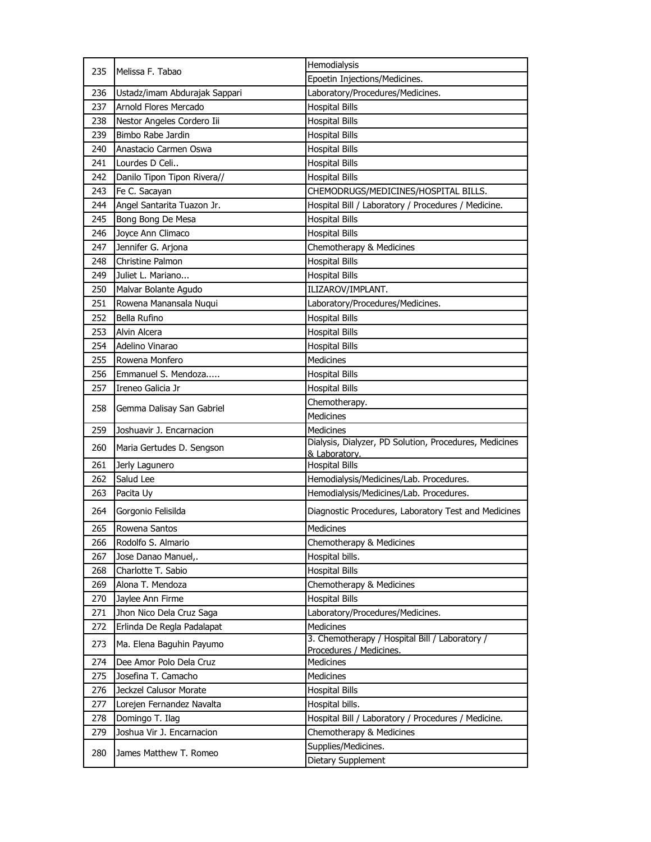| 235 | Melissa F. Tabao              | Hemodialysis                                                              |
|-----|-------------------------------|---------------------------------------------------------------------------|
|     |                               | Epoetin Injections/Medicines.                                             |
| 236 | Ustadz/imam Abdurajak Sappari | Laboratory/Procedures/Medicines.                                          |
| 237 | Arnold Flores Mercado         | <b>Hospital Bills</b>                                                     |
| 238 | Nestor Angeles Cordero Iii    | <b>Hospital Bills</b>                                                     |
| 239 | Bimbo Rabe Jardin             | <b>Hospital Bills</b>                                                     |
| 240 | Anastacio Carmen Oswa         | <b>Hospital Bills</b>                                                     |
| 241 | Lourdes D Celi                | <b>Hospital Bills</b>                                                     |
| 242 | Danilo Tipon Tipon Rivera//   | <b>Hospital Bills</b>                                                     |
| 243 | Fe C. Sacayan                 | CHEMODRUGS/MEDICINES/HOSPITAL BILLS.                                      |
| 244 | Angel Santarita Tuazon Jr.    | Hospital Bill / Laboratory / Procedures / Medicine.                       |
| 245 | Bong Bong De Mesa             | <b>Hospital Bills</b>                                                     |
| 246 | Joyce Ann Climaco             | <b>Hospital Bills</b>                                                     |
| 247 | Jennifer G. Arjona            | Chemotherapy & Medicines                                                  |
| 248 | <b>Christine Palmon</b>       | <b>Hospital Bills</b>                                                     |
| 249 | Juliet L. Mariano             | <b>Hospital Bills</b>                                                     |
| 250 | Malvar Bolante Agudo          | ILIZAROV/IMPLANT.                                                         |
| 251 | Rowena Manansala Nuqui        | Laboratory/Procedures/Medicines.                                          |
| 252 | Bella Rufino                  | <b>Hospital Bills</b>                                                     |
| 253 | Alvin Alcera                  | <b>Hospital Bills</b>                                                     |
| 254 | Adelino Vinarao               | <b>Hospital Bills</b>                                                     |
| 255 | Rowena Monfero                | <b>Medicines</b>                                                          |
| 256 | Emmanuel S. Mendoza           | <b>Hospital Bills</b>                                                     |
| 257 | Ireneo Galicia Jr             | <b>Hospital Bills</b>                                                     |
|     |                               | Chemotherapy.                                                             |
| 258 | Gemma Dalisay San Gabriel     | <b>Medicines</b>                                                          |
| 259 | Joshuavir J. Encarnacion      | <b>Medicines</b>                                                          |
| 260 | Maria Gertudes D. Sengson     | Dialysis, Dialyzer, PD Solution, Procedures, Medicines                    |
|     |                               | & Laboratory.                                                             |
| 261 | Jerly Lagunero                | <b>Hospital Bills</b>                                                     |
| 262 | Salud Lee                     | Hemodialysis/Medicines/Lab. Procedures.                                   |
| 263 | Pacita Uy                     | Hemodialysis/Medicines/Lab. Procedures.                                   |
| 264 | Gorgonio Felisilda            | Diagnostic Procedures, Laboratory Test and Medicines                      |
| 265 | Rowena Santos                 | Medicines                                                                 |
| 266 | Rodolfo S. Almario            | Chemotherapy & Medicines                                                  |
| 267 | Jose Danao Manuel,.           | Hospital bills.                                                           |
| 268 | Charlotte T. Sabio            | <b>Hospital Bills</b>                                                     |
| 269 | Alona T. Mendoza              | Chemotherapy & Medicines                                                  |
| 270 | Jaylee Ann Firme              | <b>Hospital Bills</b>                                                     |
| 271 | Jhon Nico Dela Cruz Saga      | Laboratory/Procedures/Medicines.                                          |
| 272 | Erlinda De Regla Padalapat    | <b>Medicines</b>                                                          |
| 273 | Ma. Elena Baguhin Payumo      | 3. Chemotherapy / Hospital Bill / Laboratory /<br>Procedures / Medicines. |
| 274 | Dee Amor Polo Dela Cruz       | Medicines                                                                 |
| 275 | Josefina T. Camacho           | <b>Medicines</b>                                                          |
| 276 | Jeckzel Calusor Morate        | <b>Hospital Bills</b>                                                     |
| 277 | Lorejen Fernandez Navalta     | Hospital bills.                                                           |
| 278 | Domingo T. Ilag               | Hospital Bill / Laboratory / Procedures / Medicine.                       |
| 279 | Joshua Vir J. Encarnacion     | Chemotherapy & Medicines                                                  |
|     |                               | Supplies/Medicines.                                                       |
| 280 | James Matthew T. Romeo        | Dietary Supplement                                                        |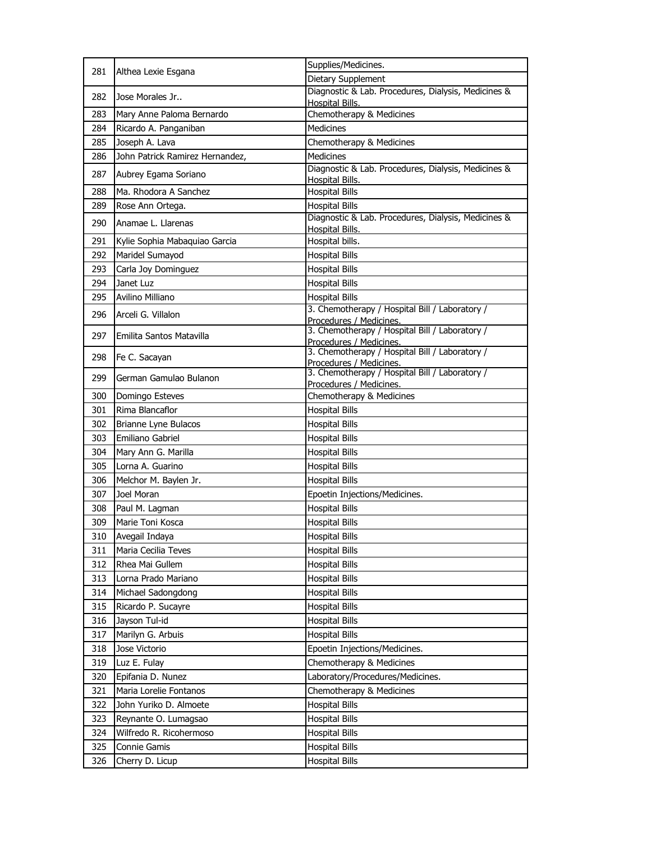| 281 |                                 | Supplies/Medicines.                                                           |
|-----|---------------------------------|-------------------------------------------------------------------------------|
|     | Althea Lexie Esgana             | Dietary Supplement                                                            |
| 282 | Jose Morales Jr                 | Diagnostic & Lab. Procedures, Dialysis, Medicines &<br><b>Hospital Bills.</b> |
| 283 | Mary Anne Paloma Bernardo       | Chemotherapy & Medicines                                                      |
| 284 | Ricardo A. Panganiban           | <b>Medicines</b>                                                              |
| 285 | Joseph A. Lava                  | Chemotherapy & Medicines                                                      |
| 286 | John Patrick Ramirez Hernandez, | <b>Medicines</b>                                                              |
| 287 | Aubrey Egama Soriano            | Diagnostic & Lab. Procedures, Dialysis, Medicines &<br>Hospital Bills.        |
| 288 | Ma. Rhodora A Sanchez           | <b>Hospital Bills</b>                                                         |
| 289 | Rose Ann Ortega.                | <b>Hospital Bills</b>                                                         |
| 290 | Anamae L. Llarenas              | Diagnostic & Lab. Procedures, Dialysis, Medicines &<br>Hospital Bills.        |
| 291 | Kylie Sophia Mabaquiao Garcia   | Hospital bills.                                                               |
| 292 | Maridel Sumayod                 | <b>Hospital Bills</b>                                                         |
| 293 | Carla Joy Dominguez             | <b>Hospital Bills</b>                                                         |
| 294 | Janet Luz                       | <b>Hospital Bills</b>                                                         |
| 295 | Avilino Milliano                | <b>Hospital Bills</b>                                                         |
| 296 | Arceli G. Villalon              | 3. Chemotherapy / Hospital Bill / Laboratory /<br>Procedures / Medicines.     |
| 297 | Emilita Santos Matavilla        | 3. Chemotherapy / Hospital Bill / Laboratory /<br>Procedures / Medicines.     |
| 298 | Fe C. Sacayan                   | 3. Chemotherapy / Hospital Bill / Laboratory /<br>Procedures / Medicines.     |
| 299 | German Gamulao Bulanon          | 3. Chemotherapy / Hospital Bill / Laboratory /<br>Procedures / Medicines.     |
| 300 | Domingo Esteves                 | Chemotherapy & Medicines                                                      |
| 301 | Rima Blancaflor                 | <b>Hospital Bills</b>                                                         |
| 302 | Brianne Lyne Bulacos            | <b>Hospital Bills</b>                                                         |
| 303 | Emiliano Gabriel                | <b>Hospital Bills</b>                                                         |
| 304 | Mary Ann G. Marilla             | <b>Hospital Bills</b>                                                         |
| 305 | Lorna A. Guarino                | <b>Hospital Bills</b>                                                         |
| 306 | Melchor M. Baylen Jr.           | <b>Hospital Bills</b>                                                         |
| 307 | Joel Moran                      | Epoetin Injections/Medicines.                                                 |
| 308 | Paul M. Lagman                  | <b>Hospital Bills</b>                                                         |
| 309 | Marie Toni Kosca                | <b>Hospital Bills</b>                                                         |
| 310 | Avegail Indaya                  | Hospital Bills                                                                |
| 311 | Maria Cecilia Teves             | <b>Hospital Bills</b>                                                         |
| 312 | Rhea Mai Gullem                 | <b>Hospital Bills</b>                                                         |
| 313 | Lorna Prado Mariano             | Hospital Bills                                                                |
| 314 | Michael Sadongdong              | <b>Hospital Bills</b>                                                         |
| 315 | Ricardo P. Sucayre              | <b>Hospital Bills</b>                                                         |
| 316 | Jayson Tul-id                   | <b>Hospital Bills</b>                                                         |
| 317 | Marilyn G. Arbuis               | <b>Hospital Bills</b>                                                         |
| 318 | Jose Victorio                   | Epoetin Injections/Medicines.                                                 |
| 319 | Luz E. Fulay                    | Chemotherapy & Medicines                                                      |
| 320 | Epifania D. Nunez               | Laboratory/Procedures/Medicines.                                              |
| 321 | Maria Lorelie Fontanos          | Chemotherapy & Medicines                                                      |
| 322 | John Yuriko D. Almoete          | <b>Hospital Bills</b>                                                         |
| 323 | Reynante O. Lumagsao            | <b>Hospital Bills</b>                                                         |
| 324 | Wilfredo R. Ricohermoso         | <b>Hospital Bills</b>                                                         |
| 325 | Connie Gamis                    | <b>Hospital Bills</b>                                                         |
| 326 | Cherry D. Licup                 | <b>Hospital Bills</b>                                                         |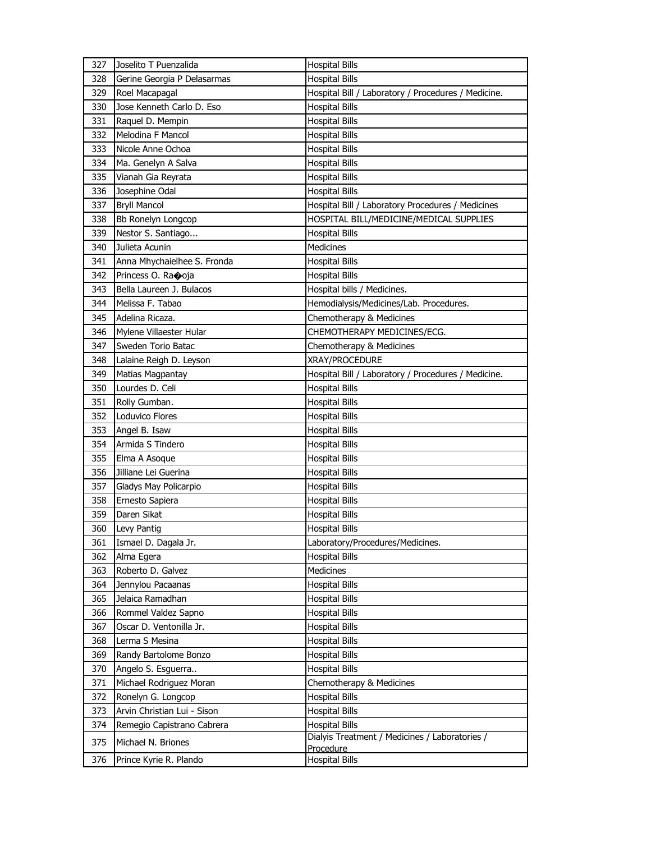| 327 | Joselito T Puenzalida       | <b>Hospital Bills</b>                               |
|-----|-----------------------------|-----------------------------------------------------|
| 328 | Gerine Georgia P Delasarmas | <b>Hospital Bills</b>                               |
| 329 | Roel Macapagal              | Hospital Bill / Laboratory / Procedures / Medicine. |
| 330 | Jose Kenneth Carlo D. Eso   | <b>Hospital Bills</b>                               |
| 331 | Raquel D. Mempin            | <b>Hospital Bills</b>                               |
| 332 | Melodina F Mancol           | <b>Hospital Bills</b>                               |
| 333 | Nicole Anne Ochoa           | <b>Hospital Bills</b>                               |
| 334 | Ma. Genelyn A Salva         | <b>Hospital Bills</b>                               |
| 335 | Vianah Gia Reyrata          | <b>Hospital Bills</b>                               |
| 336 | Josephine Odal              | <b>Hospital Bills</b>                               |
| 337 | <b>Bryll Mancol</b>         | Hospital Bill / Laboratory Procedures / Medicines   |
| 338 | Bb Ronelyn Longcop          | HOSPITAL BILL/MEDICINE/MEDICAL SUPPLIES             |
| 339 | Nestor S. Santiago          | <b>Hospital Bills</b>                               |
| 340 | Julieta Acunin              | Medicines                                           |
| 341 | Anna Mhychaielhee S. Fronda | <b>Hospital Bills</b>                               |
| 342 | Princess O. Raooja          | <b>Hospital Bills</b>                               |
| 343 | Bella Laureen J. Bulacos    | Hospital bills / Medicines.                         |
| 344 | Melissa F. Tabao            | Hemodialysis/Medicines/Lab. Procedures.             |
| 345 | Adelina Ricaza.             | Chemotherapy & Medicines                            |
| 346 | Mylene Villaester Hular     | CHEMOTHERAPY MEDICINES/ECG.                         |
| 347 | Sweden Torio Batac          | Chemotherapy & Medicines                            |
| 348 | Lalaine Reigh D. Leyson     | XRAY/PROCEDURE                                      |
| 349 | Matias Magpantay            | Hospital Bill / Laboratory / Procedures / Medicine. |
| 350 | Lourdes D. Celi             | <b>Hospital Bills</b>                               |
| 351 | Rolly Gumban.               | <b>Hospital Bills</b>                               |
| 352 | Loduvico Flores             | <b>Hospital Bills</b>                               |
| 353 | Angel B. Isaw               | <b>Hospital Bills</b>                               |
| 354 | Armida S Tindero            | <b>Hospital Bills</b>                               |
| 355 | Elma A Asoque               | <b>Hospital Bills</b>                               |
| 356 | Jilliane Lei Guerina        | <b>Hospital Bills</b>                               |
| 357 | Gladys May Policarpio       | <b>Hospital Bills</b>                               |
| 358 | Ernesto Sapiera             | <b>Hospital Bills</b>                               |
| 359 | Daren Sikat                 | Hospital Bills                                      |
| 360 | Levy Pantig                 | <b>Hospital Bills</b>                               |
| 361 | Ismael D. Dagala Jr.        | Laboratory/Procedures/Medicines.                    |
| 362 | Alma Egera                  | <b>Hospital Bills</b>                               |
| 363 | Roberto D. Galvez           | Medicines                                           |
| 364 | Jennylou Pacaanas           | <b>Hospital Bills</b>                               |
| 365 | Jelaica Ramadhan            | <b>Hospital Bills</b>                               |
| 366 | Rommel Valdez Sapno         | <b>Hospital Bills</b>                               |
| 367 | Oscar D. Ventonilla Jr.     | <b>Hospital Bills</b>                               |
| 368 | Lerma S Mesina              | <b>Hospital Bills</b>                               |
| 369 | Randy Bartolome Bonzo       | <b>Hospital Bills</b>                               |
| 370 | Angelo S. Esguerra          | <b>Hospital Bills</b>                               |
| 371 | Michael Rodriguez Moran     | Chemotherapy & Medicines                            |
| 372 | Ronelyn G. Longcop          | <b>Hospital Bills</b>                               |
| 373 | Arvin Christian Lui - Sison | <b>Hospital Bills</b>                               |
| 374 | Remegio Capistrano Cabrera  | <b>Hospital Bills</b>                               |
| 375 | Michael N. Briones          | Dialyis Treatment / Medicines / Laboratories /      |
|     |                             | Procedure                                           |
| 376 | Prince Kyrie R. Plando      | <b>Hospital Bills</b>                               |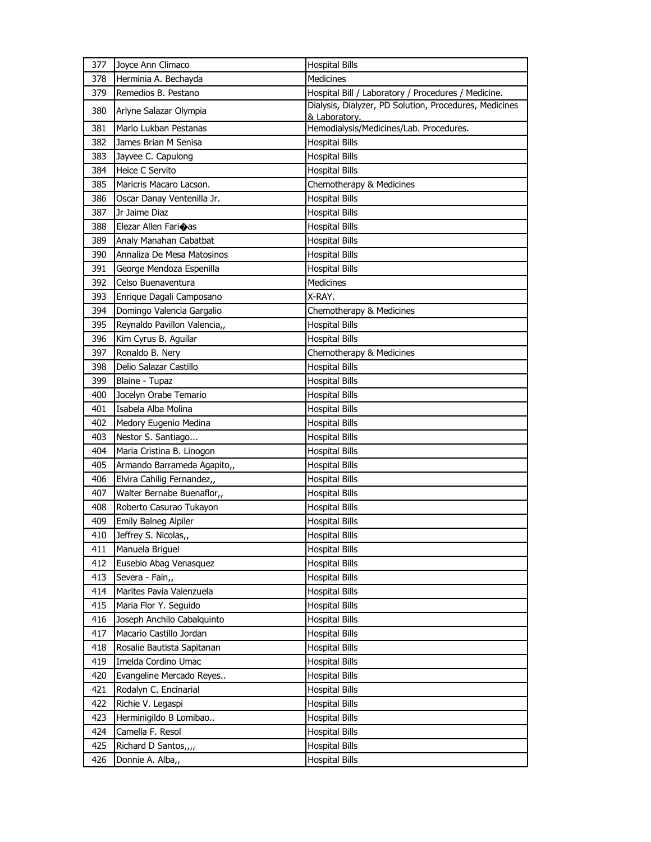| 377 | Joyce Ann Climaco            | <b>Hospital Bills</b>                                                   |
|-----|------------------------------|-------------------------------------------------------------------------|
| 378 | Herminia A. Bechayda         | <b>Medicines</b>                                                        |
| 379 | Remedios B. Pestano          | Hospital Bill / Laboratory / Procedures / Medicine.                     |
| 380 | Arlyne Salazar Olympia       | Dialysis, Dialyzer, PD Solution, Procedures, Medicines<br>& Laboratory. |
| 381 | Mario Lukban Pestanas        | Hemodialysis/Medicines/Lab. Procedures.                                 |
| 382 | James Brian M Senisa         | <b>Hospital Bills</b>                                                   |
| 383 | Jayvee C. Capulong           | <b>Hospital Bills</b>                                                   |
| 384 | Heice C Servito              | <b>Hospital Bills</b>                                                   |
| 385 | Maricris Macaro Lacson.      | Chemotherapy & Medicines                                                |
| 386 | Oscar Danay Ventenilla Jr.   | <b>Hospital Bills</b>                                                   |
| 387 | Jr Jaime Diaz                | <b>Hospital Bills</b>                                                   |
| 388 | Elezar Allen Farioas         | <b>Hospital Bills</b>                                                   |
| 389 | Analy Manahan Cabatbat       | <b>Hospital Bills</b>                                                   |
| 390 | Annaliza De Mesa Matosinos   | <b>Hospital Bills</b>                                                   |
| 391 | George Mendoza Espenilla     | <b>Hospital Bills</b>                                                   |
| 392 | Celso Buenaventura           | Medicines                                                               |
| 393 | Enrique Dagali Camposano     | X-RAY.                                                                  |
| 394 | Domingo Valencia Gargalio    | Chemotherapy & Medicines                                                |
| 395 | Reynaldo Pavillon Valencia,, | <b>Hospital Bills</b>                                                   |
| 396 | Kim Cyrus B. Aguilar         | <b>Hospital Bills</b>                                                   |
| 397 | Ronaldo B. Nery              | Chemotherapy & Medicines                                                |
| 398 | Delio Salazar Castillo       | <b>Hospital Bills</b>                                                   |
| 399 | Blaine - Tupaz               | <b>Hospital Bills</b>                                                   |
| 400 | Jocelyn Orabe Temario        | <b>Hospital Bills</b>                                                   |
| 401 | Isabela Alba Molina          | <b>Hospital Bills</b>                                                   |
| 402 | Medory Eugenio Medina        | <b>Hospital Bills</b>                                                   |
| 403 | Nestor S. Santiago           | <b>Hospital Bills</b>                                                   |
| 404 | Maria Cristina B. Linogon    | <b>Hospital Bills</b>                                                   |
| 405 | Armando Barrameda Agapito,,  | <b>Hospital Bills</b>                                                   |
| 406 | Elvira Cahilig Fernandez,,   | <b>Hospital Bills</b>                                                   |
| 407 | Walter Bernabe Buenaflor,,   | <b>Hospital Bills</b>                                                   |
| 408 | Roberto Casurao Tukayon      | <b>Hospital Bills</b>                                                   |
| 409 | Emily Balneg Alpiler         | <b>Hospital Bills</b>                                                   |
| 410 | Jeffrey S. Nicolas,,         | <b>Hospital Bills</b>                                                   |
| 411 | Manuela Briguel              | <b>Hospital Bills</b>                                                   |
| 412 | Eusebio Abag Venasquez       | <b>Hospital Bills</b>                                                   |
| 413 | Severa - Fain,,              | <b>Hospital Bills</b>                                                   |
| 414 | Marites Pavia Valenzuela     | Hospital Bills                                                          |
| 415 | Maria Flor Y. Seguido        | <b>Hospital Bills</b>                                                   |
| 416 | Joseph Anchilo Cabalquinto   | <b>Hospital Bills</b>                                                   |
| 417 | Macario Castillo Jordan      | <b>Hospital Bills</b>                                                   |
| 418 | Rosalie Bautista Sapitanan   | <b>Hospital Bills</b>                                                   |
| 419 | Imelda Cordino Umac          | <b>Hospital Bills</b>                                                   |
| 420 | Evangeline Mercado Reyes     | <b>Hospital Bills</b>                                                   |
| 421 | Rodalyn C. Encinarial        | <b>Hospital Bills</b>                                                   |
| 422 | Richie V. Legaspi            | <b>Hospital Bills</b>                                                   |
| 423 | Herminigildo B Lomibao       | <b>Hospital Bills</b>                                                   |
| 424 | Camella F. Resol             | <b>Hospital Bills</b>                                                   |
| 425 | Richard D Santos,,,,         | <b>Hospital Bills</b>                                                   |
| 426 | Donnie A. Alba,,             | <b>Hospital Bills</b>                                                   |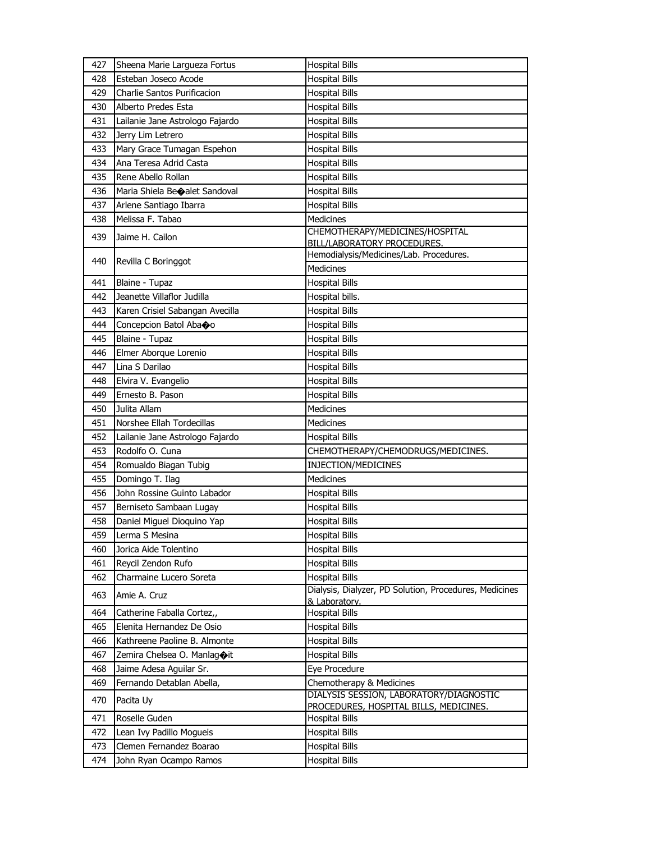| 427 | Sheena Marie Largueza Fortus             | <b>Hospital Bills</b>                                  |
|-----|------------------------------------------|--------------------------------------------------------|
| 428 | Esteban Joseco Acode                     | <b>Hospital Bills</b>                                  |
| 429 | Charlie Santos Purificacion              | <b>Hospital Bills</b>                                  |
| 430 | Alberto Predes Esta                      | <b>Hospital Bills</b>                                  |
| 431 | Lailanie Jane Astrologo Fajardo          | <b>Hospital Bills</b>                                  |
| 432 | Jerry Lim Letrero                        | <b>Hospital Bills</b>                                  |
| 433 | Mary Grace Tumagan Espehon               | <b>Hospital Bills</b>                                  |
| 434 | Ana Teresa Adrid Casta                   | <b>Hospital Bills</b>                                  |
| 435 | Rene Abello Rollan                       | <b>Hospital Bills</b>                                  |
| 436 | Maria Shiela Be $\bigcirc$ alet Sandoval | <b>Hospital Bills</b>                                  |
| 437 | Arlene Santiago Ibarra                   | <b>Hospital Bills</b>                                  |
| 438 | Melissa F. Tabao                         | <b>Medicines</b>                                       |
| 439 | Jaime H. Cailon                          | CHEMOTHERAPY/MEDICINES/HOSPITAL                        |
|     |                                          | <b>BILL/LABORATORY PROCEDURES.</b>                     |
| 440 | Revilla C Boringgot                      | Hemodialysis/Medicines/Lab. Procedures.                |
|     |                                          | Medicines                                              |
| 441 | Blaine - Tupaz                           | <b>Hospital Bills</b>                                  |
| 442 | Jeanette Villaflor Judilla               | Hospital bills.                                        |
| 443 | Karen Crisiel Sabangan Avecilla          | <b>Hospital Bills</b>                                  |
| 444 | Concepcion Batol Abaoo                   | <b>Hospital Bills</b>                                  |
| 445 | Blaine - Tupaz                           | <b>Hospital Bills</b>                                  |
| 446 | Elmer Aborque Lorenio                    | <b>Hospital Bills</b>                                  |
| 447 | Lina S Darilao                           | <b>Hospital Bills</b>                                  |
| 448 | Elvira V. Evangelio                      | <b>Hospital Bills</b>                                  |
| 449 | Ernesto B. Pason                         | <b>Hospital Bills</b>                                  |
| 450 | Julita Allam                             | Medicines                                              |
| 451 | Norshee Ellah Tordecillas                | Medicines                                              |
| 452 | Lailanie Jane Astrologo Fajardo          | <b>Hospital Bills</b>                                  |
| 453 | Rodolfo O. Cuna                          | CHEMOTHERAPY/CHEMODRUGS/MEDICINES.                     |
| 454 | Romualdo Biagan Tubig                    | INJECTION/MEDICINES                                    |
| 455 | Domingo T. Ilag                          | <b>Medicines</b>                                       |
| 456 | John Rossine Guinto Labador              | <b>Hospital Bills</b>                                  |
| 457 | Berniseto Sambaan Lugay                  | <b>Hospital Bills</b>                                  |
| 458 | Daniel Miguel Dioquino Yap               | <b>Hospital Bills</b>                                  |
| 459 | Lerma S Mesina                           | <b>Hospital Bills</b>                                  |
| 460 | Jorica Aide Tolentino                    | <b>Hospital Bills</b>                                  |
| 461 | Reycil Zendon Rufo                       | <b>Hospital Bills</b>                                  |
| 462 | Charmaine Lucero Soreta                  | <b>Hospital Bills</b>                                  |
| 463 | Amie A. Cruz                             | Dialysis, Dialyzer, PD Solution, Procedures, Medicines |
| 464 | Catherine Faballa Cortez,,               | & Laboratory.<br><b>Hospital Bills</b>                 |
| 465 | Elenita Hernandez De Osio                | <b>Hospital Bills</b>                                  |
| 466 | Kathreene Paoline B. Almonte             | <b>Hospital Bills</b>                                  |
| 467 | Zemira Chelsea O. Manlagoit              | <b>Hospital Bills</b>                                  |
| 468 | Jaime Adesa Aguilar Sr.                  | Eye Procedure                                          |
| 469 | Fernando Detablan Abella,                | Chemotherapy & Medicines                               |
|     |                                          | DIALYSIS SESSION, LABORATORY/DIAGNOSTIC                |
| 470 | Pacita Uy                                | PROCEDURES, HOSPITAL BILLS, MEDICINES.                 |
| 471 | Roselle Guden                            | <b>Hospital Bills</b>                                  |
| 472 | Lean Ivy Padillo Mogueis                 | <b>Hospital Bills</b>                                  |
| 473 | Clemen Fernandez Boarao                  | <b>Hospital Bills</b>                                  |
| 474 | John Ryan Ocampo Ramos                   | <b>Hospital Bills</b>                                  |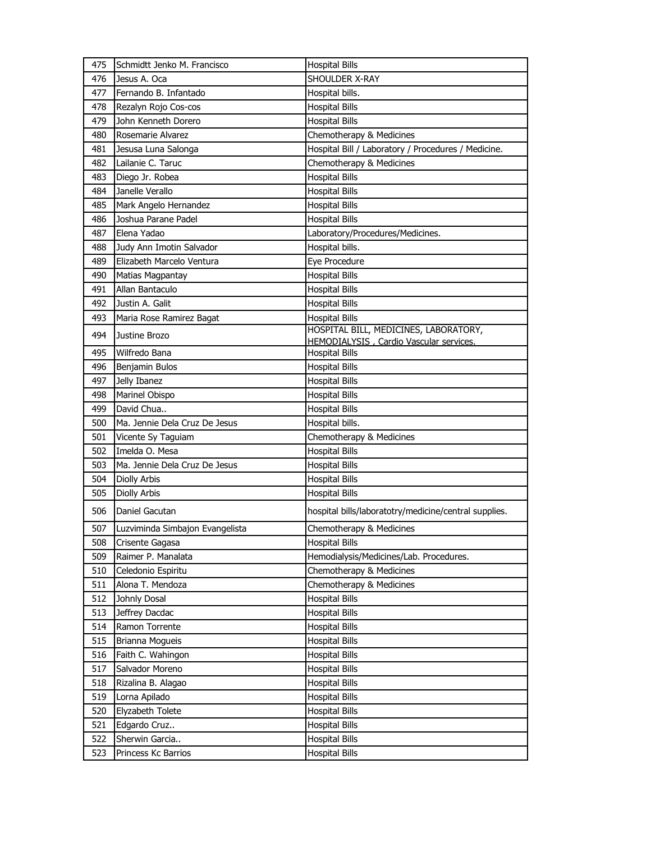| 475 | Schmidtt Jenko M. Francisco          | <b>Hospital Bills</b>                                 |
|-----|--------------------------------------|-------------------------------------------------------|
| 476 | Jesus A. Oca                         | SHOULDER X-RAY                                        |
| 477 | Fernando B. Infantado                | Hospital bills.                                       |
| 478 | Rezalyn Rojo Cos-cos                 | <b>Hospital Bills</b>                                 |
| 479 | John Kenneth Dorero                  | <b>Hospital Bills</b>                                 |
| 480 | Rosemarie Alvarez                    | Chemotherapy & Medicines                              |
| 481 | Jesusa Luna Salonga                  | Hospital Bill / Laboratory / Procedures / Medicine.   |
| 482 | Lailanie C. Taruc                    | Chemotherapy & Medicines                              |
| 483 | Diego Jr. Robea                      | <b>Hospital Bills</b>                                 |
| 484 | Janelle Verallo                      | <b>Hospital Bills</b>                                 |
| 485 | Mark Angelo Hernandez                | <b>Hospital Bills</b>                                 |
| 486 | Joshua Parane Padel                  | <b>Hospital Bills</b>                                 |
| 487 | Elena Yadao                          | Laboratory/Procedures/Medicines.                      |
| 488 | Judy Ann Imotin Salvador             | Hospital bills.                                       |
| 489 | Elizabeth Marcelo Ventura            | Eye Procedure                                         |
| 490 | Matias Magpantay                     | <b>Hospital Bills</b>                                 |
| 491 | Allan Bantaculo                      | <b>Hospital Bills</b>                                 |
| 492 | Justin A. Galit                      | <b>Hospital Bills</b>                                 |
| 493 | Maria Rose Ramirez Bagat             | <b>Hospital Bills</b>                                 |
| 494 | Justine Brozo                        | HOSPITAL BILL, MEDICINES, LABORATORY,                 |
|     |                                      | HEMODIALYSIS, Cardio Vascular services.               |
| 495 | Wilfredo Bana                        | <b>Hospital Bills</b>                                 |
| 496 | Benjamin Bulos                       | <b>Hospital Bills</b>                                 |
| 497 | Jelly Ibanez                         | <b>Hospital Bills</b>                                 |
| 498 | Marinel Obispo                       | <b>Hospital Bills</b>                                 |
| 499 | David Chua                           | <b>Hospital Bills</b>                                 |
| 500 | Ma. Jennie Dela Cruz De Jesus        | Hospital bills.                                       |
| 501 | Vicente Sy Taguiam<br>Imelda O. Mesa | Chemotherapy & Medicines                              |
| 502 |                                      | <b>Hospital Bills</b>                                 |
| 503 | Ma. Jennie Dela Cruz De Jesus        | <b>Hospital Bills</b>                                 |
| 504 | Diolly Arbis<br><b>Diolly Arbis</b>  | <b>Hospital Bills</b>                                 |
| 505 |                                      | <b>Hospital Bills</b>                                 |
| 506 | Daniel Gacutan                       | hospital bills/laboratotry/medicine/central supplies. |
| 507 | Luzviminda Simbajon Evangelista      | Chemotherapy & Medicines                              |
| 508 | Crisente Gagasa                      | <b>Hospital Bills</b>                                 |
| 509 | Raimer P. Manalata                   | Hemodialysis/Medicines/Lab. Procedures.               |
| 510 | Celedonio Espiritu                   | Chemotherapy & Medicines                              |
| 511 | Alona T. Mendoza                     | Chemotherapy & Medicines                              |
| 512 | Johnly Dosal                         | <b>Hospital Bills</b>                                 |
| 513 | Jeffrey Dacdac                       | <b>Hospital Bills</b>                                 |
| 514 | Ramon Torrente                       | <b>Hospital Bills</b>                                 |
| 515 | Brianna Mogueis                      | <b>Hospital Bills</b>                                 |
| 516 | Faith C. Wahingon                    | <b>Hospital Bills</b>                                 |
| 517 | Salvador Moreno                      | <b>Hospital Bills</b>                                 |
| 518 | Rizalina B. Alagao                   | <b>Hospital Bills</b>                                 |
| 519 | Lorna Apilado                        | <b>Hospital Bills</b>                                 |
| 520 | Elyzabeth Tolete                     | <b>Hospital Bills</b>                                 |
| 521 | Edgardo Cruz                         | <b>Hospital Bills</b>                                 |
| 522 | Sherwin Garcia                       | <b>Hospital Bills</b>                                 |
| 523 | Princess Kc Barrios                  | <b>Hospital Bills</b>                                 |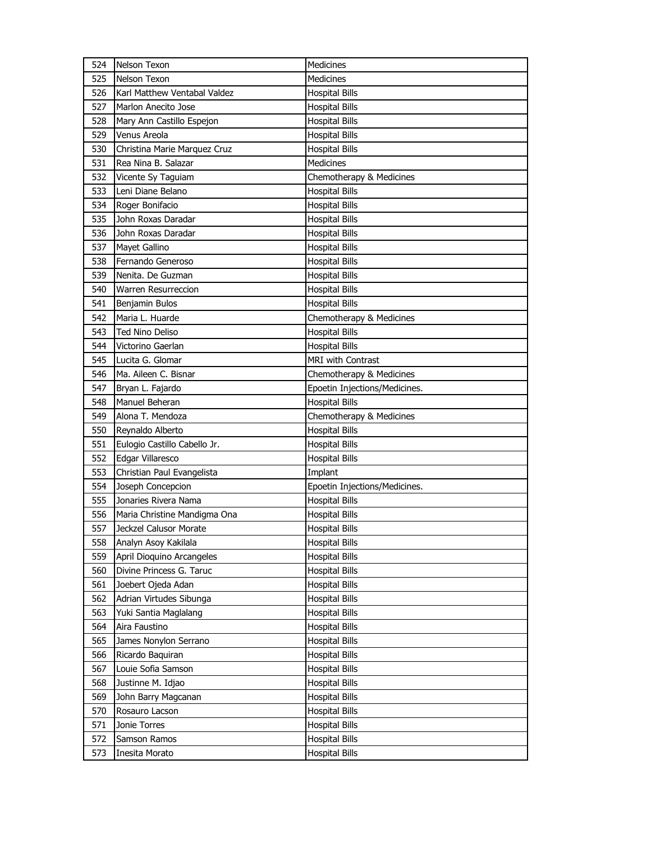| 524        | Nelson Texon                   | Medicines                                      |
|------------|--------------------------------|------------------------------------------------|
| 525        | Nelson Texon                   | Medicines                                      |
| 526        | Karl Matthew Ventabal Valdez   | <b>Hospital Bills</b>                          |
| 527        | Marlon Anecito Jose            | <b>Hospital Bills</b>                          |
| 528        | Mary Ann Castillo Espejon      | <b>Hospital Bills</b>                          |
| 529        | Venus Areola                   | <b>Hospital Bills</b>                          |
| 530        | Christina Marie Marquez Cruz   | <b>Hospital Bills</b>                          |
| 531        | Rea Nina B. Salazar            | <b>Medicines</b>                               |
| 532        | Vicente Sy Taguiam             | Chemotherapy & Medicines                       |
| 533        | Leni Diane Belano              | <b>Hospital Bills</b>                          |
| 534        | Roger Bonifacio                | <b>Hospital Bills</b>                          |
| 535        | John Roxas Daradar             | <b>Hospital Bills</b>                          |
| 536        | John Roxas Daradar             | <b>Hospital Bills</b>                          |
| 537        | Mayet Gallino                  | <b>Hospital Bills</b>                          |
| 538        | Fernando Generoso              | <b>Hospital Bills</b>                          |
| 539        | Nenita. De Guzman              | <b>Hospital Bills</b>                          |
| 540        | Warren Resurreccion            | <b>Hospital Bills</b>                          |
| 541        | Benjamin Bulos                 | <b>Hospital Bills</b>                          |
| 542        | Maria L. Huarde                | Chemotherapy & Medicines                       |
| 543        | Ted Nino Deliso                | <b>Hospital Bills</b>                          |
| 544        | Victorino Gaerlan              | <b>Hospital Bills</b>                          |
| 545        | Lucita G. Glomar               | <b>MRI with Contrast</b>                       |
| 546        | Ma. Aileen C. Bisnar           | Chemotherapy & Medicines                       |
| 547        | Bryan L. Fajardo               | Epoetin Injections/Medicines.                  |
| 548        | Manuel Beheran                 | <b>Hospital Bills</b>                          |
|            |                                |                                                |
| 549        | Alona T. Mendoza               | Chemotherapy & Medicines                       |
| 550        | Reynaldo Alberto               | <b>Hospital Bills</b>                          |
| 551        | Eulogio Castillo Cabello Jr.   | <b>Hospital Bills</b>                          |
| 552        | Edgar Villaresco               | <b>Hospital Bills</b>                          |
| 553        | Christian Paul Evangelista     | Implant                                        |
| 554        | Joseph Concepcion              | Epoetin Injections/Medicines.                  |
| 555        | Jonaries Rivera Nama           | <b>Hospital Bills</b>                          |
| 556        | Maria Christine Mandigma Ona   | <b>Hospital Bills</b>                          |
| 557        | Jeckzel Calusor Morate         | <b>Hospital Bills</b>                          |
| 558        | Analyn Asoy Kakilala           | <b>Hospital Bills</b>                          |
| 559        | April Dioquino Arcangeles      | Hospital Bills                                 |
| 560        | Divine Princess G. Taruc       | <b>Hospital Bills</b>                          |
| 561        | Joebert Ojeda Adan             | <b>Hospital Bills</b>                          |
| 562        | Adrian Virtudes Sibunga        | <b>Hospital Bills</b>                          |
| 563        | Yuki Santia Maglalang          | <b>Hospital Bills</b>                          |
| 564        | Aira Faustino                  | <b>Hospital Bills</b>                          |
| 565        | James Nonylon Serrano          | <b>Hospital Bills</b>                          |
| 566        | Ricardo Baquiran               | Hospital Bills                                 |
| 567        | Louie Sofia Samson             | Hospital Bills                                 |
| 568        | Justinne M. Idjao              | <b>Hospital Bills</b>                          |
| 569        | John Barry Magcanan            | Hospital Bills                                 |
| 570        | Rosauro Lacson                 | <b>Hospital Bills</b>                          |
| 571        | Jonie Torres                   | <b>Hospital Bills</b>                          |
| 572<br>573 | Samson Ramos<br>Inesita Morato | <b>Hospital Bills</b><br><b>Hospital Bills</b> |